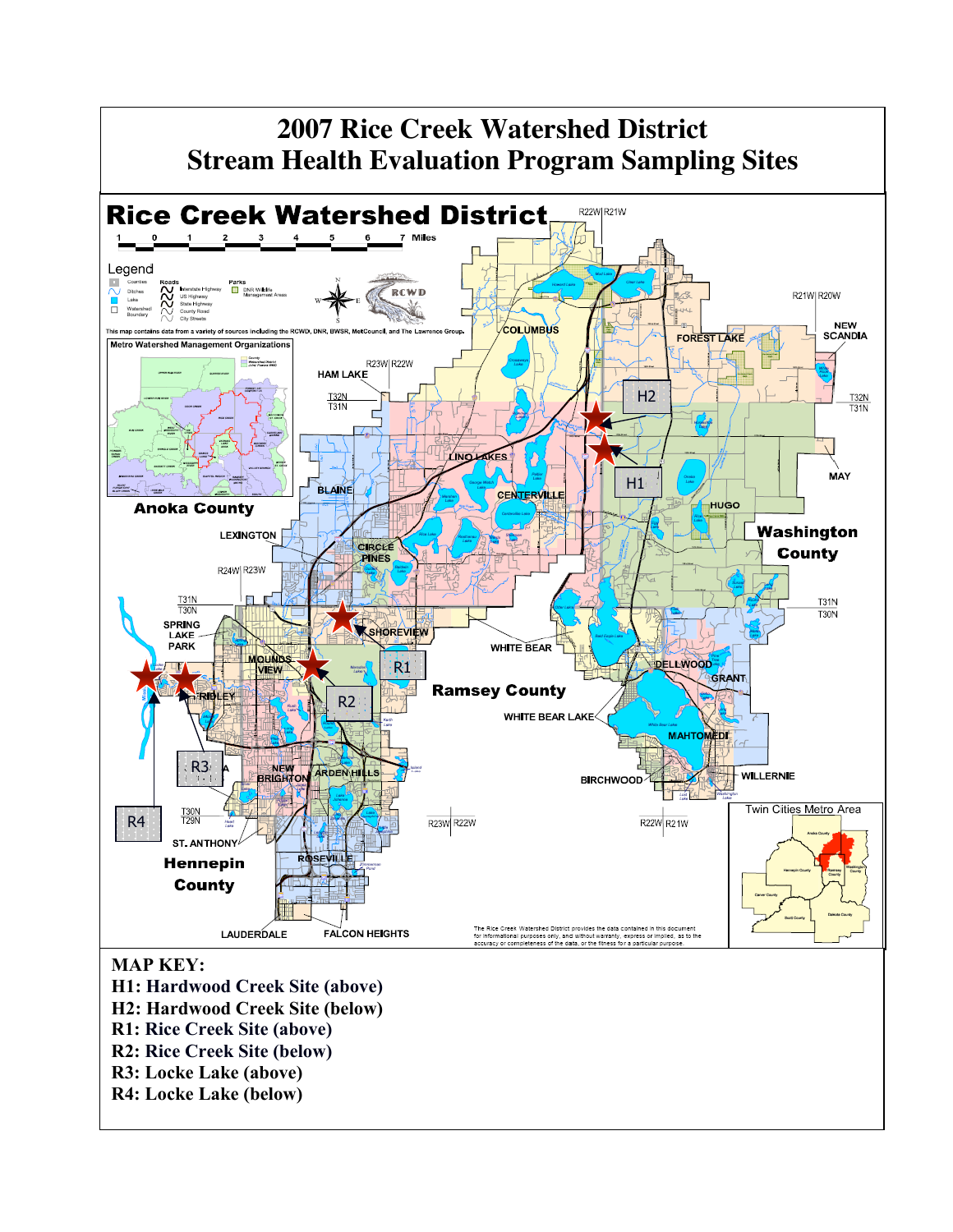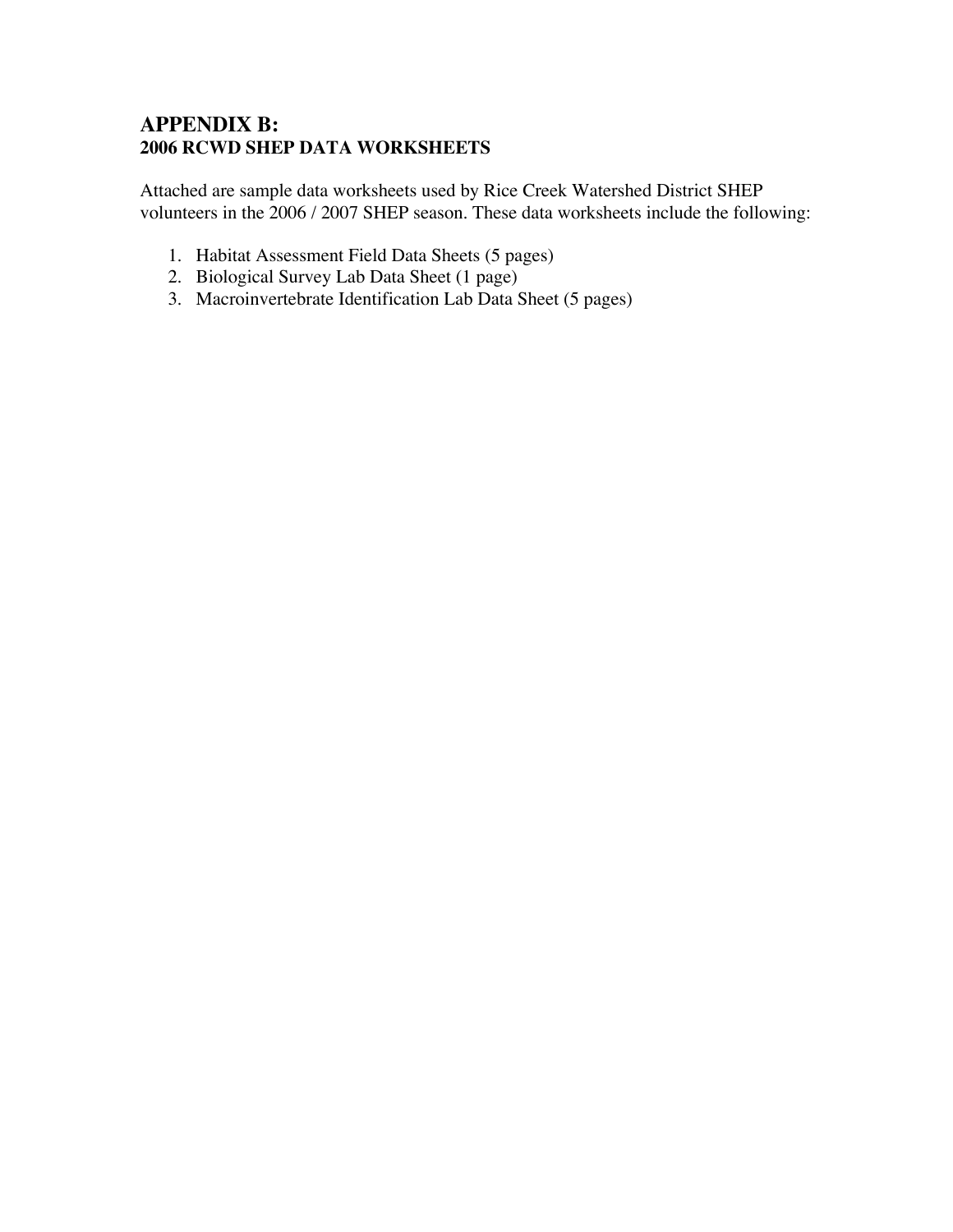#### **APPENDIX B: 2006 RCWD SHEP DATA WORKSHEETS**

Attached are sample data worksheets used by Rice Creek Watershed District SHEP volunteers in the 2006 / 2007 SHEP season. These data worksheets include the following:

- 1. Habitat Assessment Field Data Sheets (5 pages)
- 2. Biological Survey Lab Data Sheet (1 page)
- 3. Macroinvertebrate Identification Lab Data Sheet (5 pages)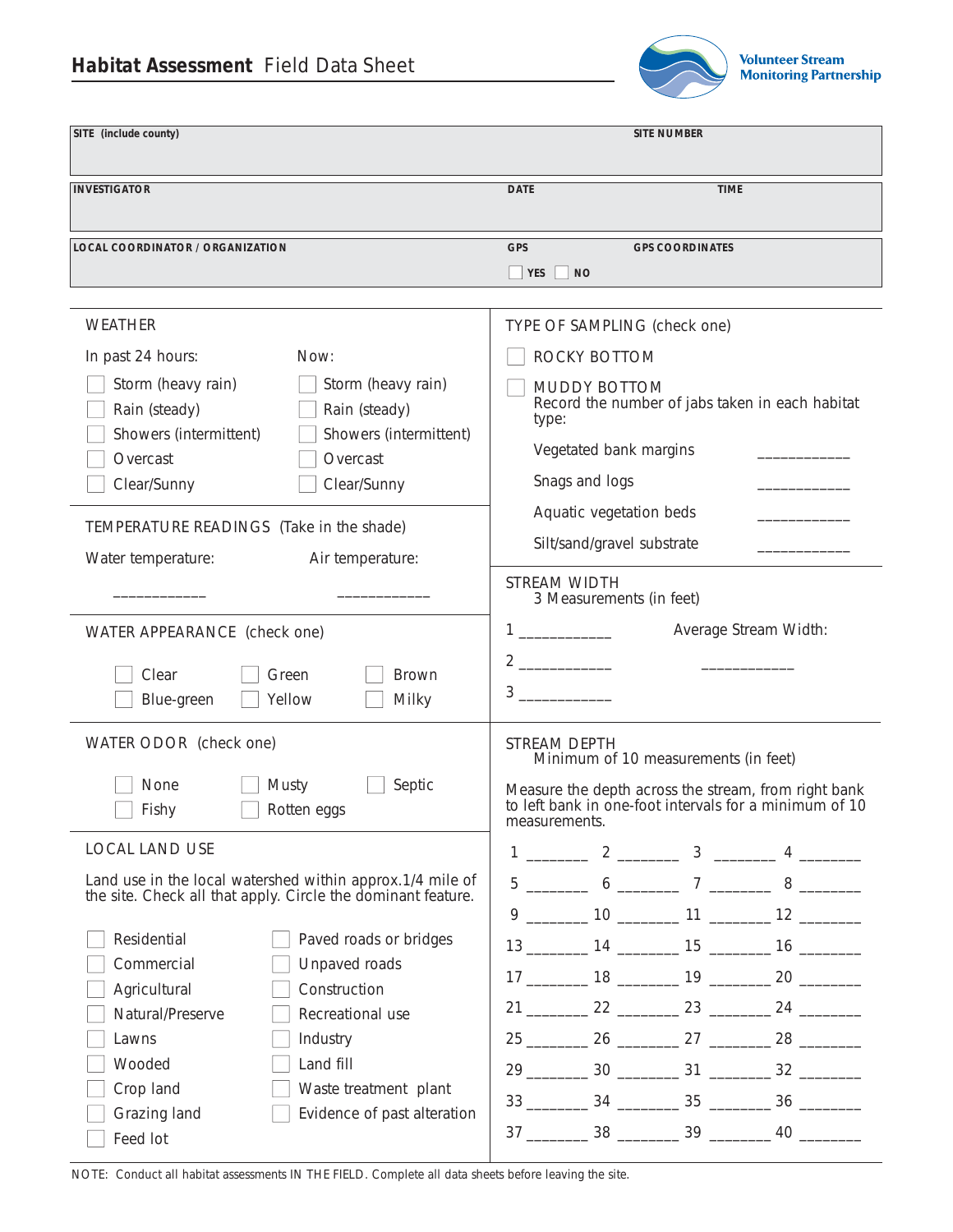## **Habitat Assessment** Field Data Sheet



| SITE (include county)                                                                                                                                                                                                                                                                                                                                                                |                                                                                                        | <b>SITE NUMBER</b>                                                                                                                                                                             |
|--------------------------------------------------------------------------------------------------------------------------------------------------------------------------------------------------------------------------------------------------------------------------------------------------------------------------------------------------------------------------------------|--------------------------------------------------------------------------------------------------------|------------------------------------------------------------------------------------------------------------------------------------------------------------------------------------------------|
| <b>INVESTIGATOR</b>                                                                                                                                                                                                                                                                                                                                                                  | <b>DATE</b>                                                                                            | <b>TIME</b>                                                                                                                                                                                    |
| <b>LOCAL COORDINATOR / ORGANIZATION</b>                                                                                                                                                                                                                                                                                                                                              | <b>GPS</b><br>$\Box$ YES $\Box$ NO                                                                     | <b>GPS COORDINATES</b>                                                                                                                                                                         |
| <b>WEATHER</b><br>In past 24 hours:<br>Now:<br>Storm (heavy rain)<br>Storm (heavy rain)<br>Rain (steady)<br>Rain (steady)<br>Showers (intermittent)<br>Showers (intermittent)<br>Overcast<br>Overcast<br>Clear/Sunny<br>Clear/Sunny<br>TEMPERATURE READINGS (Take in the shade)<br>Water temperature:<br>Air temperature:                                                            | ROCKY BOTTOM<br><b>MUDDY BOTTOM</b><br>type:<br>Snags and logs<br>STREAM WIDTH                         | TYPE OF SAMPLING (check one)<br>Record the number of jabs taken in each habitat<br>Vegetated bank margins<br>Aquatic vegetation beds<br>Silt/sand/gravel substrate<br>3 Measurements (in feet) |
| WATER APPEARANCE (check one)<br>Clear<br>Green<br><b>Brown</b><br>Yellow<br>Milky<br>Blue-green<br>WATER ODOR (check one)<br>Septic<br>None<br>Musty<br>Fishy<br>Rotten eggs                                                                                                                                                                                                         | $2 \overline{\phantom{a} \phantom{a} \phantom{a}}$<br>$3 \sim$<br><b>STREAM DEPTH</b><br>measurements. | Average Stream Width:<br>Minimum of 10 measurements (in feet)<br>Measure the depth across the stream, from right bank<br>to left bank in one-foot intervals for a minimum of 10                |
| <b>LOCAL LAND USE</b><br>Land use in the local watershed within approx.1/4 mile of<br>the site. Check all that apply. Circle the dominant feature.<br>Residential<br>Paved roads or bridges<br>Commercial<br>Unpaved roads<br>Agricultural<br>Construction<br>Natural/Preserve<br>Recreational use<br>Industry<br>Lawns<br>Wooded<br>Land fill<br>Crop land<br>Waste treatment plant |                                                                                                        | $1 \begin{array}{cccccccccccccc} 1 & 2 & 3 & 4 & \end{array}$                                                                                                                                  |
| Grazing land<br>Evidence of past alteration<br>Feed lot                                                                                                                                                                                                                                                                                                                              |                                                                                                        | $37 \underline{\hspace{1cm}} 38 \underline{\hspace{1cm}} 39 \underline{\hspace{1cm}} 40 \underline{\hspace{1cm}}$                                                                              |

NOTE: Conduct all habitat assessments IN THE FIELD. Complete all data sheets before leaving the site.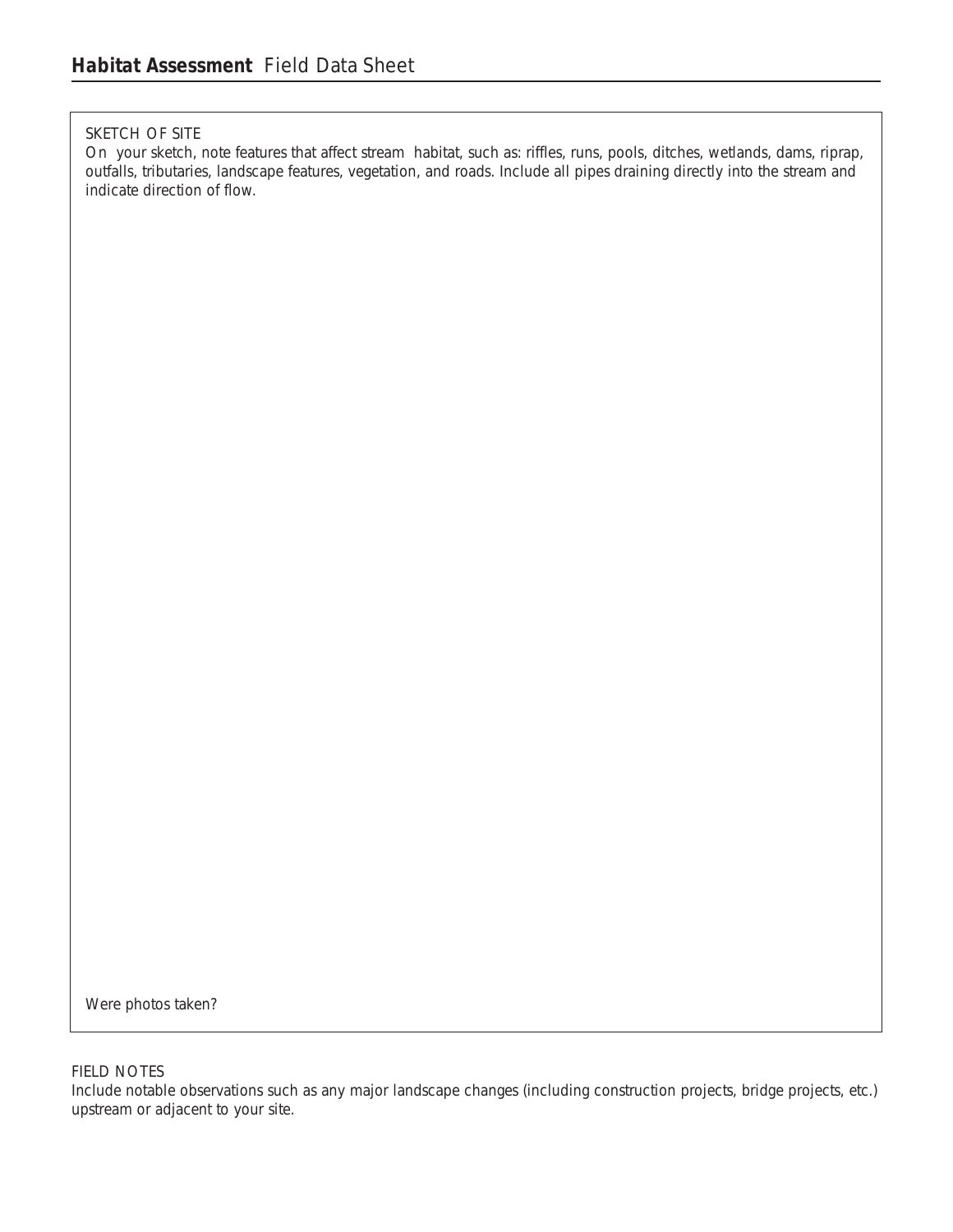#### SKETCH OF SITE

On your sketch, note features that affect stream habitat, such as: riffles, runs, pools, ditches, wetlands, dams, riprap, outfalls, tributaries, landscape features, vegetation, and roads. Include all pipes draining directly into the stream and indicate direction of flow.

Were photos taken?

#### FIELD NOTES

Include notable observations such as any major landscape changes (including construction projects, bridge projects, etc.) upstream or adjacent to your site.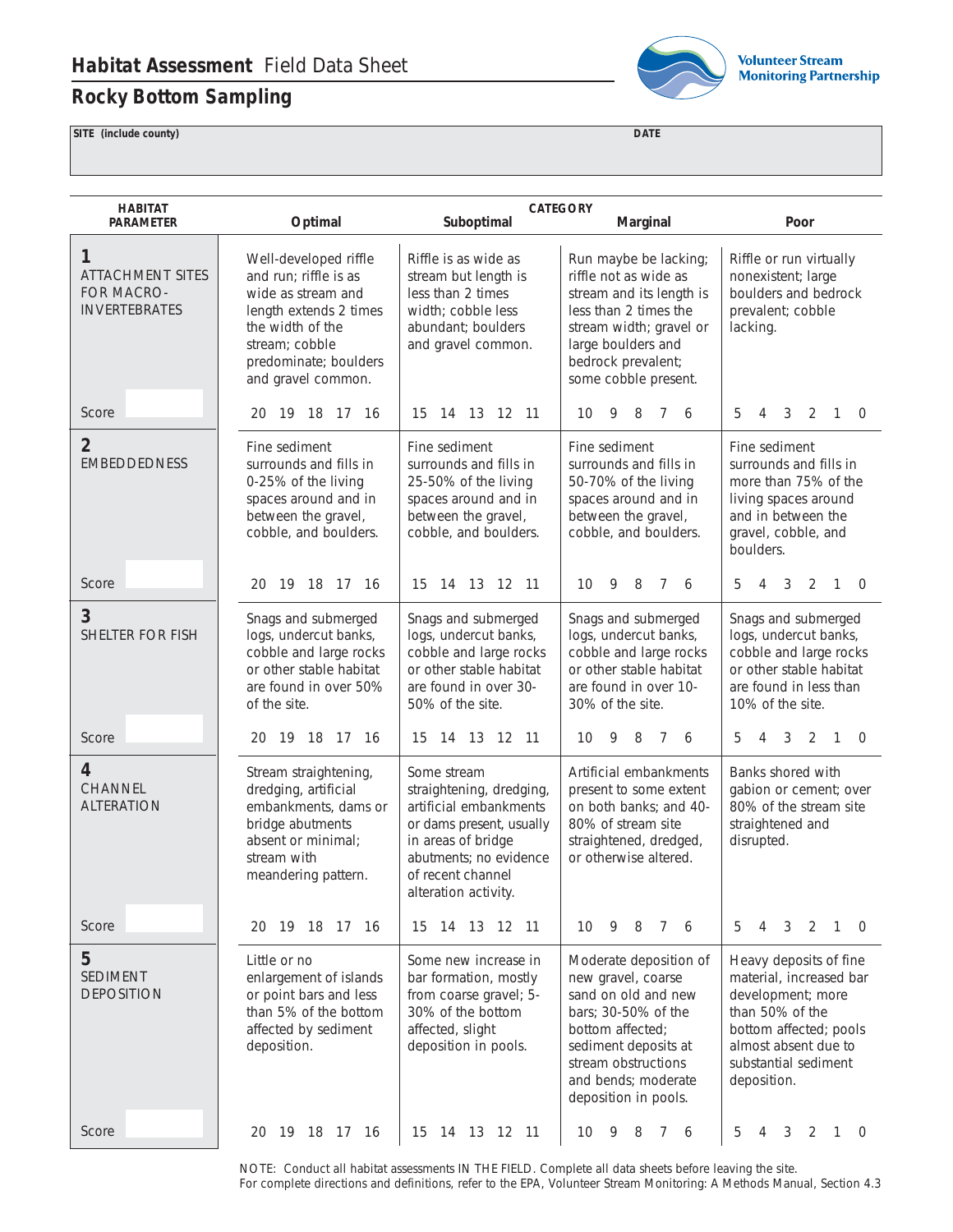## **Rocky Bottom Sampling**



**Volunteer Stream Monitoring Partnership** 

**SITE (include county) DATE**

| <b>HABITAT</b><br><b>PARAMETER</b>                                 | Optimal                                                                                                                                                                             | <b>CATEGORY</b><br>Suboptimal<br>Marginal<br>Poor                                                                                                                                          |                                                                                                                                                                                                              |                                                                                                                                                                                    |
|--------------------------------------------------------------------|-------------------------------------------------------------------------------------------------------------------------------------------------------------------------------------|--------------------------------------------------------------------------------------------------------------------------------------------------------------------------------------------|--------------------------------------------------------------------------------------------------------------------------------------------------------------------------------------------------------------|------------------------------------------------------------------------------------------------------------------------------------------------------------------------------------|
|                                                                    |                                                                                                                                                                                     |                                                                                                                                                                                            |                                                                                                                                                                                                              |                                                                                                                                                                                    |
| 1<br><b>ATTACHMENT SITES</b><br>FOR MACRO-<br><b>INVERTEBRATES</b> | Well-developed riffle<br>and run; riffle is as<br>wide as stream and<br>length extends 2 times<br>the width of the<br>stream; cobble<br>predominate; boulders<br>and gravel common. | Riffle is as wide as<br>stream but length is<br>less than 2 times<br>width; cobble less<br>abundant; boulders<br>and gravel common.                                                        | Run maybe be lacking;<br>riffle not as wide as<br>stream and its length is<br>less than 2 times the<br>stream width; gravel or<br>large boulders and<br>bedrock prevalent;<br>some cobble present.           | Riffle or run virtually<br>nonexistent; large<br>boulders and bedrock<br>prevalent; cobble<br>lacking.                                                                             |
| Score                                                              | 20 19 18 17 16                                                                                                                                                                      | 14 13 12 11<br>15                                                                                                                                                                          | 9<br>8<br>10<br>7<br>6                                                                                                                                                                                       | 5<br>3<br>2<br>4<br>1<br>$\overline{0}$                                                                                                                                            |
| $\overline{2}$<br><b>EMBEDDEDNESS</b>                              | Fine sediment<br>surrounds and fills in<br>0-25% of the living<br>spaces around and in<br>between the gravel,<br>cobble, and boulders.                                              | Fine sediment<br>surrounds and fills in<br>25-50% of the living<br>spaces around and in<br>between the gravel,<br>cobble, and boulders.                                                    | Fine sediment<br>surrounds and fills in<br>50-70% of the living<br>spaces around and in<br>between the gravel,<br>cobble, and boulders.                                                                      | Fine sediment<br>surrounds and fills in<br>more than 75% of the<br>living spaces around<br>and in between the<br>gravel, cobble, and<br>boulders.                                  |
| Score                                                              | 20 19 18 17 16                                                                                                                                                                      | 15 14 13 12 11                                                                                                                                                                             | 10 <sup>°</sup><br>- 9<br>8 7<br>6                                                                                                                                                                           | 3<br>2 1 0<br>5<br>4                                                                                                                                                               |
| 3<br><b>SHELTER FOR FISH</b>                                       | Snags and submerged<br>logs, undercut banks,<br>cobble and large rocks<br>or other stable habitat<br>are found in over 50%<br>of the site.                                          | Snags and submerged<br>logs, undercut banks,<br>cobble and large rocks<br>or other stable habitat<br>are found in over 30-<br>50% of the site.                                             | Snags and submerged<br>logs, undercut banks,<br>cobble and large rocks<br>or other stable habitat<br>are found in over 10-<br>30% of the site.                                                               | Snags and submerged<br>logs, undercut banks,<br>cobble and large rocks<br>or other stable habitat<br>are found in less than<br>10% of the site.                                    |
| Score                                                              | 20 19 18 17 16                                                                                                                                                                      | 15 14 13 12 11                                                                                                                                                                             | 9<br>8<br>10<br>$7^{\circ}$<br>6                                                                                                                                                                             | 5<br>4<br>3<br>2<br>$\mathbf{1}$<br>$\overline{0}$                                                                                                                                 |
| 4<br>CHANNEL<br><b>ALTERATION</b>                                  | Stream straightening,<br>dredging, artificial<br>embankments, dams or<br>bridge abutments<br>absent or minimal;<br>stream with<br>meandering pattern.                               | Some stream<br>straightening, dredging,<br>artificial embankments<br>or dams present, usually<br>in areas of bridge<br>abutments; no evidence<br>of recent channel<br>alteration activity. | Artificial embankments<br>present to some extent<br>on both banks; and 40-<br>80% of stream site<br>straightened, dredged,<br>or otherwise altered.                                                          | Banks shored with<br>gabion or cement; over<br>80% of the stream site<br>straightened and<br>disrupted.                                                                            |
| Score                                                              | 19 18 17 16<br>20                                                                                                                                                                   | 15 14 13 12 11                                                                                                                                                                             | 9<br>8<br>7 6<br>10                                                                                                                                                                                          | 5<br>2<br>3<br>$\mathbf{1}$<br>$\Omega$<br>4                                                                                                                                       |
| 5<br>SEDIMENT<br><b>DEPOSITION</b>                                 | Little or no<br>enlargement of islands<br>or point bars and less<br>than 5% of the bottom<br>affected by sediment<br>deposition.                                                    | Some new increase in<br>bar formation, mostly<br>from coarse gravel; 5-<br>30% of the bottom<br>affected, slight<br>deposition in pools.                                                   | Moderate deposition of<br>new gravel, coarse<br>sand on old and new<br>bars; 30-50% of the<br>bottom affected;<br>sediment deposits at<br>stream obstructions<br>and bends; moderate<br>deposition in pools. | Heavy deposits of fine<br>material, increased bar<br>development; more<br>than 50% of the<br>bottom affected; pools<br>almost absent due to<br>substantial sediment<br>deposition. |
| Score                                                              | 20 19 18 17 16                                                                                                                                                                      | 15 14 13 12 11                                                                                                                                                                             | 10 <sup>°</sup><br>9<br>8<br>7 6                                                                                                                                                                             | 5<br>3<br>2<br>$\overline{1}$<br>$\overline{0}$<br>4                                                                                                                               |

NOTE: Conduct all habitat assessments IN THE FIELD. Complete all data sheets before leaving the site. For complete directions and definitions, refer to the EPA, *Volunteer Stream Monitoring: A Methods Manual,* Section 4.3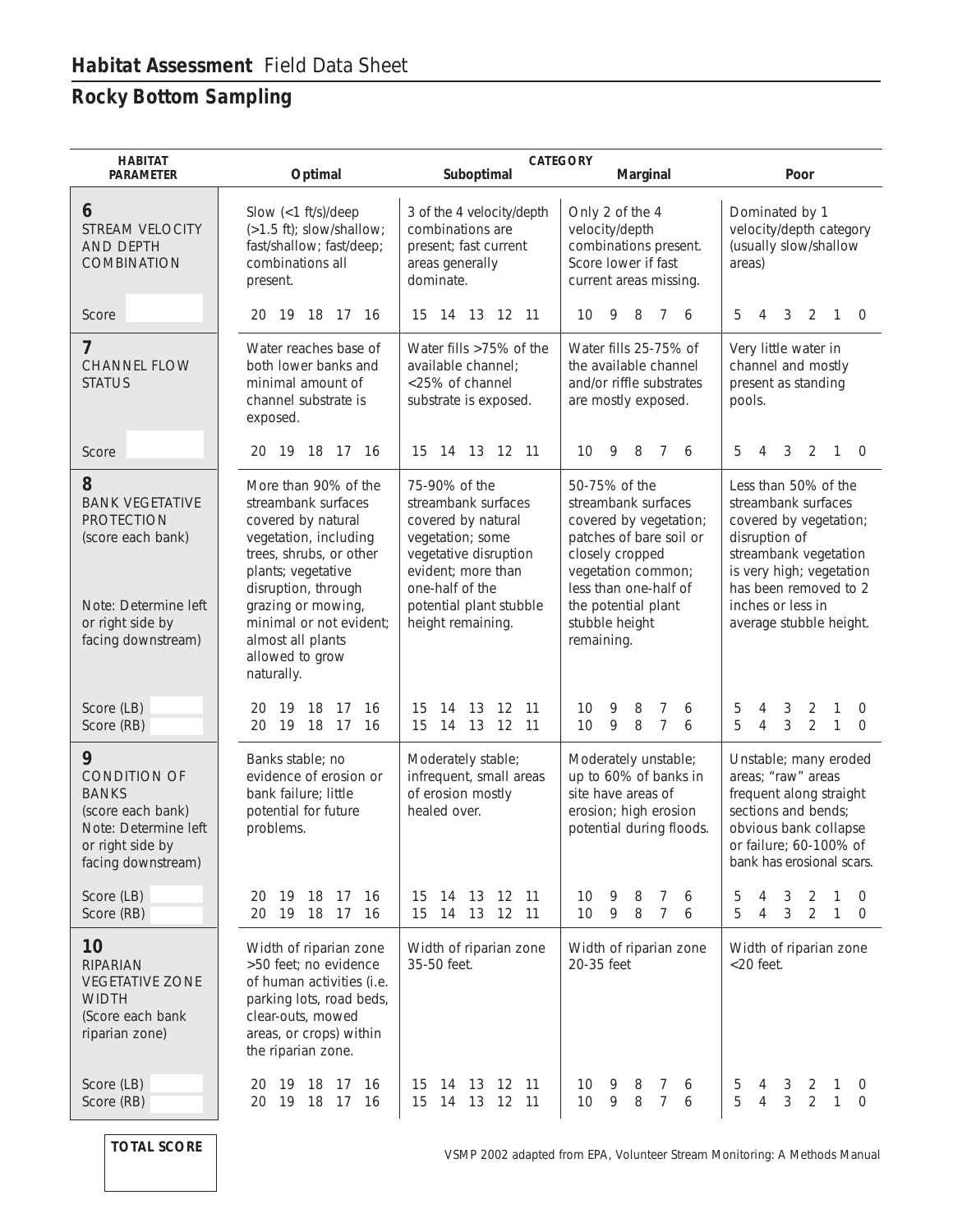## **Rocky Bottom Sampling**

| <b>HABITAT</b><br><b>PARAMETER</b>                                                                                                      | Optimal                                                                                                                                                                                                                                                                   | Suboptimal                                                                                                                                                                                       | <b>CATEGORY</b><br>Marginal                                                                                                                                                                                        | Poor                                                                                                                                                                                                                 |
|-----------------------------------------------------------------------------------------------------------------------------------------|---------------------------------------------------------------------------------------------------------------------------------------------------------------------------------------------------------------------------------------------------------------------------|--------------------------------------------------------------------------------------------------------------------------------------------------------------------------------------------------|--------------------------------------------------------------------------------------------------------------------------------------------------------------------------------------------------------------------|----------------------------------------------------------------------------------------------------------------------------------------------------------------------------------------------------------------------|
| 6<br><b>STREAM VELOCITY</b><br><b>AND DEPTH</b><br><b>COMBINATION</b>                                                                   | Slow (<1 ft/s)/deep<br>(>1.5 ft); slow/shallow;<br>fast/shallow; fast/deep;<br>combinations all<br>present.                                                                                                                                                               | 3 of the 4 velocity/depth<br>combinations are<br>present; fast current<br>areas generally<br>dominate.                                                                                           | Only 2 of the 4<br>velocity/depth<br>combinations present.<br>Score lower if fast<br>current areas missing.                                                                                                        | Dominated by 1<br>velocity/depth category<br>(usually slow/shallow<br>areas)                                                                                                                                         |
| Score                                                                                                                                   | 19 18 17 16<br>20                                                                                                                                                                                                                                                         | 15 14 13 12 11                                                                                                                                                                                   | - 9<br>8<br>10<br>$7\phantom{0}$<br>-6                                                                                                                                                                             | 3<br>2<br>5<br>$\overline{1}$<br>$\overline{0}$<br>4                                                                                                                                                                 |
| 7<br><b>CHANNEL FLOW</b><br><b>STATUS</b>                                                                                               | Water reaches base of<br>both lower banks and<br>minimal amount of<br>channel substrate is<br>exposed.                                                                                                                                                                    | Water fills >75% of the<br>available channel;<br><25% of channel<br>substrate is exposed.                                                                                                        | Water fills 25-75% of<br>the available channel<br>and/or riffle substrates<br>are mostly exposed.                                                                                                                  | Very little water in<br>channel and mostly<br>present as standing<br>pools.                                                                                                                                          |
| Score                                                                                                                                   | 19 18 17 16<br>20                                                                                                                                                                                                                                                         | 14 13 12 11<br>15                                                                                                                                                                                | 9<br>10<br>8<br>7<br>6                                                                                                                                                                                             | 5<br>3<br>2<br>$\mathbf{1}$<br>$\overline{0}$<br>4                                                                                                                                                                   |
| 8<br><b>BANK VEGETATIVE</b><br><b>PROTECTION</b><br>(score each bank)<br>Note: Determine left<br>or right side by<br>facing downstream) | More than 90% of the<br>streambank surfaces<br>covered by natural<br>vegetation, including<br>trees, shrubs, or other<br>plants; vegetative<br>disruption, through<br>grazing or mowing,<br>minimal or not evident;<br>almost all plants<br>allowed to grow<br>naturally. | 75-90% of the<br>streambank surfaces<br>covered by natural<br>vegetation; some<br>vegetative disruption<br>evident; more than<br>one-half of the<br>potential plant stubble<br>height remaining. | 50-75% of the<br>streambank surfaces<br>covered by vegetation;<br>patches of bare soil or<br>closely cropped<br>vegetation common;<br>less than one-half of<br>the potential plant<br>stubble height<br>remaining. | Less than 50% of the<br>streambank surfaces<br>covered by vegetation;<br>disruption of<br>streambank vegetation<br>is very high; vegetation<br>has been removed to 2<br>inches or less in<br>average stubble height. |
| Score (LB)<br>Score (RB)                                                                                                                | 16<br>-19<br>18<br>-17<br>20<br>19 18 17<br>16<br>20                                                                                                                                                                                                                      | 12<br>15<br>14<br>13<br>11<br>14 13 12 11<br>15                                                                                                                                                  | 9<br>8<br>10<br>7<br>6<br>$\overline{7}$<br>9<br>8<br>10<br>6                                                                                                                                                      | 3<br>$\overline{2}$<br>5<br>1<br>4<br>0<br>5<br>$\mathfrak{Z}$<br>$\overline{2}$<br>4<br>$\mathbf{1}$<br>$\Omega$                                                                                                    |
| 9<br><b>CONDITION OF</b><br><b>BANKS</b><br>(score each bank)<br>Note: Determine left<br>or right side by<br>facing downstream)         | Banks stable: no<br>evidence of erosion or<br>bank failure; little<br>potential for future<br>problems.                                                                                                                                                                   | Moderately stable;<br>infrequent, small areas<br>of erosion mostly<br>healed over.                                                                                                               | Moderately unstable;<br>up to 60% of banks in<br>site have areas of<br>erosion; high erosion<br>potential during floods.                                                                                           | Unstable; many eroded<br>areas; "raw" areas<br>frequent along straight<br>sections and bends;<br>obvious bank collapse<br>or failure; 60-100% of<br>bank has erosional scars.                                        |
| Score (LB)<br>Score (RB)                                                                                                                | 18 17<br>20<br>-19<br>16<br>19 18 17<br>16<br>20                                                                                                                                                                                                                          | 12<br>15<br>14<br>13<br>-11<br>15<br>13 12 11<br>14                                                                                                                                              | 9<br>10<br>8<br>7<br>6<br>10<br>9<br>$\overline{7}$<br>8<br>6                                                                                                                                                      | 5<br>3<br>2<br>4<br>1<br>$\cup$<br>3<br>5<br>$\overline{2}$<br>4<br>$\mathbf{1}$<br>0                                                                                                                                |
| 10<br><b>RIPARIAN</b><br><b>VEGETATIVE ZONE</b><br><b>WIDTH</b><br>(Score each bank<br>riparian zone)                                   | Width of riparian zone<br>>50 feet; no evidence<br>of human activities (i.e.<br>parking lots, road beds,<br>clear-outs, mowed<br>areas, or crops) within<br>the riparian zone.                                                                                            | Width of riparian zone<br>35-50 feet.                                                                                                                                                            | Width of riparian zone<br>20-35 feet                                                                                                                                                                               | Width of riparian zone<br>$<$ 20 feet.                                                                                                                                                                               |
| Score (LB)<br>Score (RB)                                                                                                                | 20 19 18 17<br>16<br>20<br>19<br>18<br>- 17<br>16                                                                                                                                                                                                                         | 12<br>15<br>- 13<br>-11<br>14<br>15<br>14<br>13 12<br>11                                                                                                                                         | 10<br>9<br>8<br>7<br>6<br>9<br>10<br>7<br>8<br>6                                                                                                                                                                   | 5<br>4<br>3<br>2<br>$\cup$<br>3<br>5<br>2<br>4<br>1<br>$\Omega$                                                                                                                                                      |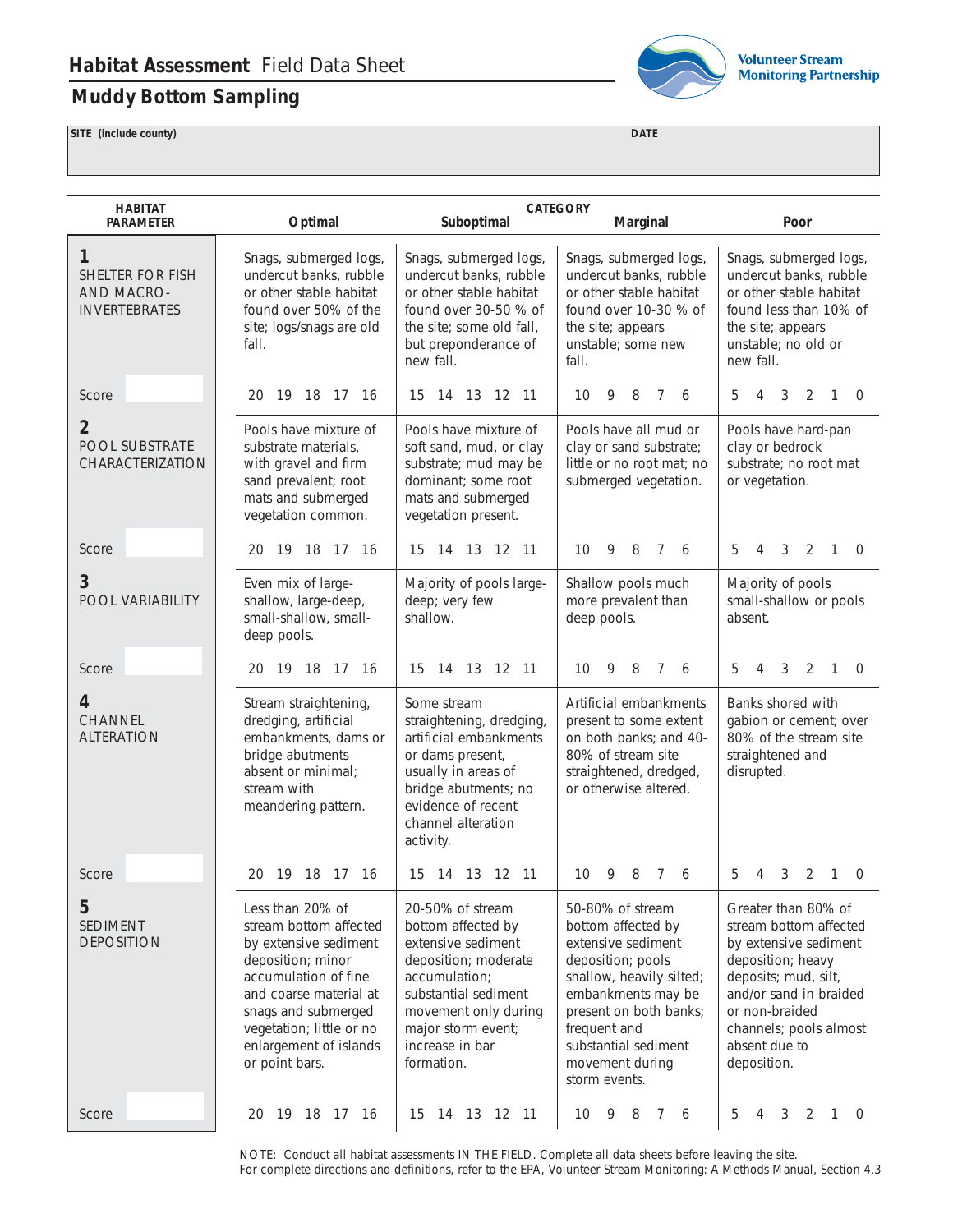## **Muddy Bottom Sampling**



**Volunteer Stream Monitoring Partnership** 

**SITE (include county) DATE**

| <b>HABITAT</b><br><b>PARAMETER</b>                                 | Optimal                                                                                                                                                                                                                                   | Suboptimal                                                                                                                                                                                                   | <b>CATEGORY</b><br>Marginal                                                                                                                                                                                                               | Poor                                                                                                                                                                                                                      |
|--------------------------------------------------------------------|-------------------------------------------------------------------------------------------------------------------------------------------------------------------------------------------------------------------------------------------|--------------------------------------------------------------------------------------------------------------------------------------------------------------------------------------------------------------|-------------------------------------------------------------------------------------------------------------------------------------------------------------------------------------------------------------------------------------------|---------------------------------------------------------------------------------------------------------------------------------------------------------------------------------------------------------------------------|
| 1<br><b>SHELTER FOR FISH</b><br>AND MACRO-<br><b>INVERTEBRATES</b> | Snags, submerged logs,<br>undercut banks, rubble<br>or other stable habitat<br>found over 50% of the<br>site; logs/snags are old<br>fall.                                                                                                 | Snags, submerged logs,<br>undercut banks, rubble<br>or other stable habitat<br>found over 30-50 % of<br>the site; some old fall,<br>but preponderance of<br>new fall.                                        | Snags, submerged logs,<br>undercut banks, rubble<br>or other stable habitat<br>found over 10-30 % of<br>the site; appears<br>unstable; some new<br>fall.                                                                                  | Snags, submerged logs,<br>undercut banks, rubble<br>or other stable habitat<br>found less than 10% of<br>the site; appears<br>unstable; no old or<br>new fall.                                                            |
| Score                                                              | 19 18 17 16<br>20                                                                                                                                                                                                                         | 13 12 11<br>15<br>- 14                                                                                                                                                                                       | 8<br>10<br>9<br>$\overline{7}$<br>6                                                                                                                                                                                                       | 3<br>$\overline{2}$<br>5<br>1<br>$\Omega$<br>4                                                                                                                                                                            |
| $\overline{2}$<br><b>POOL SUBSTRATE</b><br>CHARACTERIZATION        | Pools have mixture of<br>substrate materials,<br>with gravel and firm<br>sand prevalent; root<br>mats and submerged<br>vegetation common.                                                                                                 | Pools have mixture of<br>soft sand, mud, or clay<br>substrate; mud may be<br>dominant; some root<br>mats and submerged<br>vegetation present.                                                                | Pools have all mud or<br>clay or sand substrate;<br>little or no root mat; no<br>submerged vegetation.                                                                                                                                    | Pools have hard-pan<br>clay or bedrock<br>substrate; no root mat<br>or vegetation.                                                                                                                                        |
| Score                                                              | 20 19 18 17 16                                                                                                                                                                                                                            | 15 14 13 12 11                                                                                                                                                                                               | 10<br>9<br>8<br>$\overline{7}$<br>6                                                                                                                                                                                                       | 5<br>3<br>2<br>4<br>1<br>$\Omega$                                                                                                                                                                                         |
| 3<br>POOL VARIABILITY                                              | Even mix of large-<br>shallow, large-deep,<br>small-shallow, small-<br>deep pools.                                                                                                                                                        | Majority of pools large-<br>deep; very few<br>shallow.                                                                                                                                                       | Shallow pools much<br>more prevalent than<br>deep pools.                                                                                                                                                                                  | Majority of pools<br>small-shallow or pools<br>absent.                                                                                                                                                                    |
| Score                                                              | 19 18 17 16<br>20                                                                                                                                                                                                                         | 14 13 12 11<br>15                                                                                                                                                                                            | 10<br>9<br>8<br>$\overline{7}$<br>6                                                                                                                                                                                                       | $\overline{2}$<br>5<br>3<br>1<br>$\overline{0}$<br>4                                                                                                                                                                      |
| 4<br><b>CHANNEL</b><br><b>ALTERATION</b>                           | Stream straightening,<br>dredging, artificial<br>embankments, dams or<br>bridge abutments<br>absent or minimal;<br>stream with<br>meandering pattern.                                                                                     | Some stream<br>straightening, dredging,<br>artificial embankments<br>or dams present,<br>usually in areas of<br>bridge abutments; no<br>evidence of recent<br>channel alteration<br>activity.                | Artificial embankments<br>present to some extent<br>on both banks; and 40-<br>80% of stream site<br>straightened, dredged,<br>or otherwise altered.                                                                                       | Banks shored with<br>gabion or cement; over<br>80% of the stream site<br>straightened and<br>disrupted.                                                                                                                   |
| Score                                                              | 19 18 17 16<br>20                                                                                                                                                                                                                         | 13 12 11<br>15<br>14                                                                                                                                                                                         | 10<br>9<br>8<br>7<br>6                                                                                                                                                                                                                    | 5<br>4<br>3<br>2<br>1<br>$\mathbf 0$                                                                                                                                                                                      |
| 5<br><b>SEDIMENT</b><br><b>DEPOSITION</b>                          | Less than 20% of<br>stream bottom affected<br>by extensive sediment<br>deposition; minor<br>accumulation of fine<br>and coarse material at<br>snags and submerged<br>vegetation; little or no<br>enlargement of islands<br>or point bars. | 20-50% of stream<br>bottom affected by<br>extensive sediment<br>deposition; moderate<br>accumulation;<br>substantial sediment<br>movement only during<br>major storm event;<br>increase in bar<br>formation. | 50-80% of stream<br>bottom affected by<br>extensive sediment<br>deposition; pools<br>shallow, heavily silted;<br>embankments may be<br>present on both banks;<br>frequent and<br>substantial sediment<br>movement during<br>storm events. | Greater than 80% of<br>stream bottom affected<br>by extensive sediment<br>deposition; heavy<br>deposits; mud, silt,<br>and/or sand in braided<br>or non-braided<br>channels; pools almost<br>absent due to<br>deposition. |
| Score                                                              | 20 19 18 17 16                                                                                                                                                                                                                            | 15 14 13 12 11                                                                                                                                                                                               | 10<br>9<br>8<br>7 6                                                                                                                                                                                                                       | 5<br>3<br>2<br>4<br>1<br>$\overline{0}$                                                                                                                                                                                   |

NOTE: Conduct all habitat assessments IN THE FIELD. Complete all data sheets before leaving the site. For complete directions and definitions, refer to the EPA, *Volunteer Stream Monitoring: A Methods Manual,* Section 4.3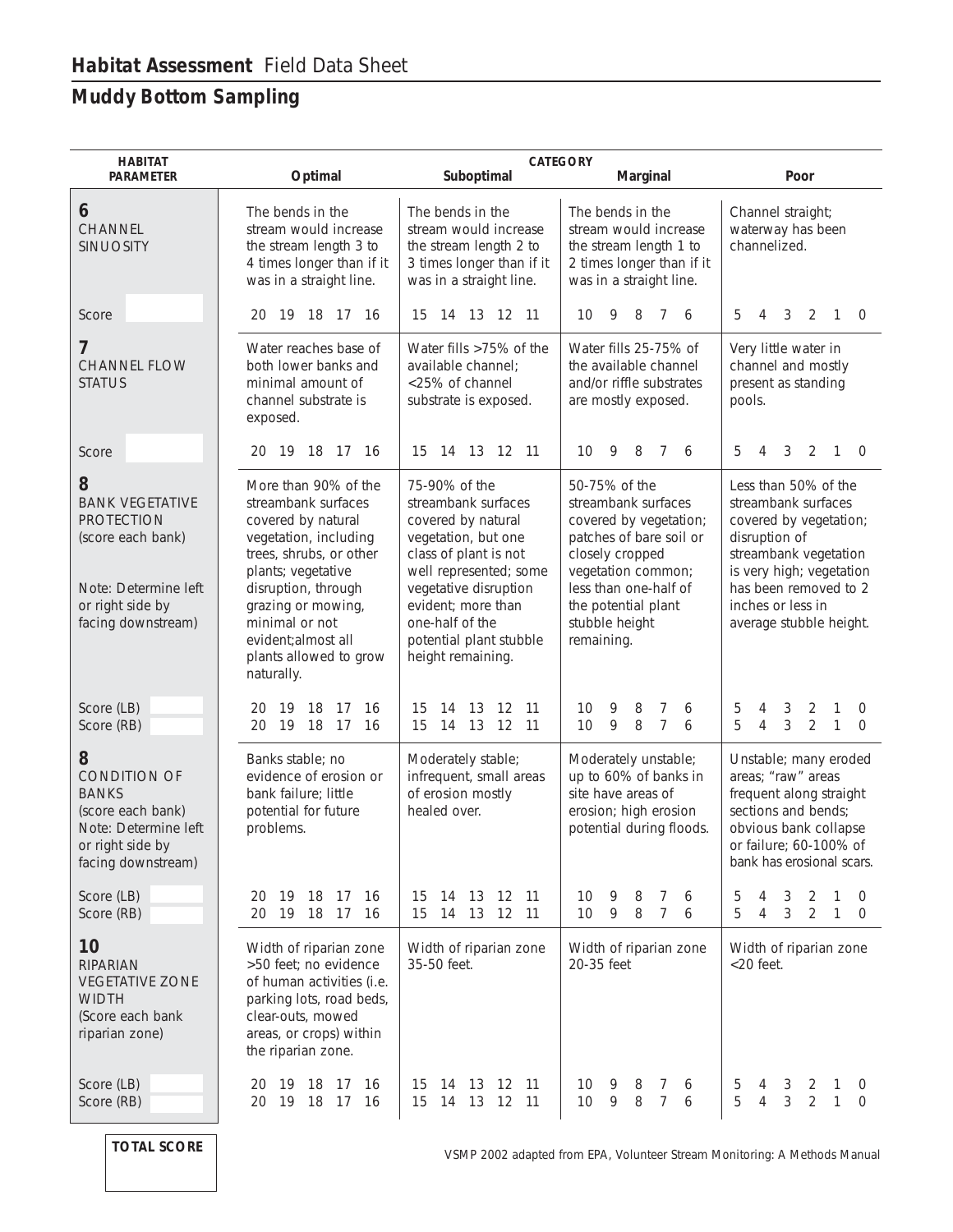## **Muddy Bottom Sampling**

| <b>HABITAT</b><br><b>PARAMETER</b>                                                                                                      | Optimal                                                                                                                                                                                                                                                                   | Suboptimal                                                                                                                                                                                                                                             | <b>CATEGORY</b><br>Marginal                                                                                                                                                                                        | Poor                                                                                                                                                                                                                 |
|-----------------------------------------------------------------------------------------------------------------------------------------|---------------------------------------------------------------------------------------------------------------------------------------------------------------------------------------------------------------------------------------------------------------------------|--------------------------------------------------------------------------------------------------------------------------------------------------------------------------------------------------------------------------------------------------------|--------------------------------------------------------------------------------------------------------------------------------------------------------------------------------------------------------------------|----------------------------------------------------------------------------------------------------------------------------------------------------------------------------------------------------------------------|
| 6<br>CHANNEL<br><b>SINUOSITY</b>                                                                                                        | The bends in the<br>stream would increase<br>the stream length 3 to<br>4 times longer than if it<br>was in a straight line.                                                                                                                                               | The bends in the<br>stream would increase<br>the stream length 2 to<br>3 times longer than if it<br>was in a straight line.                                                                                                                            | The bends in the<br>stream would increase<br>the stream length 1 to<br>2 times longer than if it<br>was in a straight line.                                                                                        | Channel straight;<br>waterway has been<br>channelized.                                                                                                                                                               |
| Score                                                                                                                                   | 20 19 18 17 16                                                                                                                                                                                                                                                            | 15 14 13 12 11                                                                                                                                                                                                                                         | - 9<br>8 7 6<br>10                                                                                                                                                                                                 | 5<br>3<br>2<br>4<br>$\mathbf{1}$<br>$\overline{0}$                                                                                                                                                                   |
| 7<br><b>CHANNEL FLOW</b><br><b>STATUS</b>                                                                                               | Water reaches base of<br>both lower banks and<br>minimal amount of<br>channel substrate is<br>exposed.                                                                                                                                                                    | Water fills >75% of the<br>available channel;<br><25% of channel<br>substrate is exposed.                                                                                                                                                              | Water fills 25-75% of<br>the available channel<br>and/or riffle substrates<br>are mostly exposed.                                                                                                                  | Very little water in<br>channel and mostly<br>present as standing<br>pools.                                                                                                                                          |
| Score                                                                                                                                   | 20 19 18 17 16                                                                                                                                                                                                                                                            | 15 14 13 12 11                                                                                                                                                                                                                                         | 10<br>9<br>8<br>7<br>6                                                                                                                                                                                             | 2<br>5<br>3<br>$\mathbf{1}$<br>$\overline{0}$<br>4                                                                                                                                                                   |
| 8<br><b>BANK VEGETATIVE</b><br><b>PROTECTION</b><br>(score each bank)<br>Note: Determine left<br>or right side by<br>facing downstream) | More than 90% of the<br>streambank surfaces<br>covered by natural<br>vegetation, including<br>trees, shrubs, or other<br>plants; vegetative<br>disruption, through<br>grazing or mowing,<br>minimal or not<br>evident; almost all<br>plants allowed to grow<br>naturally. | 75-90% of the<br>streambank surfaces<br>covered by natural<br>vegetation, but one<br>class of plant is not<br>well represented; some<br>vegetative disruption<br>evident; more than<br>one-half of the<br>potential plant stubble<br>height remaining. | 50-75% of the<br>streambank surfaces<br>covered by vegetation;<br>patches of bare soil or<br>closely cropped<br>vegetation common;<br>less than one-half of<br>the potential plant<br>stubble height<br>remaining. | Less than 50% of the<br>streambank surfaces<br>covered by vegetation;<br>disruption of<br>streambank vegetation<br>is very high; vegetation<br>has been removed to 2<br>inches or less in<br>average stubble height. |
| Score (LB)<br>Score (RB)                                                                                                                | 19 18<br>-17<br>16<br>20<br>19 18 17<br>20<br>16                                                                                                                                                                                                                          | 13<br>12<br>- 11<br>15<br>14<br>15<br>14 13 12 11                                                                                                                                                                                                      | 9<br>8<br>7<br>10<br>6<br>$\overline{7}$<br>10<br>9<br>8<br>6                                                                                                                                                      | 5<br>3<br>2<br>1<br>$\mathbf 0$<br>4<br>5<br>3<br>$\overline{2}$<br>$\overline{4}$<br>$\mathbf{1}$<br>$\overline{0}$                                                                                                 |
| 8<br><b>CONDITION OF</b><br><b>BANKS</b><br>(score each bank)<br>Note: Determine left<br>or right side by<br>facing downstream)         | Banks stable; no<br>evidence of erosion or<br>bank failure; little<br>potential for future<br>problems.                                                                                                                                                                   | Moderately stable;<br>infrequent, small areas<br>of erosion mostly<br>healed over.                                                                                                                                                                     | Moderately unstable;<br>up to 60% of banks in<br>site have areas of<br>erosion; high erosion<br>potential during floods.                                                                                           | Unstable; many eroded<br>areas; "raw" areas<br>frequent along straight<br>sections and bends;<br>obvious bank collapse<br>or failure; 60-100% of<br>bank has erosional scars.                                        |
| Score (LB)<br>Score (RB)                                                                                                                | 18<br>16<br>20<br>19<br>-17<br>19 18<br>20<br>- 17<br>16                                                                                                                                                                                                                  | 12<br>-11<br>15<br>14<br>13<br>15<br>13<br>12 11<br>14                                                                                                                                                                                                 | 10<br>9<br>8<br>7<br>6<br>9<br>8<br>7<br>10<br>6                                                                                                                                                                   | 5<br>3<br>2<br>1<br>4<br>0<br>3<br>$\overline{2}$<br>5<br>1<br>4<br>0                                                                                                                                                |
| 10<br><b>RIPARIAN</b><br><b>VEGETATIVE ZONE</b><br><b>WIDTH</b><br>(Score each bank<br>riparian zone)                                   | Width of riparian zone<br>>50 feet; no evidence<br>of human activities (i.e.<br>parking lots, road beds,<br>clear-outs, mowed<br>areas, or crops) within<br>the riparian zone.                                                                                            | Width of riparian zone<br>35-50 feet.                                                                                                                                                                                                                  | Width of riparian zone<br>20-35 feet                                                                                                                                                                               | Width of riparian zone<br>$<$ 20 feet.                                                                                                                                                                               |
| Score (LB)<br>Score (RB)                                                                                                                | 19 18 17<br>16<br>20<br>19<br>18 17<br>16<br>20                                                                                                                                                                                                                           | 12<br>-11<br>15<br>14<br>13<br>15<br>13<br>12<br>$-11$<br>14                                                                                                                                                                                           | 10<br>9<br>8<br>7<br>6<br>9<br>10<br>8<br>7<br>6                                                                                                                                                                   | 5<br>3<br>2<br>4<br>O<br>3<br>5<br>2<br>4<br>1<br>$\mathbf 0$                                                                                                                                                        |

**TOTAL SCORE**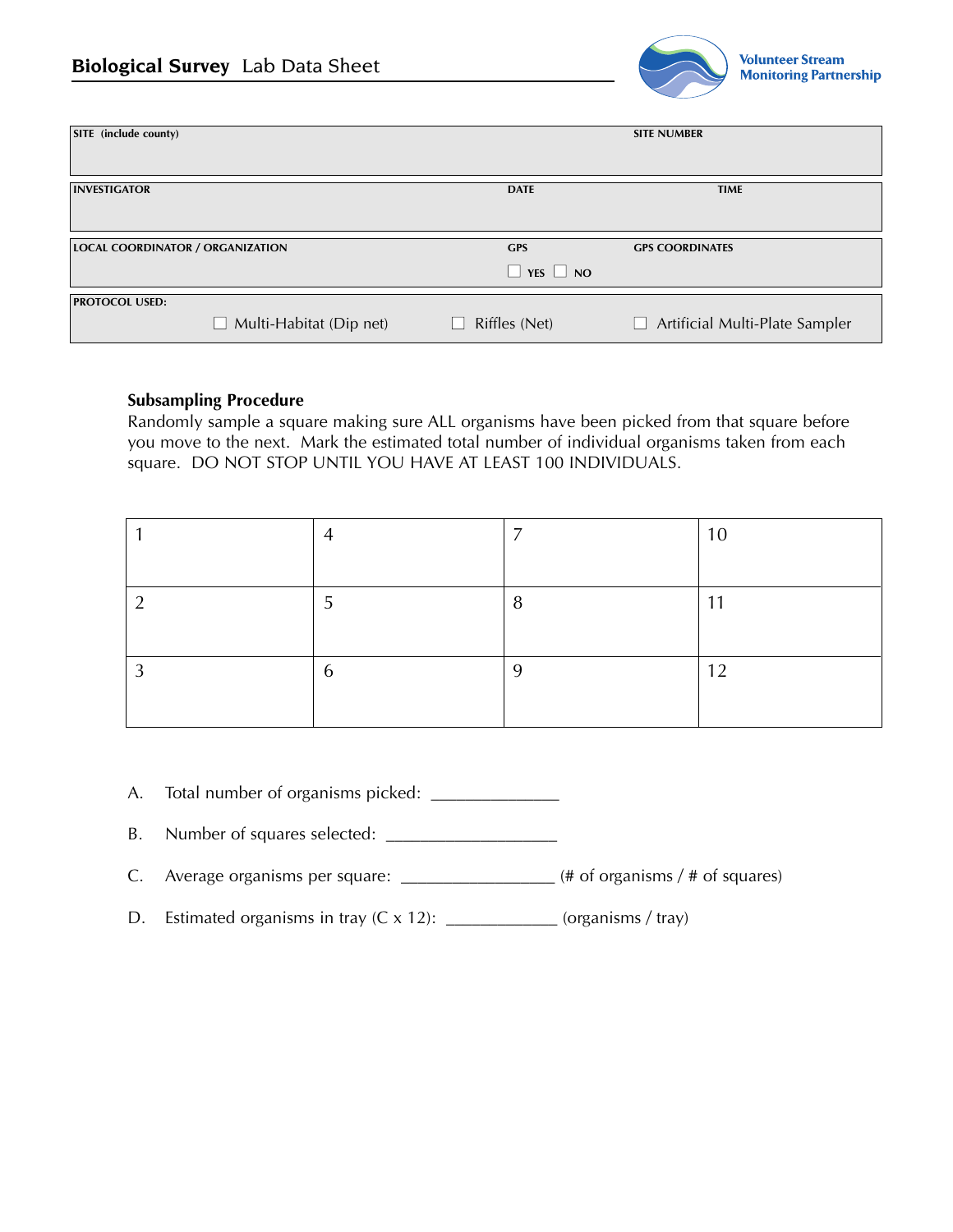

| SITE (include county)                   |                                |                                    | <b>SITE NUMBER</b>                    |
|-----------------------------------------|--------------------------------|------------------------------------|---------------------------------------|
| <b>INVESTIGATOR</b>                     |                                | <b>DATE</b>                        | <b>TIME</b>                           |
| <b>LOCAL COORDINATOR / ORGANIZATION</b> |                                | <b>GPS</b><br>$\Box$ YES $\Box$ NO | <b>GPS COORDINATES</b>                |
| <b>PROTOCOL USED:</b>                   | $\Box$ Multi-Habitat (Dip net) | Riffles (Net)<br>$\mathbf{I}$      | $\Box$ Artificial Multi-Plate Sampler |

#### **Subsampling Procedure**

Randomly sample a square making sure ALL organisms have been picked from that square before you move to the next. Mark the estimated total number of individual organisms taken from each square. DO NOT STOP UNTIL YOU HAVE AT LEAST 100 INDIVIDUALS.

|   |        | 1 $\cap$ |
|---|--------|----------|
|   |        |          |
|   | o<br>0 | -11      |
|   |        |          |
| n |        | $\sim$   |
|   |        |          |

- A. Total number of organisms picked: \_\_\_\_\_\_\_\_\_\_\_\_\_\_\_
- B. Number of squares selected: \_\_\_\_\_\_\_\_\_\_\_\_\_\_\_\_\_\_\_\_
- C. Average organisms per square: \_\_\_\_\_\_\_\_\_\_\_\_\_\_\_\_\_\_ (# of organisms / # of squares)
- D. Estimated organisms in tray  $(C \times 12)$ :  $(organisms / tray)$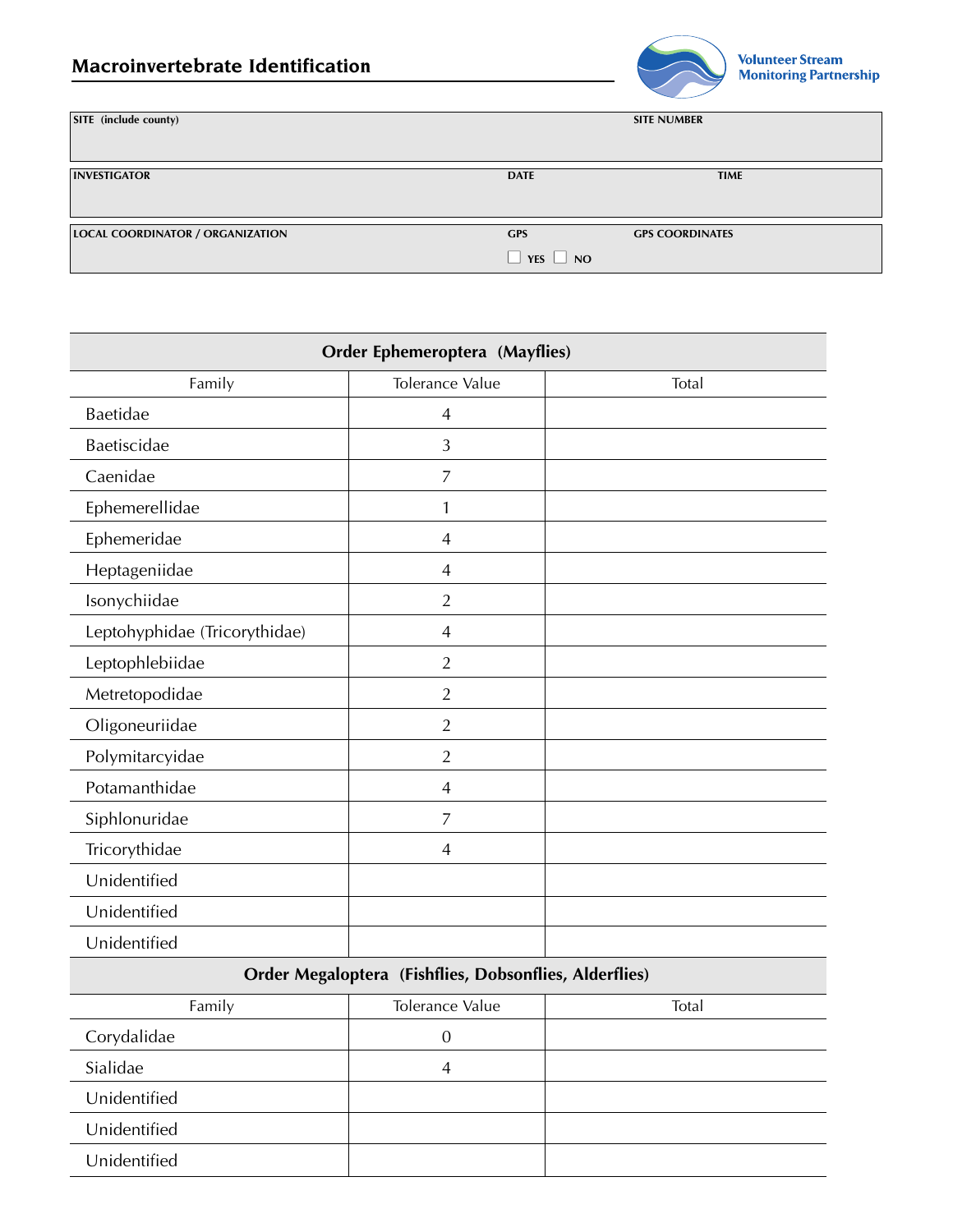

| SITE (include county)                   |                                    | <b>SITE NUMBER</b>     |
|-----------------------------------------|------------------------------------|------------------------|
| <b>INVESTIGATOR</b>                     | <b>DATE</b>                        | <b>TIME</b>            |
| <b>LOCAL COORDINATOR / ORGANIZATION</b> | <b>GPS</b><br>$\Box$ YES $\Box$ NO | <b>GPS COORDINATES</b> |

| <b>Order Ephemeroptera (Mayflies)</b> |                 |       |  |
|---------------------------------------|-----------------|-------|--|
| Family                                | Tolerance Value | Total |  |
| Baetidae                              | $\overline{4}$  |       |  |
| Baetiscidae                           | 3               |       |  |
| Caenidae                              | $\overline{7}$  |       |  |
| Ephemerellidae                        | $\mathbf{1}$    |       |  |
| Ephemeridae                           | $\overline{4}$  |       |  |
| Heptageniidae                         | $\overline{4}$  |       |  |
| Isonychiidae                          | $\overline{2}$  |       |  |
| Leptohyphidae (Tricorythidae)         | $\overline{4}$  |       |  |
| Leptophlebiidae                       | $\overline{2}$  |       |  |
| Metretopodidae                        | $\overline{2}$  |       |  |
| Oligoneuriidae                        | $\overline{2}$  |       |  |
| Polymitarcyidae                       | $\overline{2}$  |       |  |
| Potamanthidae                         | $\overline{4}$  |       |  |
| Siphlonuridae                         | $\overline{7}$  |       |  |
| Tricorythidae                         | $\overline{4}$  |       |  |
| Unidentified                          |                 |       |  |
| Unidentified                          |                 |       |  |
| Unidentified                          |                 |       |  |

## **Order Megaloptera (Fishflies, Dobsonflies, Alderflies)**

| Family       | Tolerance Value | Total |
|--------------|-----------------|-------|
| Corydalidae  |                 |       |
| Sialidae     | 4               |       |
| Unidentified |                 |       |
| Unidentified |                 |       |
| Unidentified |                 |       |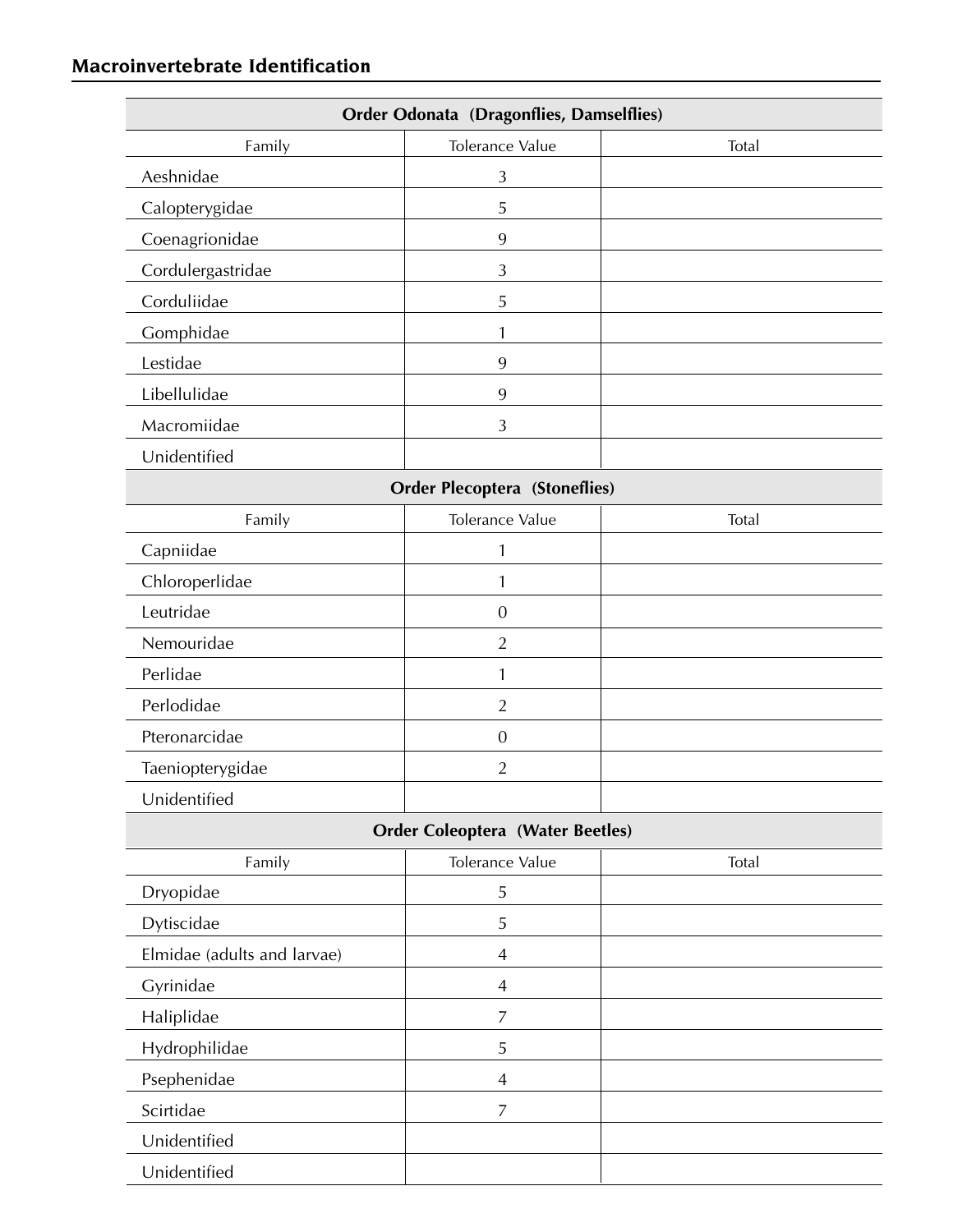## **Macroinvertebrate Identification**

| <b>Order Odonata (Dragonflies, Damselflies)</b> |                                         |       |
|-------------------------------------------------|-----------------------------------------|-------|
| Family                                          | Tolerance Value                         | Total |
| Aeshnidae                                       | 3                                       |       |
| Calopterygidae                                  | 5                                       |       |
| Coenagrionidae                                  | 9                                       |       |
| Cordulergastridae                               | 3                                       |       |
| Corduliidae                                     | 5                                       |       |
| Gomphidae                                       | 1                                       |       |
| Lestidae                                        | 9                                       |       |
| Libellulidae                                    | 9                                       |       |
| Macromiidae                                     | 3                                       |       |
| Unidentified                                    |                                         |       |
|                                                 | <b>Order Plecoptera (Stoneflies)</b>    |       |
| Family                                          | Tolerance Value                         | Total |
| Capniidae                                       | $\mathbf{1}$                            |       |
| Chloroperlidae                                  | 1                                       |       |
| Leutridae                                       | $\theta$                                |       |
| Nemouridae                                      | $\overline{2}$                          |       |
| Perlidae                                        | 1                                       |       |
| Perlodidae                                      | $\overline{2}$                          |       |
| Pteronarcidae                                   | $\boldsymbol{0}$                        |       |
| Taeniopterygidae                                | $\overline{2}$                          |       |
| Unidentified                                    |                                         |       |
|                                                 | <b>Order Coleoptera (Water Beetles)</b> |       |
| Family                                          | Tolerance Value                         | Total |
| Dryopidae                                       | $\sqrt{5}$                              |       |
| Dytiscidae                                      | 5                                       |       |
| Elmidae (adults and larvae)                     | $\overline{4}$                          |       |
| Gyrinidae                                       | $\overline{4}$                          |       |
| Haliplidae                                      | $\overline{7}$                          |       |
| Hydrophilidae                                   | $\sqrt{5}$                              |       |
| Psephenidae                                     | $\overline{4}$                          |       |
| Scirtidae                                       | $\overline{7}$                          |       |
| Unidentified                                    |                                         |       |
| Unidentified                                    |                                         |       |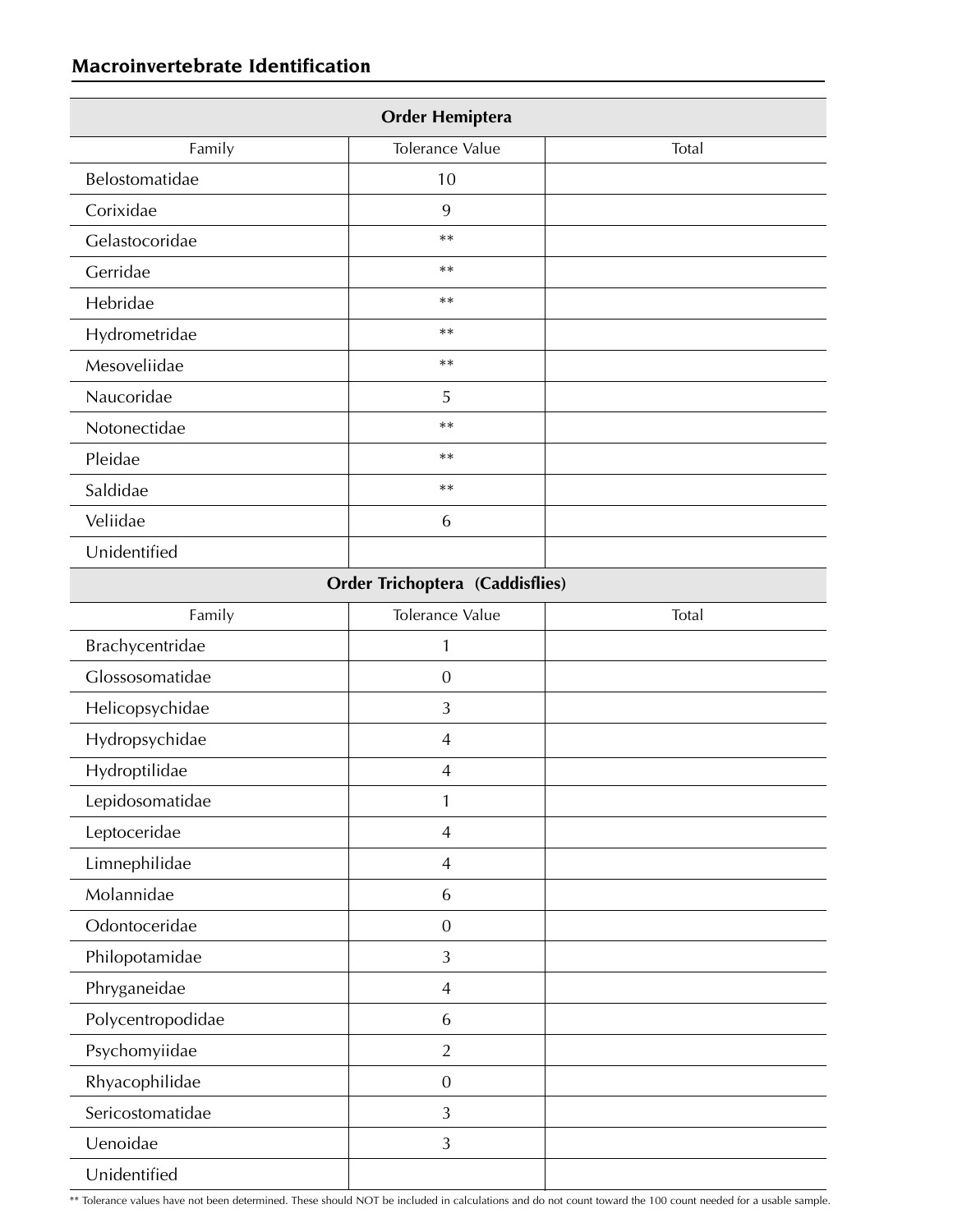## **Macroinvertebrate Identification**

| <b>Order Hemiptera</b> |                                        |       |
|------------------------|----------------------------------------|-------|
| Family                 | Tolerance Value                        | Total |
| Belostomatidae         | 10                                     |       |
| Corixidae              | 9                                      |       |
| Gelastocoridae         | $***$                                  |       |
| Gerridae               | $***$                                  |       |
| Hebridae               | $***$                                  |       |
| Hydrometridae          | $***$                                  |       |
| Mesoveliidae           | $***$                                  |       |
| Naucoridae             | 5                                      |       |
| Notonectidae           | $**$                                   |       |
| Pleidae                | $***$                                  |       |
| Saldidae               | $***$                                  |       |
| Veliidae               | 6                                      |       |
| Unidentified           |                                        |       |
|                        | <b>Order Trichoptera (Caddisflies)</b> |       |
| Family                 | Tolerance Value                        | Total |
| Brachycentridae        | 1                                      |       |
| Glossosomatidae        | $\boldsymbol{0}$                       |       |
| Helicopsychidae        | 3                                      |       |
| Hydropsychidae         | $\overline{4}$                         |       |
| Hydroptilidae          | $\overline{4}$                         |       |
| Lepidosomatidae        | 1                                      |       |
| Leptoceridae           | $\overline{4}$                         |       |
| Limnephilidae          | $\overline{4}$                         |       |
| Molannidae             | 6                                      |       |
| Odontoceridae          | $\overline{0}$                         |       |
| Philopotamidae         | $\mathfrak{Z}$                         |       |
| Phryganeidae           | $\overline{4}$                         |       |
| Polycentropodidae      | 6                                      |       |
| Psychomyiidae          | $\overline{2}$                         |       |
| Rhyacophilidae         | $\boldsymbol{0}$                       |       |
| Sericostomatidae       | 3                                      |       |
| Uenoidae               | $\mathfrak{Z}$                         |       |
| Unidentified           |                                        |       |

\*\* Tolerance values have not been determined. These should NOT be included in calculations and do not count toward the 100 count needed for a usable sample.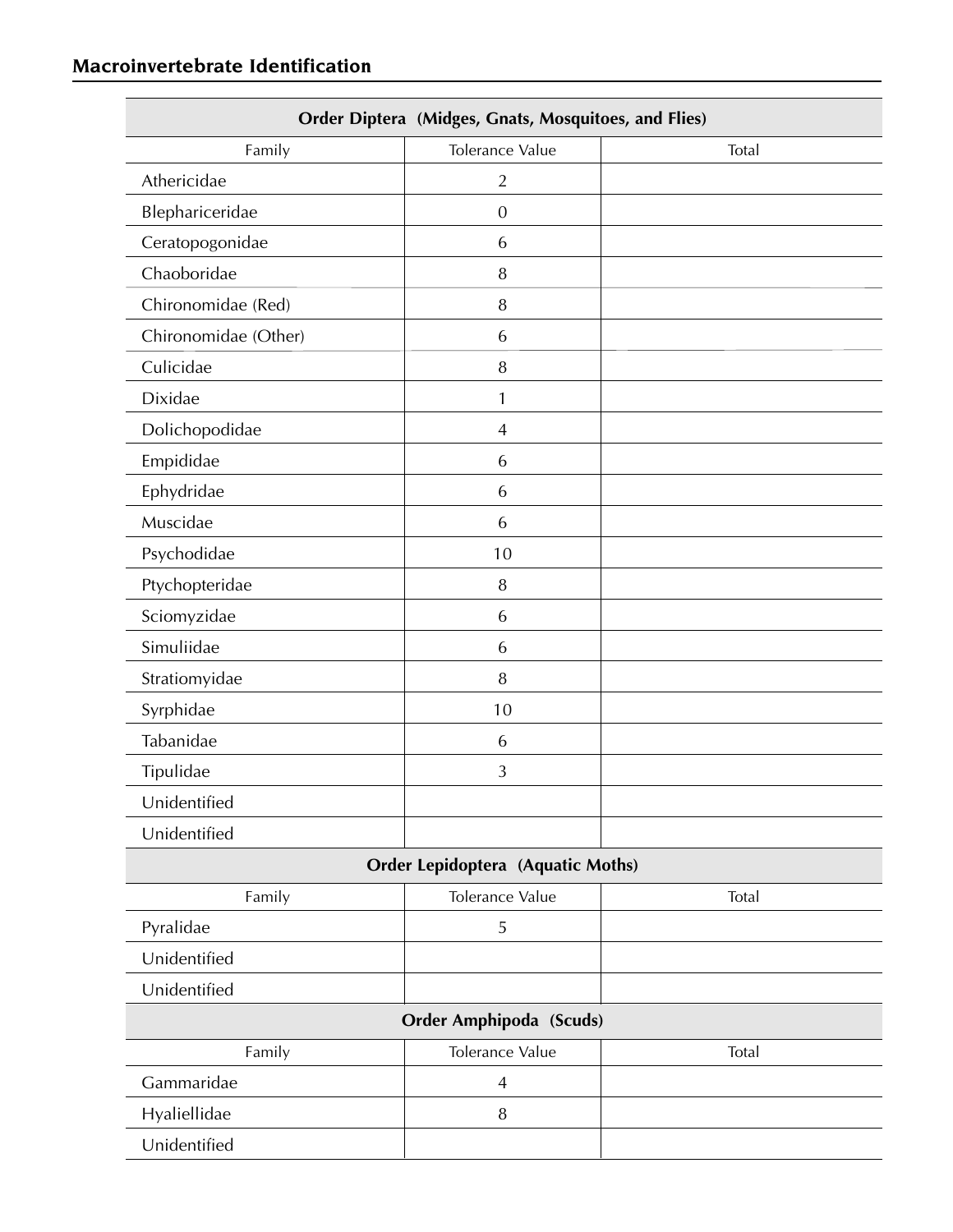| <b>Order Diptera (Midges, Gnats, Mosquitoes, and Flies)</b> |                                          |       |  |  |
|-------------------------------------------------------------|------------------------------------------|-------|--|--|
| Family                                                      | Tolerance Value                          | Total |  |  |
| Athericidae                                                 | $\overline{2}$                           |       |  |  |
| Blephariceridae                                             | $\mathbf{0}$                             |       |  |  |
| Ceratopogonidae                                             | 6                                        |       |  |  |
| Chaoboridae                                                 | 8                                        |       |  |  |
| Chironomidae (Red)                                          | 8                                        |       |  |  |
| Chironomidae (Other)                                        | 6                                        |       |  |  |
| Culicidae                                                   | 8                                        |       |  |  |
| Dixidae                                                     | 1                                        |       |  |  |
| Dolichopodidae                                              | $\overline{4}$                           |       |  |  |
| Empididae                                                   | 6                                        |       |  |  |
| Ephydridae                                                  | 6                                        |       |  |  |
| Muscidae                                                    | 6                                        |       |  |  |
| Psychodidae                                                 | 10                                       |       |  |  |
| Ptychopteridae                                              | 8                                        |       |  |  |
| Sciomyzidae                                                 | 6                                        |       |  |  |
| Simuliidae                                                  | 6                                        |       |  |  |
| Stratiomyidae                                               | $\, 8$                                   |       |  |  |
| Syrphidae                                                   | 10                                       |       |  |  |
| Tabanidae                                                   | 6                                        |       |  |  |
| Tipulidae                                                   | 3                                        |       |  |  |
| Unidentified                                                |                                          |       |  |  |
| Unidentified                                                |                                          |       |  |  |
|                                                             | <b>Order Lepidoptera (Aquatic Moths)</b> |       |  |  |
| Family                                                      | Tolerance Value                          | Total |  |  |
| Pyralidae                                                   | 5                                        |       |  |  |
| Unidentified                                                |                                          |       |  |  |
| Unidentified                                                |                                          |       |  |  |
| <b>Order Amphipoda (Scuds)</b>                              |                                          |       |  |  |
| Family                                                      | Tolerance Value                          | Total |  |  |
| Gammaridae                                                  | $\overline{4}$                           |       |  |  |
| Hyaliellidae                                                | 8                                        |       |  |  |
| Unidentified                                                |                                          |       |  |  |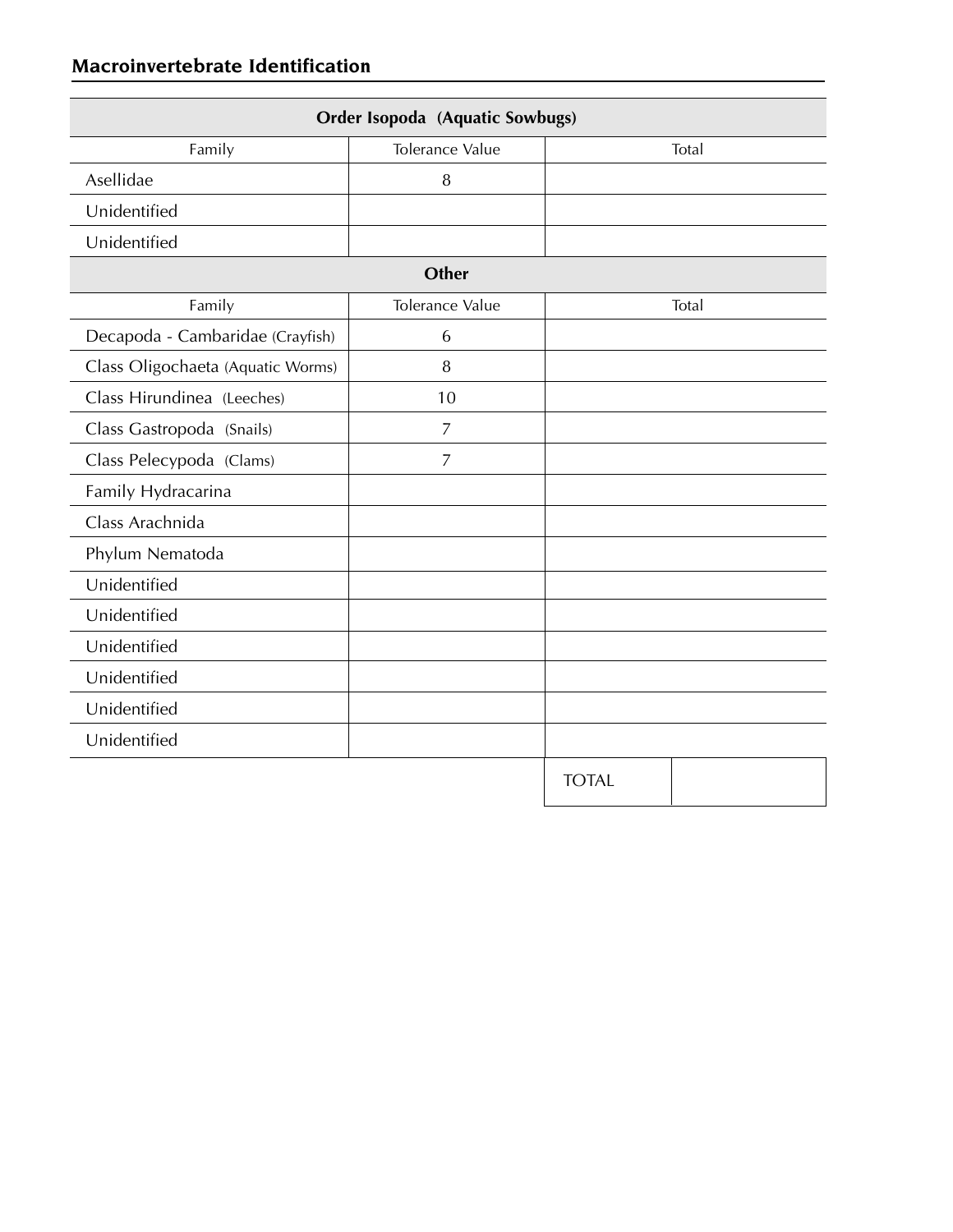| Order Isopoda (Aquatic Sowbugs)   |                 |              |  |  |  |
|-----------------------------------|-----------------|--------------|--|--|--|
| Family                            | Tolerance Value | Total        |  |  |  |
| Asellidae                         | 8               |              |  |  |  |
| Unidentified                      |                 |              |  |  |  |
| Unidentified                      |                 |              |  |  |  |
| Other                             |                 |              |  |  |  |
| Family                            | Tolerance Value | Total        |  |  |  |
| Decapoda - Cambaridae (Crayfish)  | 6               |              |  |  |  |
| Class Oligochaeta (Aquatic Worms) | 8               |              |  |  |  |
| Class Hirundinea (Leeches)        | 10              |              |  |  |  |
| Class Gastropoda (Snails)         | $\overline{7}$  |              |  |  |  |
| Class Pelecypoda (Clams)          | $\overline{7}$  |              |  |  |  |
| Family Hydracarina                |                 |              |  |  |  |
| Class Arachnida                   |                 |              |  |  |  |
| Phylum Nematoda                   |                 |              |  |  |  |
| Unidentified                      |                 |              |  |  |  |
| Unidentified                      |                 |              |  |  |  |
| Unidentified                      |                 |              |  |  |  |
| Unidentified                      |                 |              |  |  |  |
| Unidentified                      |                 |              |  |  |  |
| Unidentified                      |                 |              |  |  |  |
|                                   |                 | <b>TOTAL</b> |  |  |  |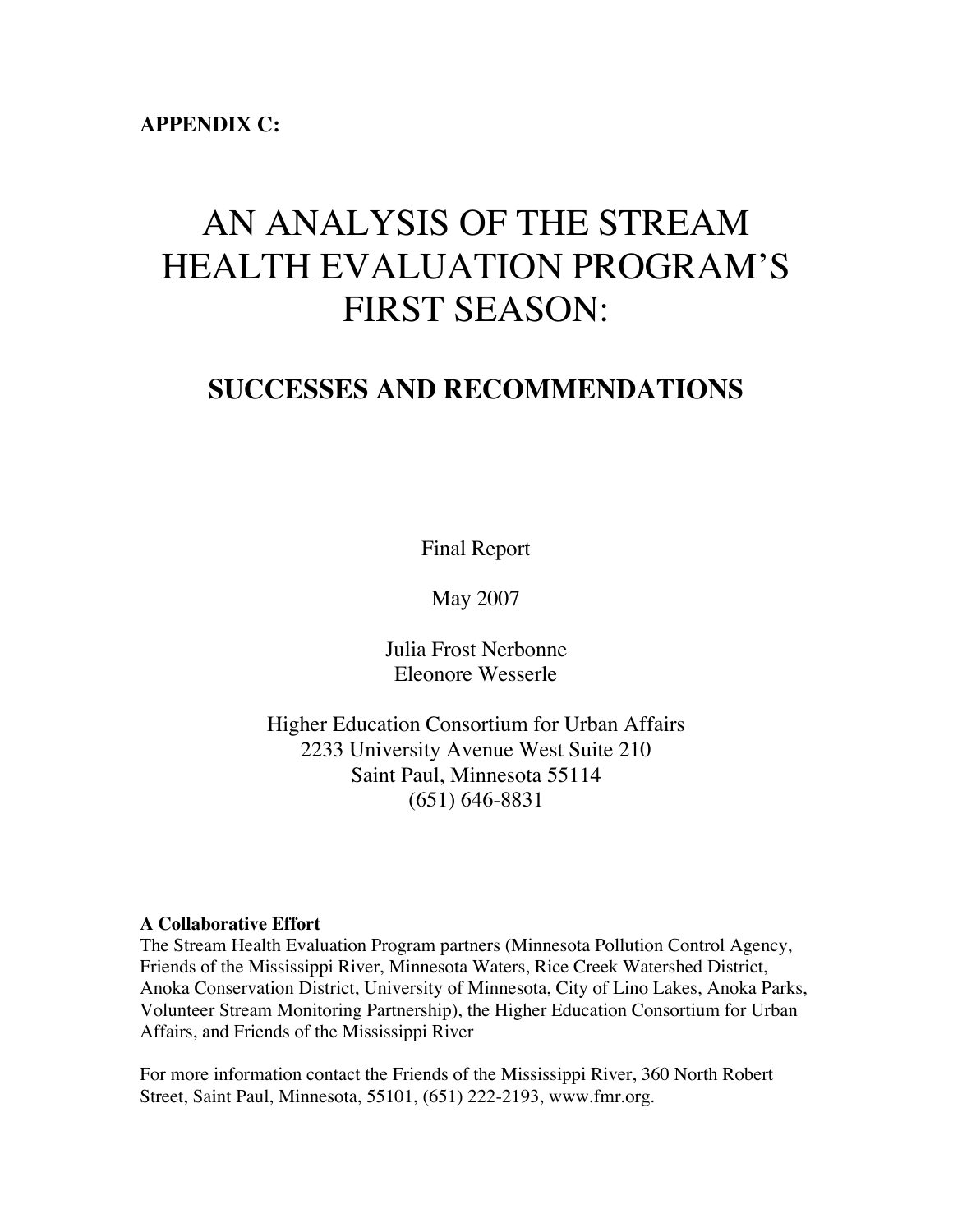**APPENDIX C:**

# AN ANALYSIS OF THE STREAM HEALTH EVALUATION PROGRAM'S FIRST SEASON:

## **SUCCESSES AND RECOMMENDATIONS**

Final Report

May 2007

Julia Frost Nerbonne Eleonore Wesserle

Higher Education Consortium for Urban Affairs 2233 University Avenue West Suite 210 Saint Paul, Minnesota 55114 (651) 646-8831

#### **A Collaborative Effort**

The Stream Health Evaluation Program partners (Minnesota Pollution Control Agency, Friends of the Mississippi River, Minnesota Waters, Rice Creek Watershed District, Anoka Conservation District, University of Minnesota, City of Lino Lakes, Anoka Parks, Volunteer Stream Monitoring Partnership), the Higher Education Consortium for Urban Affairs, and Friends of the Mississippi River

For more information contact the Friends of the Mississippi River, 360 North Robert Street, Saint Paul, Minnesota, 55101, (651) 222-2193, www.fmr.org.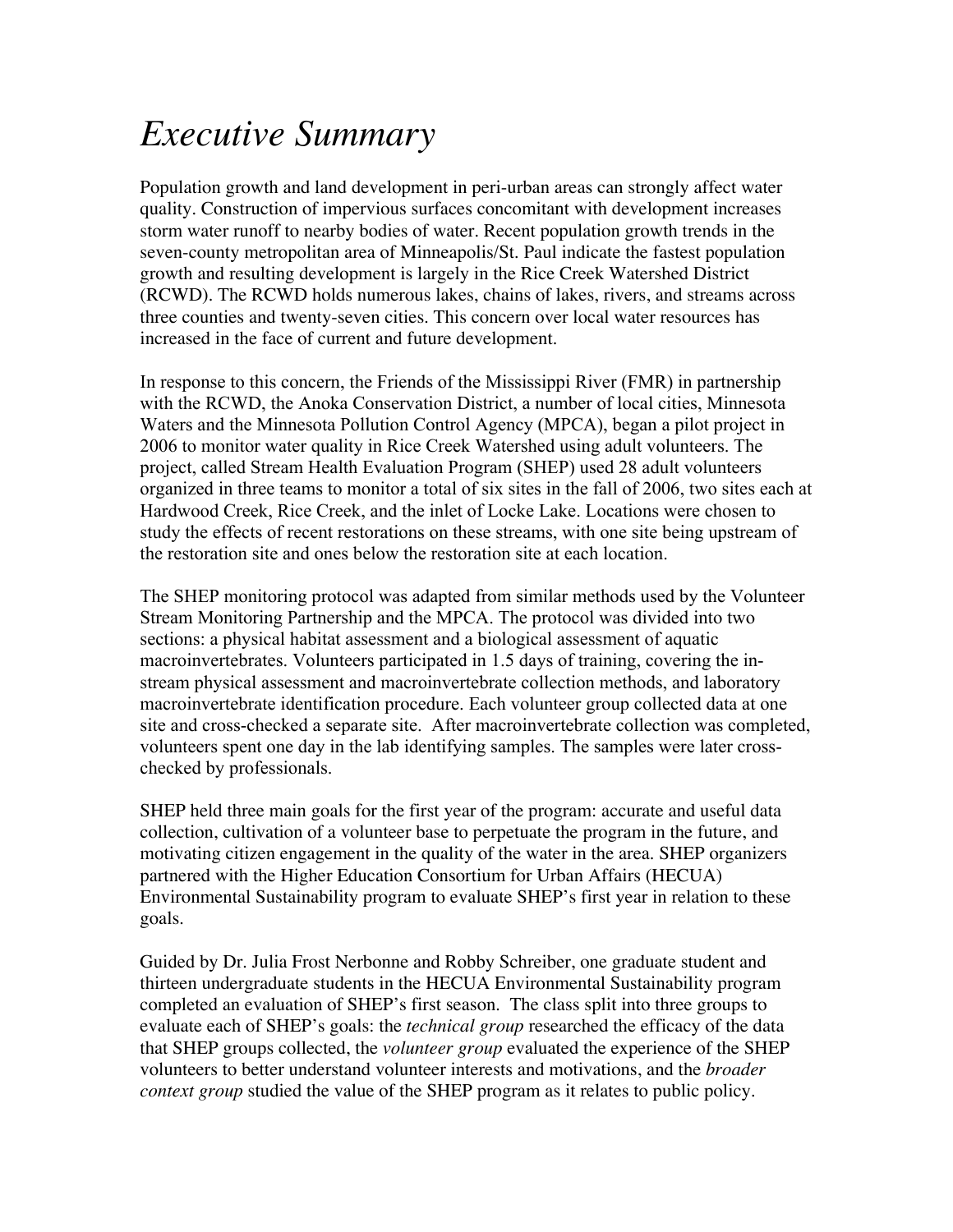# *Executive Summary*

Population growth and land development in peri-urban areas can strongly affect water quality. Construction of impervious surfaces concomitant with development increases storm water runoff to nearby bodies of water. Recent population growth trends in the seven-county metropolitan area of Minneapolis/St. Paul indicate the fastest population growth and resulting development is largely in the Rice Creek Watershed District (RCWD). The RCWD holds numerous lakes, chains of lakes, rivers, and streams across three counties and twenty-seven cities. This concern over local water resources has increased in the face of current and future development.

In response to this concern, the Friends of the Mississippi River (FMR) in partnership with the RCWD, the Anoka Conservation District, a number of local cities, Minnesota Waters and the Minnesota Pollution Control Agency (MPCA), began a pilot project in 2006 to monitor water quality in Rice Creek Watershed using adult volunteers. The project, called Stream Health Evaluation Program (SHEP) used 28 adult volunteers organized in three teams to monitor a total of six sites in the fall of 2006, two sites each at Hardwood Creek, Rice Creek, and the inlet of Locke Lake. Locations were chosen to study the effects of recent restorations on these streams, with one site being upstream of the restoration site and ones below the restoration site at each location.

The SHEP monitoring protocol was adapted from similar methods used by the Volunteer Stream Monitoring Partnership and the MPCA. The protocol was divided into two sections: a physical habitat assessment and a biological assessment of aquatic macroinvertebrates. Volunteers participated in 1.5 days of training, covering the instream physical assessment and macroinvertebrate collection methods, and laboratory macroinvertebrate identification procedure. Each volunteer group collected data at one site and cross-checked a separate site. After macroinvertebrate collection was completed, volunteers spent one day in the lab identifying samples. The samples were later crosschecked by professionals.

SHEP held three main goals for the first year of the program: accurate and useful data collection, cultivation of a volunteer base to perpetuate the program in the future, and motivating citizen engagement in the quality of the water in the area. SHEP organizers partnered with the Higher Education Consortium for Urban Affairs (HECUA) Environmental Sustainability program to evaluate SHEP's first year in relation to these goals.

Guided by Dr. Julia Frost Nerbonne and Robby Schreiber, one graduate student and thirteen undergraduate students in the HECUA Environmental Sustainability program completed an evaluation of SHEP's first season. The class split into three groups to evaluate each of SHEP's goals: the *technical group* researched the efficacy of the data that SHEP groups collected, the *volunteer group* evaluated the experience of the SHEP volunteers to better understand volunteer interests and motivations, and the *broader context group* studied the value of the SHEP program as it relates to public policy.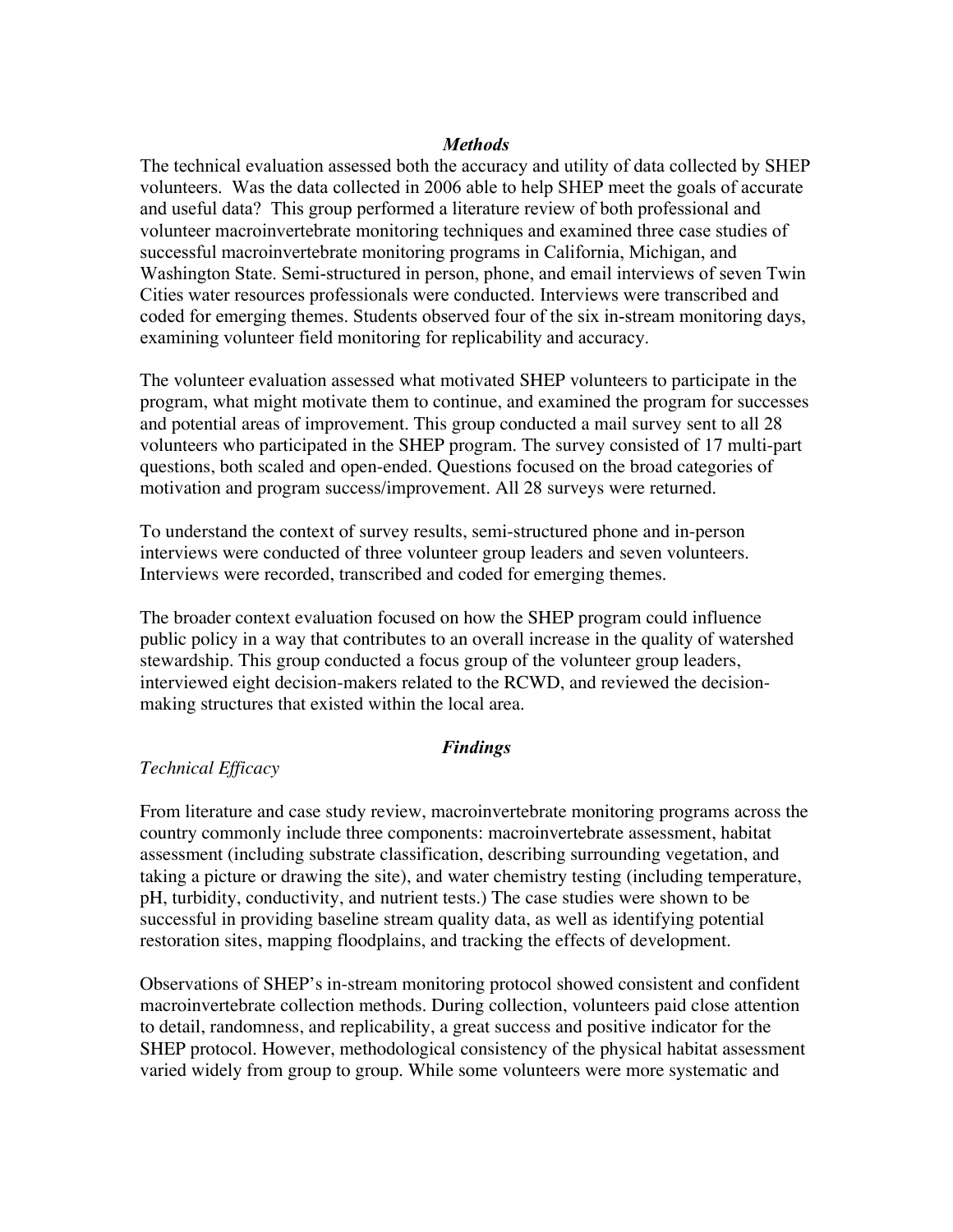#### *Methods*

The technical evaluation assessed both the accuracy and utility of data collected by SHEP volunteers. Was the data collected in 2006 able to help SHEP meet the goals of accurate and useful data? This group performed a literature review of both professional and volunteer macroinvertebrate monitoring techniques and examined three case studies of successful macroinvertebrate monitoring programs in California, Michigan, and Washington State. Semi-structured in person, phone, and email interviews of seven Twin Cities water resources professionals were conducted. Interviews were transcribed and coded for emerging themes. Students observed four of the six in-stream monitoring days, examining volunteer field monitoring for replicability and accuracy.

The volunteer evaluation assessed what motivated SHEP volunteers to participate in the program, what might motivate them to continue, and examined the program for successes and potential areas of improvement. This group conducted a mail survey sent to all 28 volunteers who participated in the SHEP program. The survey consisted of 17 multi-part questions, both scaled and open-ended. Questions focused on the broad categories of motivation and program success/improvement. All 28 surveys were returned.

To understand the context of survey results, semi-structured phone and in-person interviews were conducted of three volunteer group leaders and seven volunteers. Interviews were recorded, transcribed and coded for emerging themes.

The broader context evaluation focused on how the SHEP program could influence public policy in a way that contributes to an overall increase in the quality of watershed stewardship. This group conducted a focus group of the volunteer group leaders, interviewed eight decision-makers related to the RCWD, and reviewed the decisionmaking structures that existed within the local area.

#### *Findings*

#### *Technical Efficacy*

From literature and case study review, macroinvertebrate monitoring programs across the country commonly include three components: macroinvertebrate assessment, habitat assessment (including substrate classification, describing surrounding vegetation, and taking a picture or drawing the site), and water chemistry testing (including temperature, pH, turbidity, conductivity, and nutrient tests.) The case studies were shown to be successful in providing baseline stream quality data, as well as identifying potential restoration sites, mapping floodplains, and tracking the effects of development.

Observations of SHEP's in-stream monitoring protocol showed consistent and confident macroinvertebrate collection methods. During collection, volunteers paid close attention to detail, randomness, and replicability, a great success and positive indicator for the SHEP protocol. However, methodological consistency of the physical habitat assessment varied widely from group to group. While some volunteers were more systematic and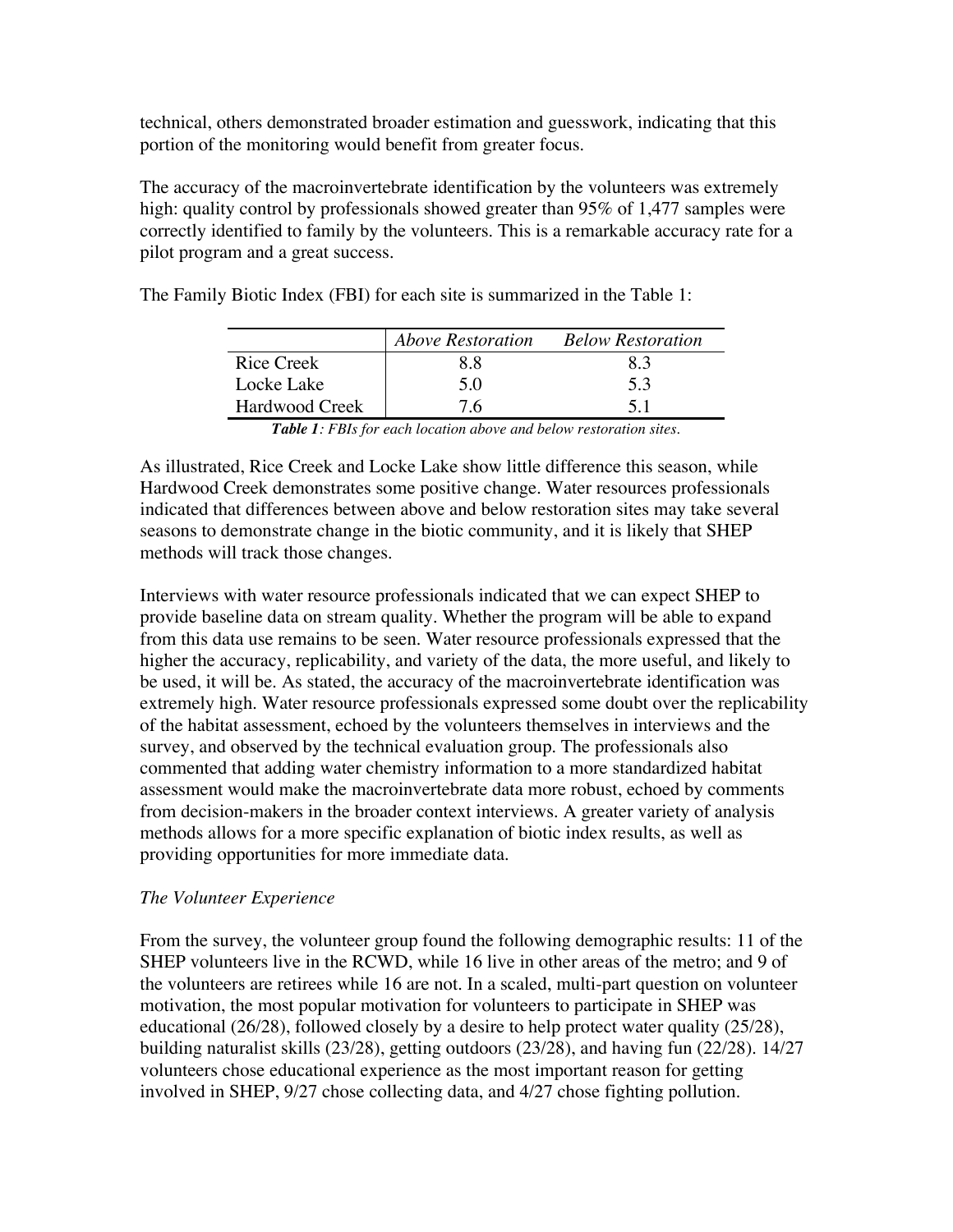technical, others demonstrated broader estimation and guesswork, indicating that this portion of the monitoring would benefit from greater focus.

The accuracy of the macroinvertebrate identification by the volunteers was extremely high: quality control by professionals showed greater than 95% of 1,477 samples were correctly identified to family by the volunteers. This is a remarkable accuracy rate for a pilot program and a great success.

|                | <b>Above Restoration</b> | <b>Below Restoration</b> |
|----------------|--------------------------|--------------------------|
| Rice Creek     | 88                       | 83                       |
| Locke Lake     | 5 O                      | 5.3                      |
| Hardwood Creek | 76                       | 51                       |

The Family Biotic Index (FBI) for each site is summarized in the Table 1:

*Table 1: FBIs for each location above and below restoration sites.*

As illustrated, Rice Creek and Locke Lake show little difference this season, while Hardwood Creek demonstrates some positive change. Water resources professionals indicated that differences between above and below restoration sites may take several seasons to demonstrate change in the biotic community, and it is likely that SHEP methods will track those changes.

Interviews with water resource professionals indicated that we can expect SHEP to provide baseline data on stream quality. Whether the program will be able to expand from this data use remains to be seen. Water resource professionals expressed that the higher the accuracy, replicability, and variety of the data, the more useful, and likely to be used, it will be. As stated, the accuracy of the macroinvertebrate identification was extremely high. Water resource professionals expressed some doubt over the replicability of the habitat assessment, echoed by the volunteers themselves in interviews and the survey, and observed by the technical evaluation group. The professionals also commented that adding water chemistry information to a more standardized habitat assessment would make the macroinvertebrate data more robust, echoed by comments from decision-makers in the broader context interviews. A greater variety of analysis methods allows for a more specific explanation of biotic index results, as well as providing opportunities for more immediate data.

#### *The Volunteer Experience*

From the survey, the volunteer group found the following demographic results: 11 of the SHEP volunteers live in the RCWD, while 16 live in other areas of the metro; and 9 of the volunteers are retirees while 16 are not. In a scaled, multi-part question on volunteer motivation, the most popular motivation for volunteers to participate in SHEP was educational (26/28), followed closely by a desire to help protect water quality (25/28), building naturalist skills (23/28), getting outdoors (23/28), and having fun (22/28). 14/27 volunteers chose educational experience as the most important reason for getting involved in SHEP, 9/27 chose collecting data, and 4/27 chose fighting pollution.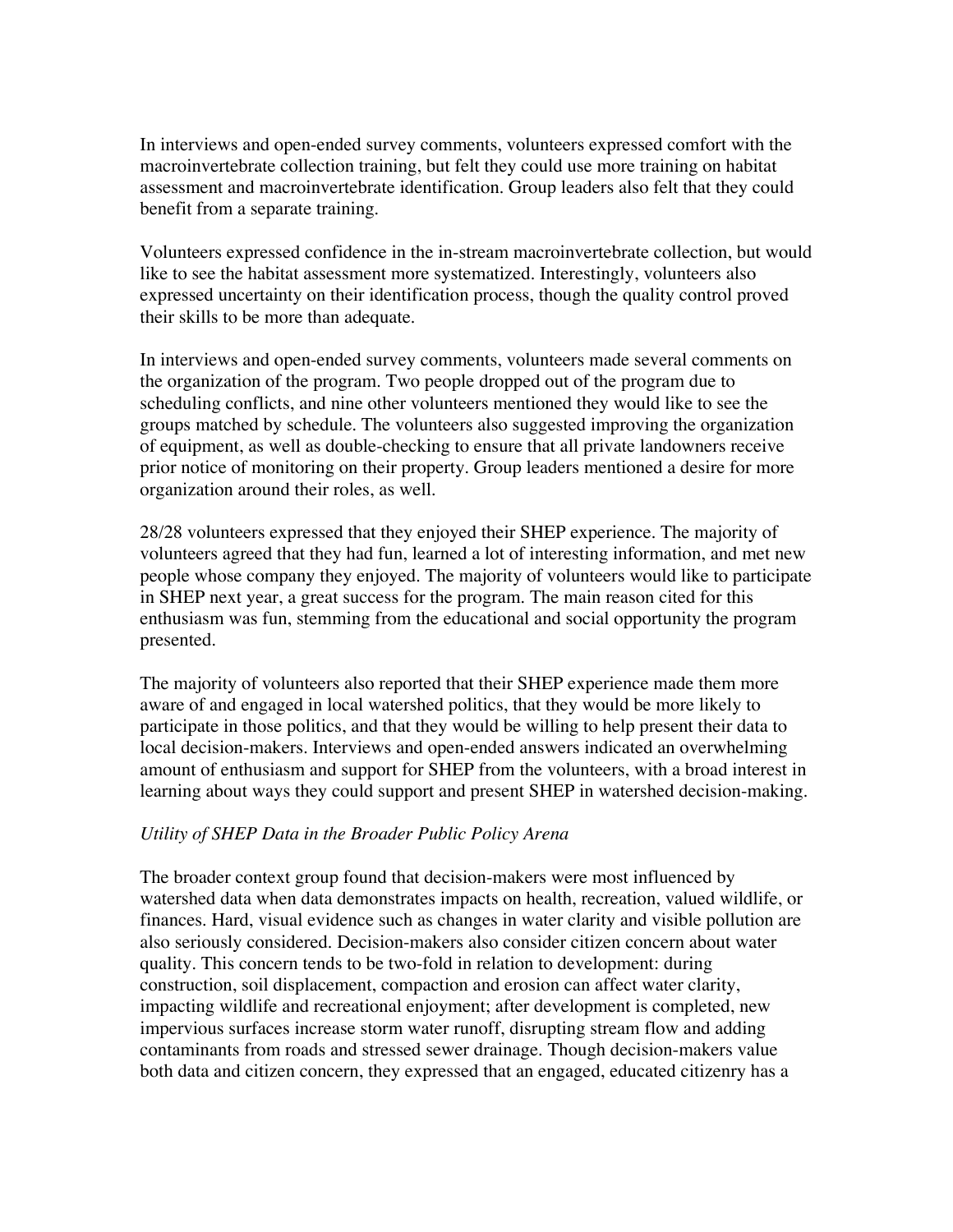In interviews and open-ended survey comments, volunteers expressed comfort with the macroinvertebrate collection training, but felt they could use more training on habitat assessment and macroinvertebrate identification. Group leaders also felt that they could benefit from a separate training.

Volunteers expressed confidence in the in-stream macroinvertebrate collection, but would like to see the habitat assessment more systematized. Interestingly, volunteers also expressed uncertainty on their identification process, though the quality control proved their skills to be more than adequate.

In interviews and open-ended survey comments, volunteers made several comments on the organization of the program. Two people dropped out of the program due to scheduling conflicts, and nine other volunteers mentioned they would like to see the groups matched by schedule. The volunteers also suggested improving the organization of equipment, as well as double-checking to ensure that all private landowners receive prior notice of monitoring on their property. Group leaders mentioned a desire for more organization around their roles, as well.

28/28 volunteers expressed that they enjoyed their SHEP experience. The majority of volunteers agreed that they had fun, learned a lot of interesting information, and met new people whose company they enjoyed. The majority of volunteers would like to participate in SHEP next year, a great success for the program. The main reason cited for this enthusiasm was fun, stemming from the educational and social opportunity the program presented.

The majority of volunteers also reported that their SHEP experience made them more aware of and engaged in local watershed politics, that they would be more likely to participate in those politics, and that they would be willing to help present their data to local decision-makers. Interviews and open-ended answers indicated an overwhelming amount of enthusiasm and support for SHEP from the volunteers, with a broad interest in learning about ways they could support and present SHEP in watershed decision-making.

#### *Utility of SHEP Data in the Broader Public Policy Arena*

The broader context group found that decision-makers were most influenced by watershed data when data demonstrates impacts on health, recreation, valued wildlife, or finances. Hard, visual evidence such as changes in water clarity and visible pollution are also seriously considered. Decision-makers also consider citizen concern about water quality. This concern tends to be two-fold in relation to development: during construction, soil displacement, compaction and erosion can affect water clarity, impacting wildlife and recreational enjoyment; after development is completed, new impervious surfaces increase storm water runoff, disrupting stream flow and adding contaminants from roads and stressed sewer drainage. Though decision-makers value both data and citizen concern, they expressed that an engaged, educated citizenry has a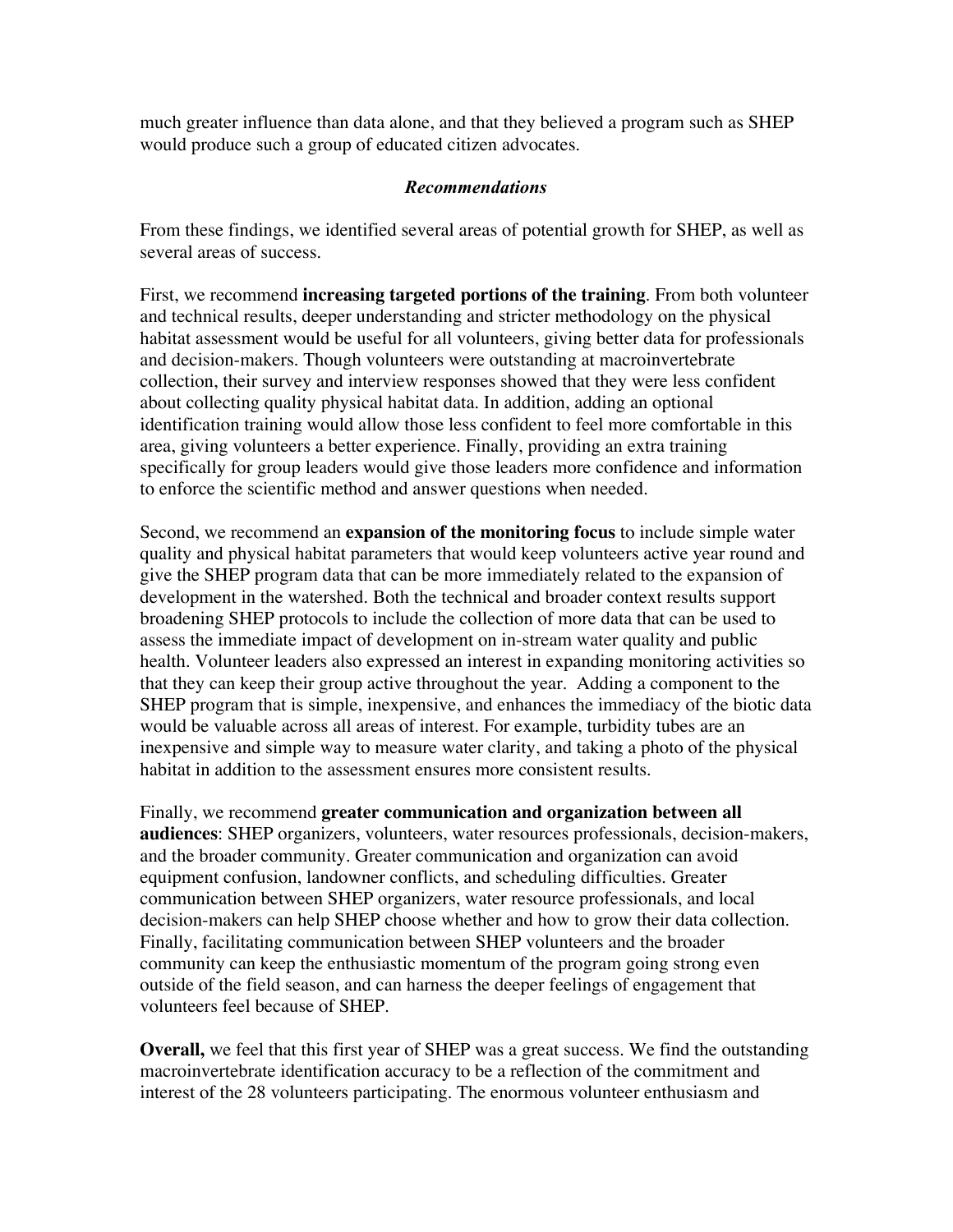much greater influence than data alone, and that they believed a program such as SHEP would produce such a group of educated citizen advocates.

#### *Recommendations*

From these findings, we identified several areas of potential growth for SHEP, as well as several areas of success.

First, we recommend **increasing targeted portions of the training**. From both volunteer and technical results, deeper understanding and stricter methodology on the physical habitat assessment would be useful for all volunteers, giving better data for professionals and decision-makers. Though volunteers were outstanding at macroinvertebrate collection, their survey and interview responses showed that they were less confident about collecting quality physical habitat data. In addition, adding an optional identification training would allow those less confident to feel more comfortable in this area, giving volunteers a better experience. Finally, providing an extra training specifically for group leaders would give those leaders more confidence and information to enforce the scientific method and answer questions when needed.

Second, we recommend an **expansion of the monitoring focus** to include simple water quality and physical habitat parameters that would keep volunteers active year round and give the SHEP program data that can be more immediately related to the expansion of development in the watershed. Both the technical and broader context results support broadening SHEP protocols to include the collection of more data that can be used to assess the immediate impact of development on in-stream water quality and public health. Volunteer leaders also expressed an interest in expanding monitoring activities so that they can keep their group active throughout the year. Adding a component to the SHEP program that is simple, inexpensive, and enhances the immediacy of the biotic data would be valuable across all areas of interest. For example, turbidity tubes are an inexpensive and simple way to measure water clarity, and taking a photo of the physical habitat in addition to the assessment ensures more consistent results.

Finally, we recommend **greater communication and organization between all audiences**: SHEP organizers, volunteers, water resources professionals, decision-makers, and the broader community. Greater communication and organization can avoid equipment confusion, landowner conflicts, and scheduling difficulties. Greater communication between SHEP organizers, water resource professionals, and local decision-makers can help SHEP choose whether and how to grow their data collection. Finally, facilitating communication between SHEP volunteers and the broader community can keep the enthusiastic momentum of the program going strong even outside of the field season, and can harness the deeper feelings of engagement that volunteers feel because of SHEP.

**Overall,** we feel that this first year of SHEP was a great success. We find the outstanding macroinvertebrate identification accuracy to be a reflection of the commitment and interest of the 28 volunteers participating. The enormous volunteer enthusiasm and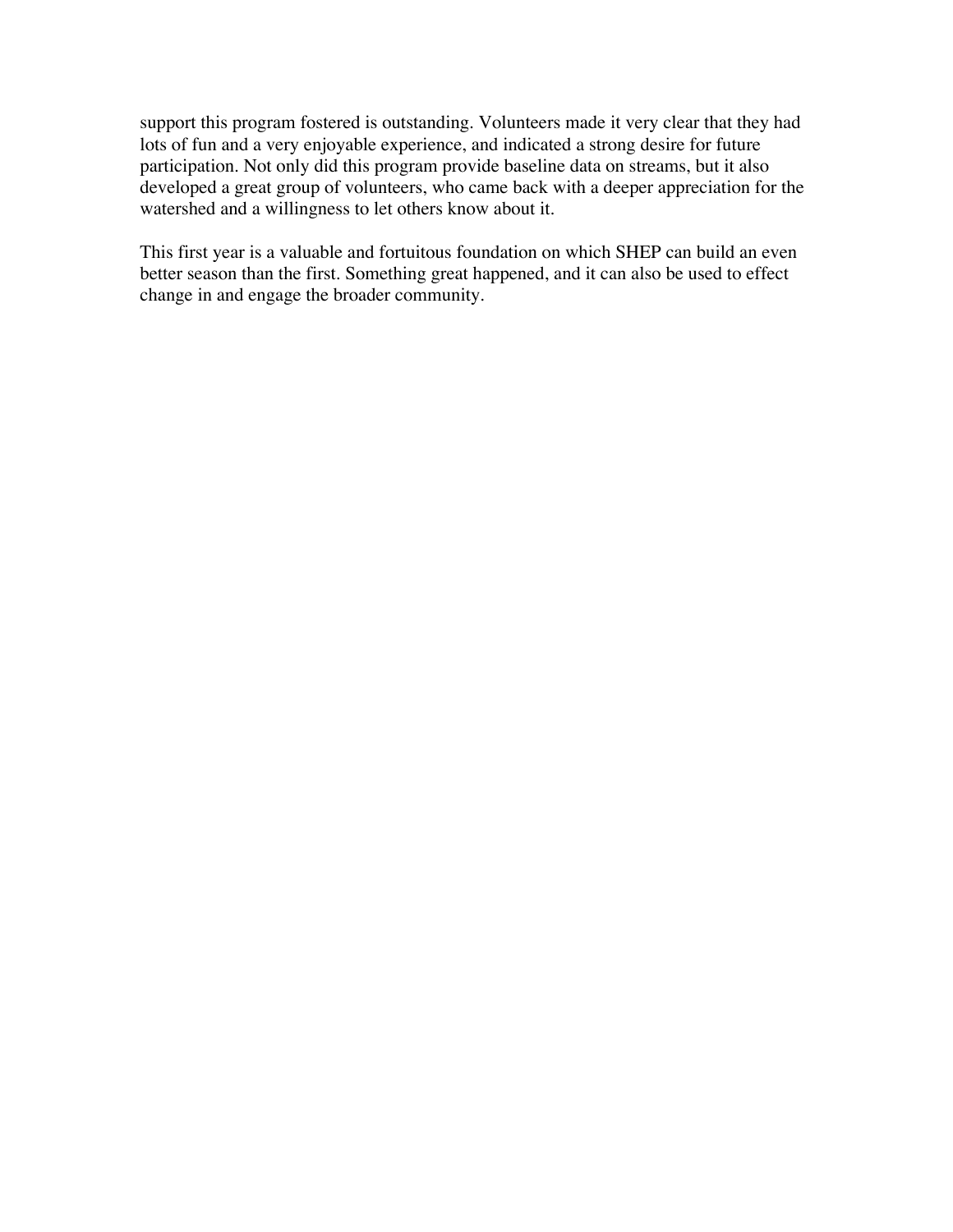support this program fostered is outstanding. Volunteers made it very clear that they had lots of fun and a very enjoyable experience, and indicated a strong desire for future participation. Not only did this program provide baseline data on streams, but it also developed a great group of volunteers, who came back with a deeper appreciation for the watershed and a willingness to let others know about it.

This first year is a valuable and fortuitous foundation on which SHEP can build an even better season than the first. Something great happened, and it can also be used to effect change in and engage the broader community.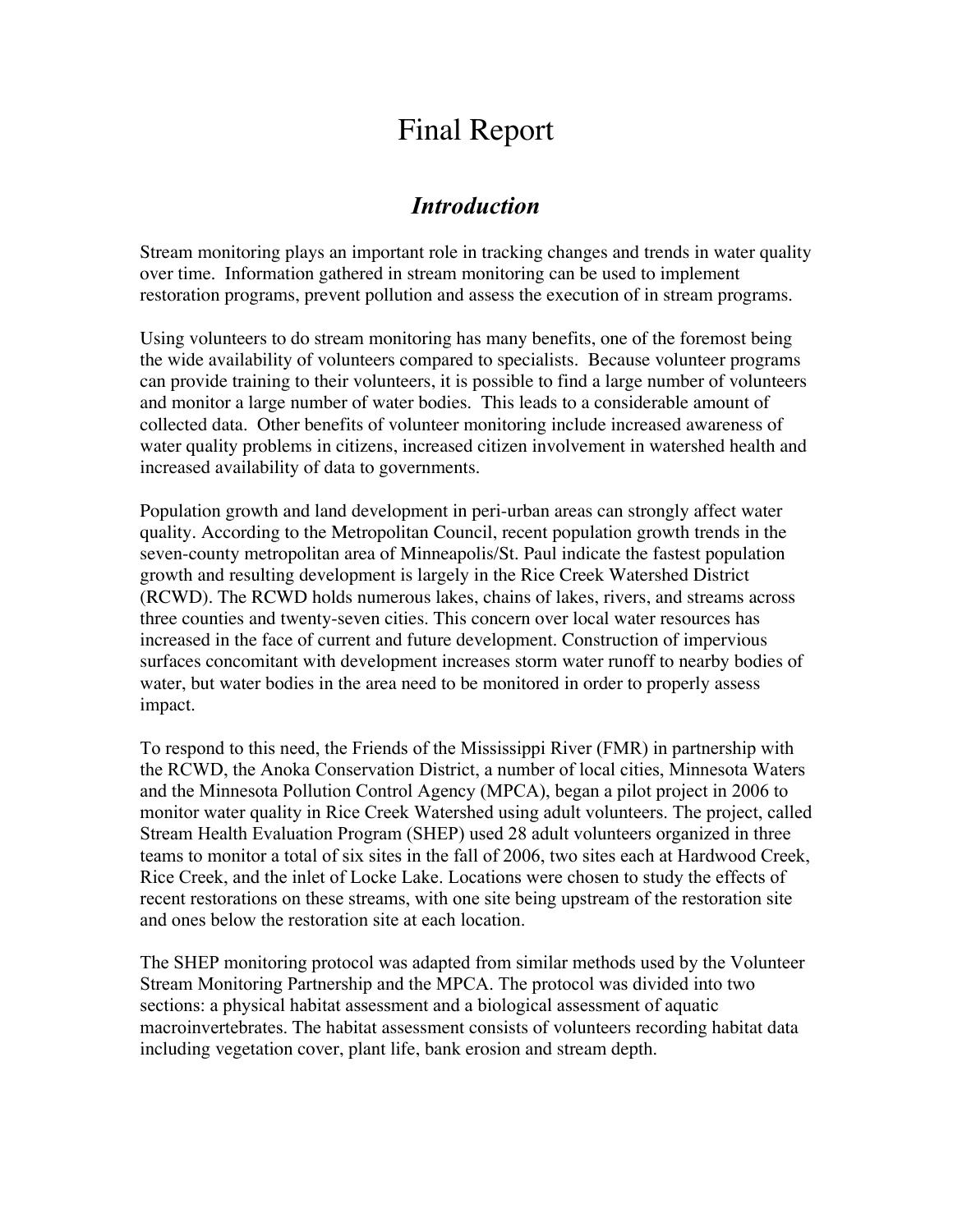## Final Report

## *Introduction*

Stream monitoring plays an important role in tracking changes and trends in water quality over time. Information gathered in stream monitoring can be used to implement restoration programs, prevent pollution and assess the execution of in stream programs.

Using volunteers to do stream monitoring has many benefits, one of the foremost being the wide availability of volunteers compared to specialists. Because volunteer programs can provide training to their volunteers, it is possible to find a large number of volunteers and monitor a large number of water bodies. This leads to a considerable amount of collected data. Other benefits of volunteer monitoring include increased awareness of water quality problems in citizens, increased citizen involvement in watershed health and increased availability of data to governments.

Population growth and land development in peri-urban areas can strongly affect water quality. According to the Metropolitan Council, recent population growth trends in the seven-county metropolitan area of Minneapolis/St. Paul indicate the fastest population growth and resulting development is largely in the Rice Creek Watershed District (RCWD). The RCWD holds numerous lakes, chains of lakes, rivers, and streams across three counties and twenty-seven cities. This concern over local water resources has increased in the face of current and future development. Construction of impervious surfaces concomitant with development increases storm water runoff to nearby bodies of water, but water bodies in the area need to be monitored in order to properly assess impact.

To respond to this need, the Friends of the Mississippi River (FMR) in partnership with the RCWD, the Anoka Conservation District, a number of local cities, Minnesota Waters and the Minnesota Pollution Control Agency (MPCA), began a pilot project in 2006 to monitor water quality in Rice Creek Watershed using adult volunteers. The project, called Stream Health Evaluation Program (SHEP) used 28 adult volunteers organized in three teams to monitor a total of six sites in the fall of 2006, two sites each at Hardwood Creek, Rice Creek, and the inlet of Locke Lake. Locations were chosen to study the effects of recent restorations on these streams, with one site being upstream of the restoration site and ones below the restoration site at each location.

The SHEP monitoring protocol was adapted from similar methods used by the Volunteer Stream Monitoring Partnership and the MPCA. The protocol was divided into two sections: a physical habitat assessment and a biological assessment of aquatic macroinvertebrates. The habitat assessment consists of volunteers recording habitat data including vegetation cover, plant life, bank erosion and stream depth.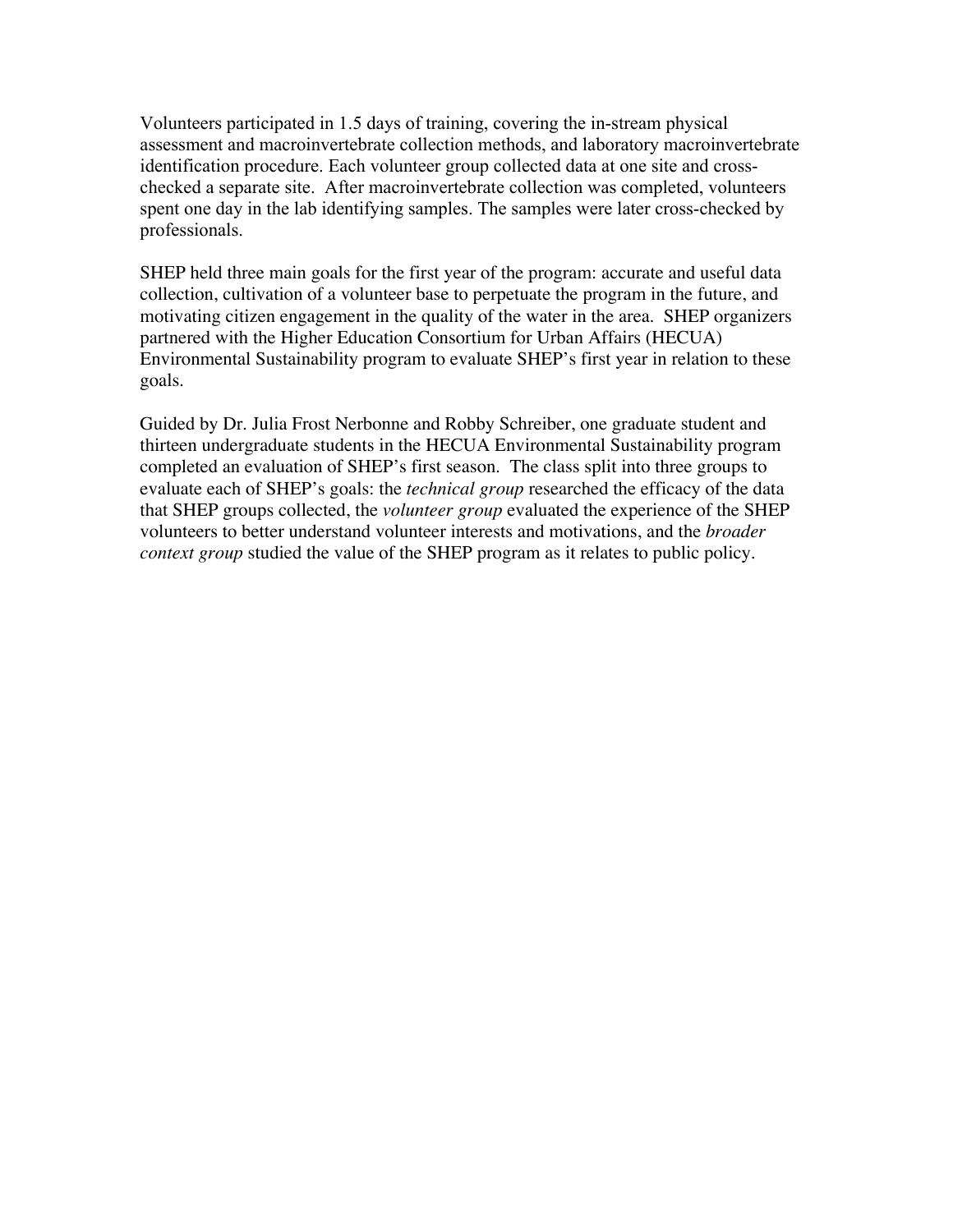Volunteers participated in 1.5 days of training, covering the in-stream physical assessment and macroinvertebrate collection methods, and laboratory macroinvertebrate identification procedure. Each volunteer group collected data at one site and crosschecked a separate site. After macroinvertebrate collection was completed, volunteers spent one day in the lab identifying samples. The samples were later cross-checked by professionals.

SHEP held three main goals for the first year of the program: accurate and useful data collection, cultivation of a volunteer base to perpetuate the program in the future, and motivating citizen engagement in the quality of the water in the area. SHEP organizers partnered with the Higher Education Consortium for Urban Affairs (HECUA) Environmental Sustainability program to evaluate SHEP's first year in relation to these goals.

Guided by Dr. Julia Frost Nerbonne and Robby Schreiber, one graduate student and thirteen undergraduate students in the HECUA Environmental Sustainability program completed an evaluation of SHEP's first season. The class split into three groups to evaluate each of SHEP's goals: the *technical group* researched the efficacy of the data that SHEP groups collected, the *volunteer group* evaluated the experience of the SHEP volunteers to better understand volunteer interests and motivations, and the *broader context group* studied the value of the SHEP program as it relates to public policy.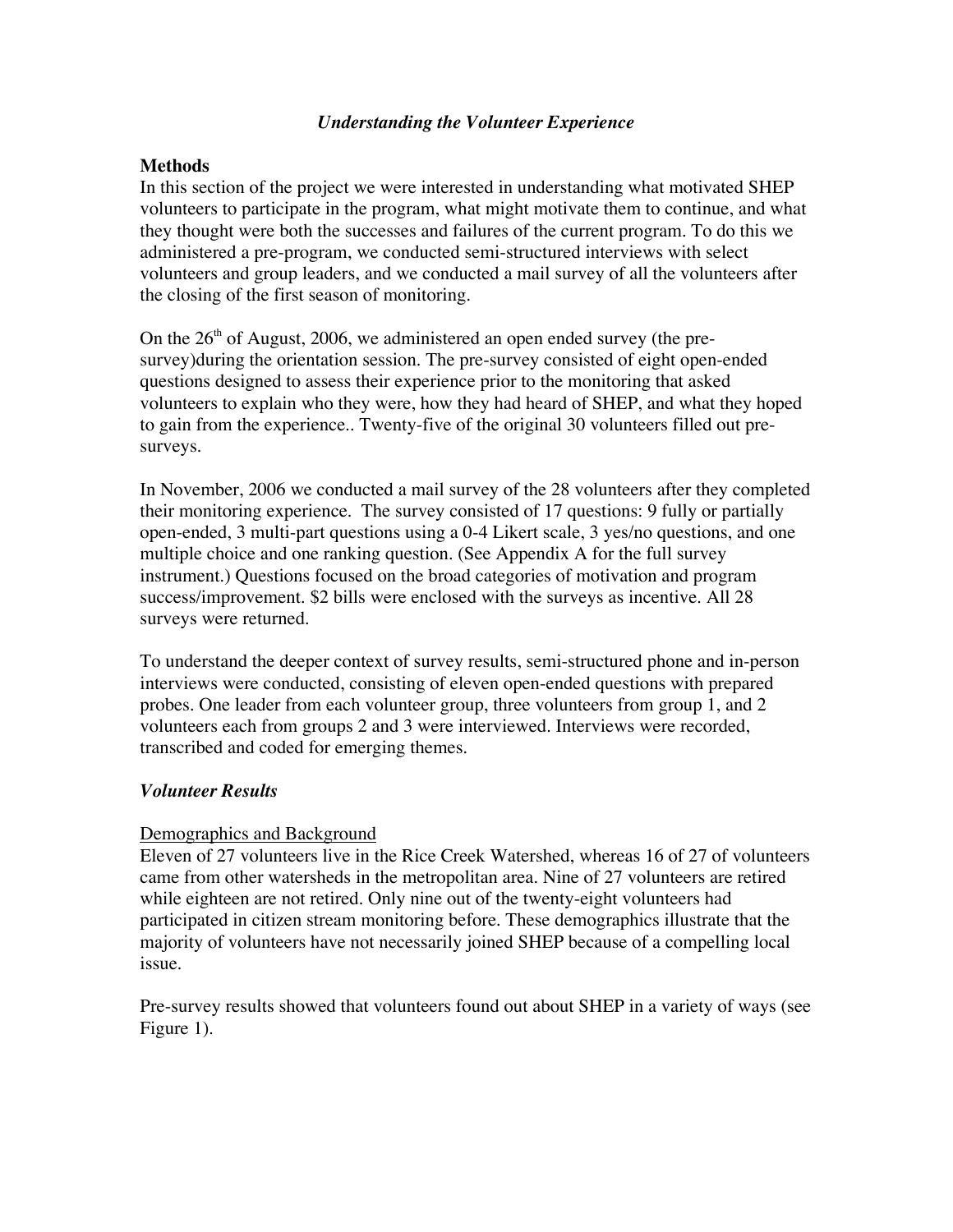#### *Understanding the Volunteer Experience*

#### **Methods**

In this section of the project we were interested in understanding what motivated SHEP volunteers to participate in the program, what might motivate them to continue, and what they thought were both the successes and failures of the current program. To do this we administered a pre-program, we conducted semi-structured interviews with select volunteers and group leaders, and we conducted a mail survey of all the volunteers after the closing of the first season of monitoring.

On the  $26<sup>th</sup>$  of August, 2006, we administered an open ended survey (the presurvey)during the orientation session. The pre-survey consisted of eight open-ended questions designed to assess their experience prior to the monitoring that asked volunteers to explain who they were, how they had heard of SHEP, and what they hoped to gain from the experience.. Twenty-five of the original 30 volunteers filled out presurveys.

In November, 2006 we conducted a mail survey of the 28 volunteers after they completed their monitoring experience. The survey consisted of 17 questions: 9 fully or partially open-ended, 3 multi-part questions using a 0-4 Likert scale, 3 yes/no questions, and one multiple choice and one ranking question. (See Appendix A for the full survey instrument.) Questions focused on the broad categories of motivation and program success/improvement. \$2 bills were enclosed with the surveys as incentive. All 28 surveys were returned.

To understand the deeper context of survey results, semi-structured phone and in-person interviews were conducted, consisting of eleven open-ended questions with prepared probes. One leader from each volunteer group, three volunteers from group 1, and 2 volunteers each from groups 2 and 3 were interviewed. Interviews were recorded, transcribed and coded for emerging themes.

#### *Volunteer Results*

#### Demographics and Background

Eleven of 27 volunteers live in the Rice Creek Watershed, whereas 16 of 27 of volunteers came from other watersheds in the metropolitan area. Nine of 27 volunteers are retired while eighteen are not retired. Only nine out of the twenty-eight volunteers had participated in citizen stream monitoring before. These demographics illustrate that the majority of volunteers have not necessarily joined SHEP because of a compelling local issue.

Pre-survey results showed that volunteers found out about SHEP in a variety of ways (see Figure 1).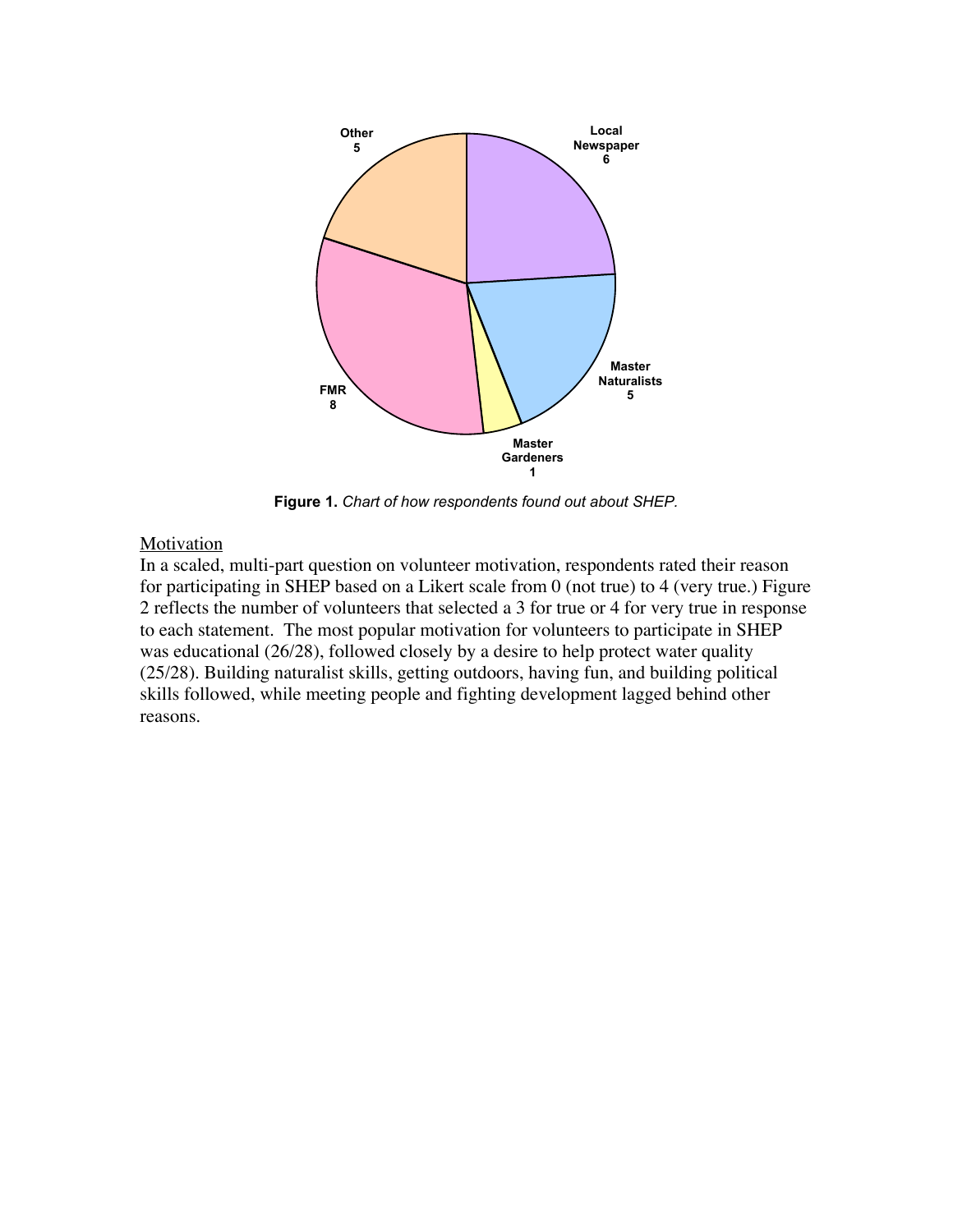

**Figure 1.** *Chart of how respondents found out about SHEP.*

#### Motivation

In a scaled, multi-part question on volunteer motivation, respondents rated their reason for participating in SHEP based on a Likert scale from 0 (not true) to 4 (very true.) Figure 2 reflects the number of volunteers that selected a 3 for true or 4 for very true in response to each statement. The most popular motivation for volunteers to participate in SHEP was educational (26/28), followed closely by a desire to help protect water quality (25/28). Building naturalist skills, getting outdoors, having fun, and building political skills followed, while meeting people and fighting development lagged behind other reasons.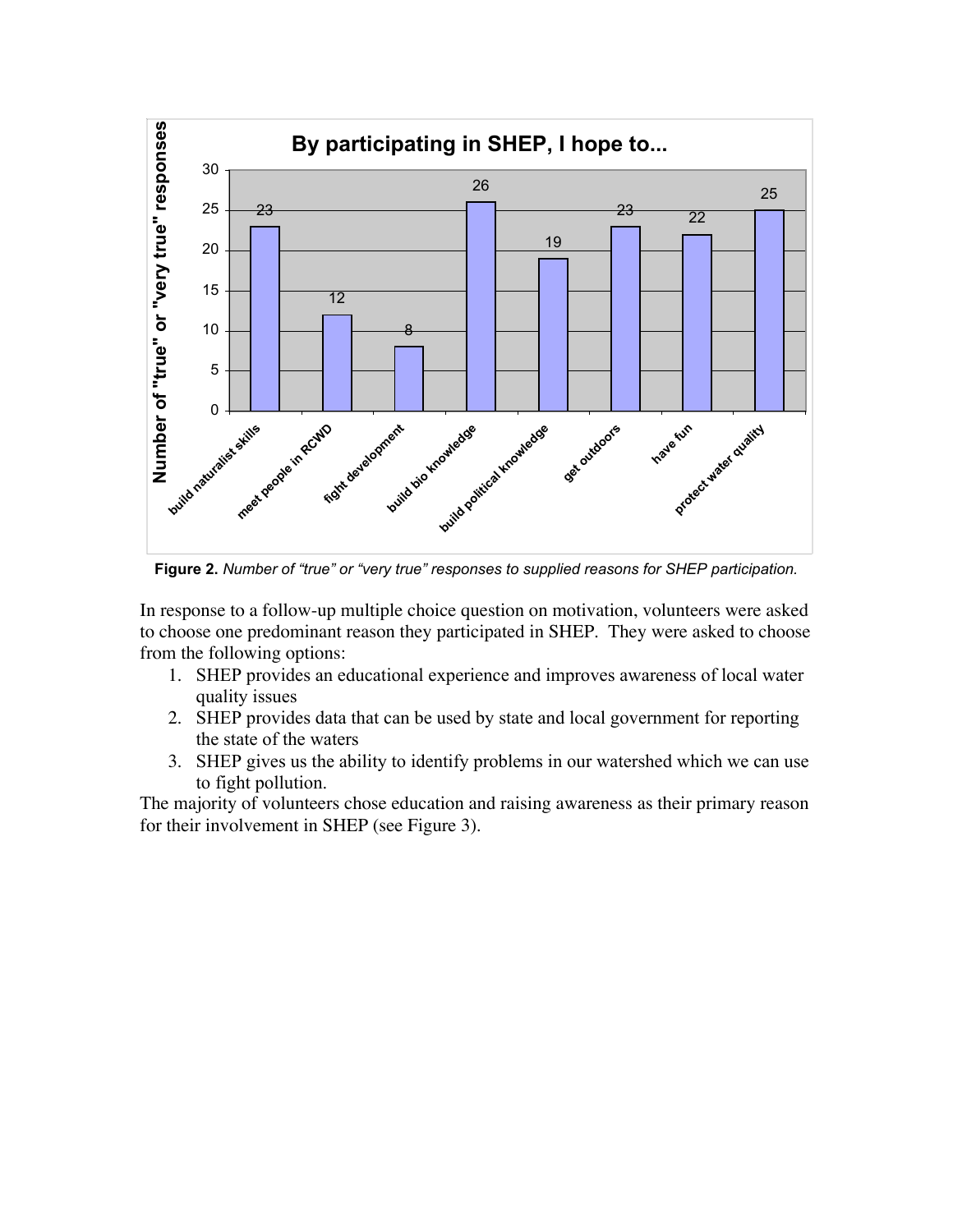

**Figure 2.** *Number of "true" or "very true" responses to supplied reasons for SHEP participation.*

In response to a follow-up multiple choice question on motivation, volunteers were asked to choose one predominant reason they participated in SHEP. They were asked to choose from the following options:

- 1. SHEP provides an educational experience and improves awareness of local water quality issues
- 2. SHEP provides data that can be used by state and local government for reporting the state of the waters
- 3. SHEP gives us the ability to identify problems in our watershed which we can use to fight pollution.

The majority of volunteers chose education and raising awareness as their primary reason for their involvement in SHEP (see Figure 3).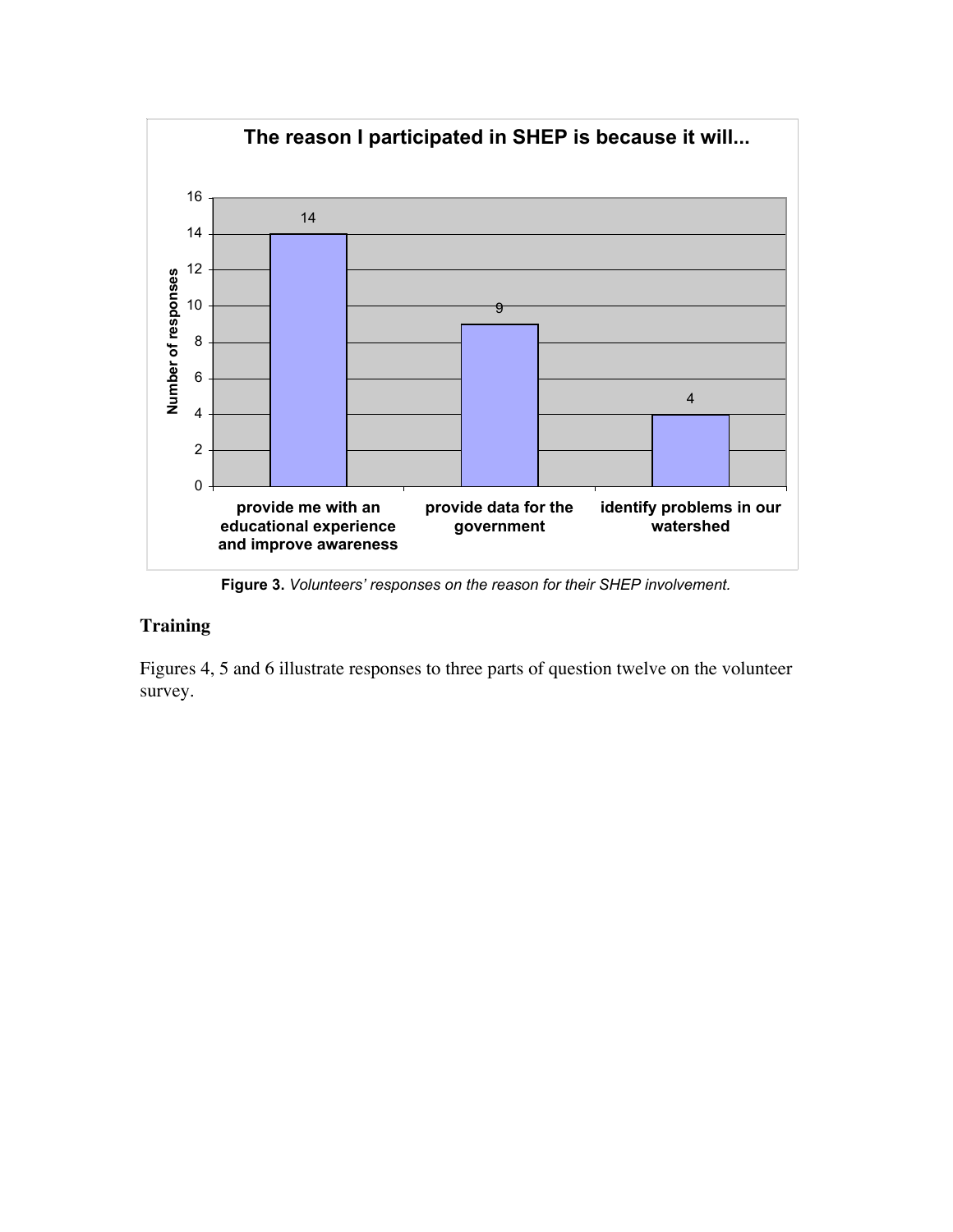

**Figure 3.** *Volunteers' responses on the reason for their SHEP involvement.*

#### **Training**

Figures 4, 5 and 6 illustrate responses to three parts of question twelve on the volunteer survey.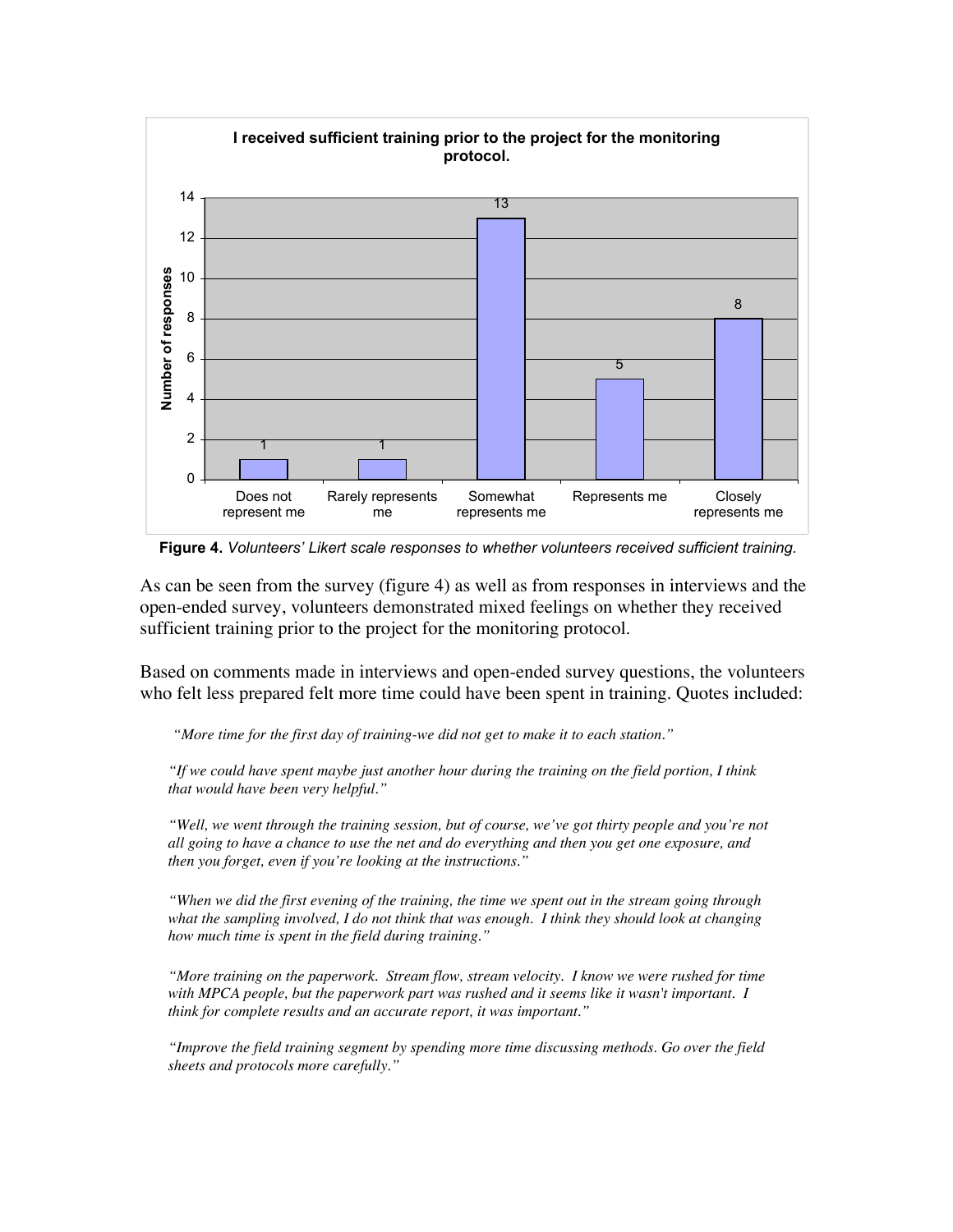

 **Figure 4.** *Volunteers' Likert scale responses to whether volunteers received sufficient training.*

As can be seen from the survey (figure 4) as well as from responses in interviews and the open-ended survey, volunteers demonstrated mixed feelings on whether they received sufficient training prior to the project for the monitoring protocol.

Based on comments made in interviews and open-ended survey questions, the volunteers who felt less prepared felt more time could have been spent in training. Quotes included:

*"More time for the first day of training-we did not get to make it to each station."*

*"If we could have spent maybe just another hour during the training on the field portion, I think that would have been very helpful."*

*"Well, we went through the training session, but of course, we've got thirty people and you're not all going to have a chance to use the net and do everything and then you get one exposure, and then you forget, even if you're looking at the instructions."*

*"When we did the first evening of the training, the time we spent out in the stream going through what the sampling involved, I do not think that was enough. I think they should look at changing how much time is spent in the field during training."*

*"More training on the paperwork. Stream flow, stream velocity. I know we were rushed for time with MPCA people, but the paperwork part was rushed and it seems like it wasn't important. I think for complete results and an accurate report, it was important."*

*"Improve the field training segment by spending more time discussing methods. Go over the field sheets and protocols more carefully."*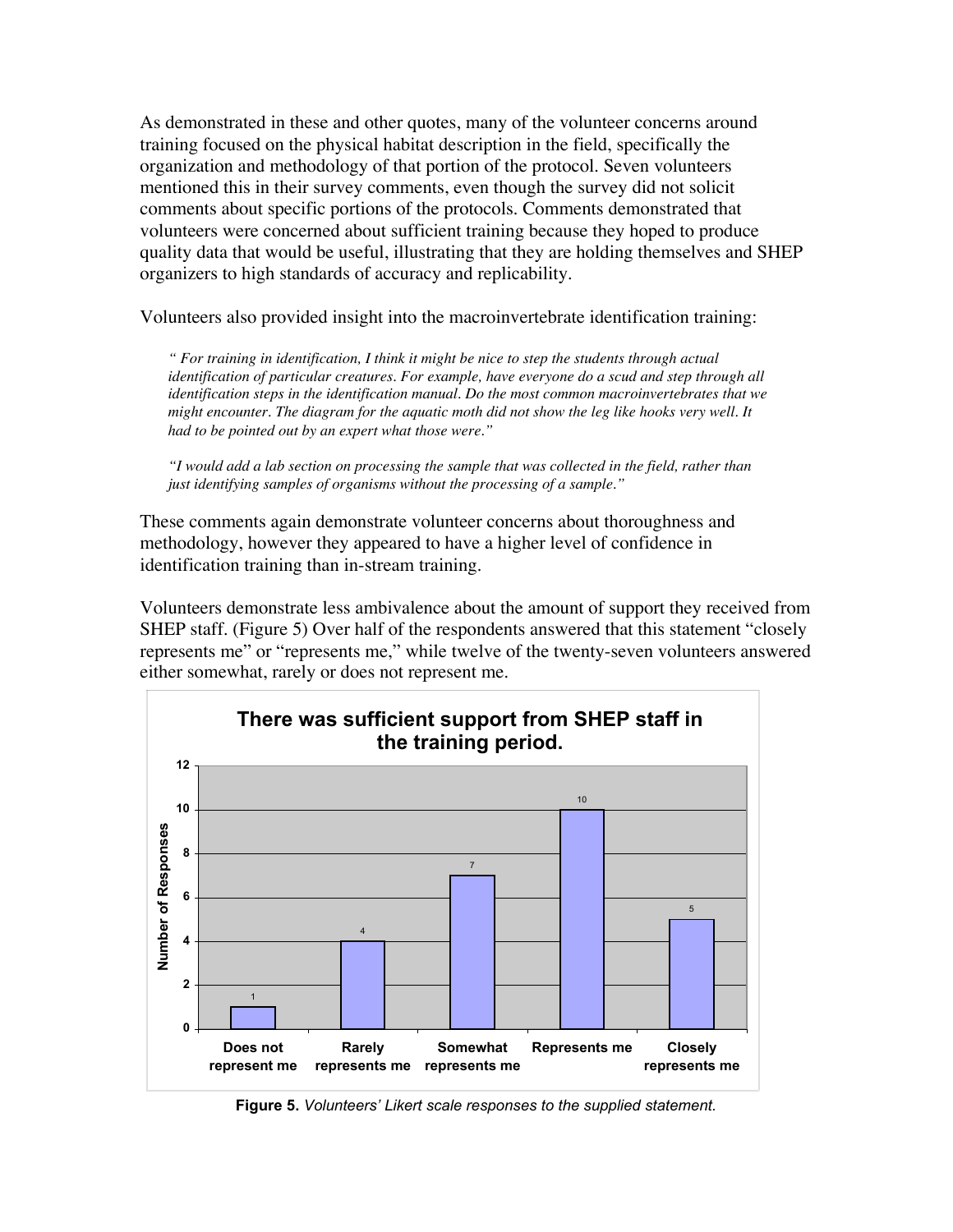As demonstrated in these and other quotes, many of the volunteer concerns around training focused on the physical habitat description in the field, specifically the organization and methodology of that portion of the protocol. Seven volunteers mentioned this in their survey comments, even though the survey did not solicit comments about specific portions of the protocols. Comments demonstrated that volunteers were concerned about sufficient training because they hoped to produce quality data that would be useful, illustrating that they are holding themselves and SHEP organizers to high standards of accuracy and replicability.

Volunteers also provided insight into the macroinvertebrate identification training:

*" For training in identification, I think it might be nice to step the students through actual identification of particular creatures. For example, have everyone do a scud and step through all identification steps in the identification manual. Do the most common macroinvertebrates that we might encounter. The diagram for the aquatic moth did not show the leg like hooks very well. It had to be pointed out by an expert what those were."*

*"I would add a lab section on processing the sample that was collected in the field, rather than just identifying samples of organisms without the processing of a sample."*

These comments again demonstrate volunteer concerns about thoroughness and methodology, however they appeared to have a higher level of confidence in identification training than in-stream training.

Volunteers demonstrate less ambivalence about the amount of support they received from SHEP staff. (Figure 5) Over half of the respondents answered that this statement "closely represents me" or "represents me," while twelve of the twenty-seven volunteers answered either somewhat, rarely or does not represent me.



**Figure 5.** *Volunteers' Likert scale responses to the supplied statement.*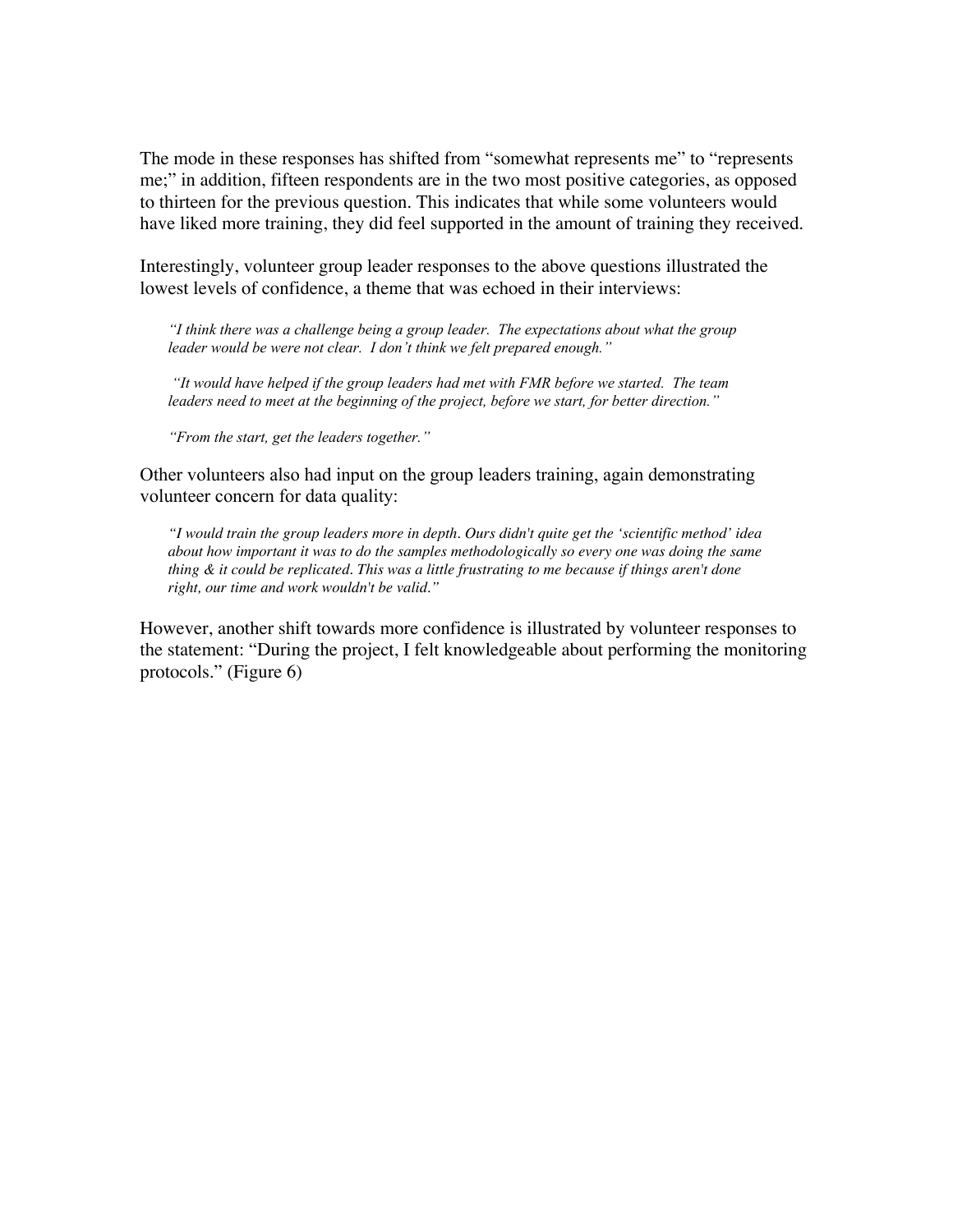The mode in these responses has shifted from "somewhat represents me" to "represents me;" in addition, fifteen respondents are in the two most positive categories, as opposed to thirteen for the previous question. This indicates that while some volunteers would have liked more training, they did feel supported in the amount of training they received.

Interestingly, volunteer group leader responses to the above questions illustrated the lowest levels of confidence, a theme that was echoed in their interviews:

*"I think there was a challenge being a group leader. The expectations about what the group leader would be were not clear. I don't think we felt prepared enough."*

 *"It would have helped if the group leaders had met with FMR before we started. The team leaders need to meet at the beginning of the project, before we start, for better direction."*

*"From the start, get the leaders together."*

Other volunteers also had input on the group leaders training, again demonstrating volunteer concern for data quality:

*"I would train the group leaders more in depth. Ours didn't quite get the 'scientific method' idea about how important it was to do the samples methodologically so every one was doing the same thing & it could be replicated. This was a little frustrating to me because if things aren't done right, our time and work wouldn't be valid."*

However, another shift towards more confidence is illustrated by volunteer responses to the statement: "During the project, I felt knowledgeable about performing the monitoring protocols." (Figure 6)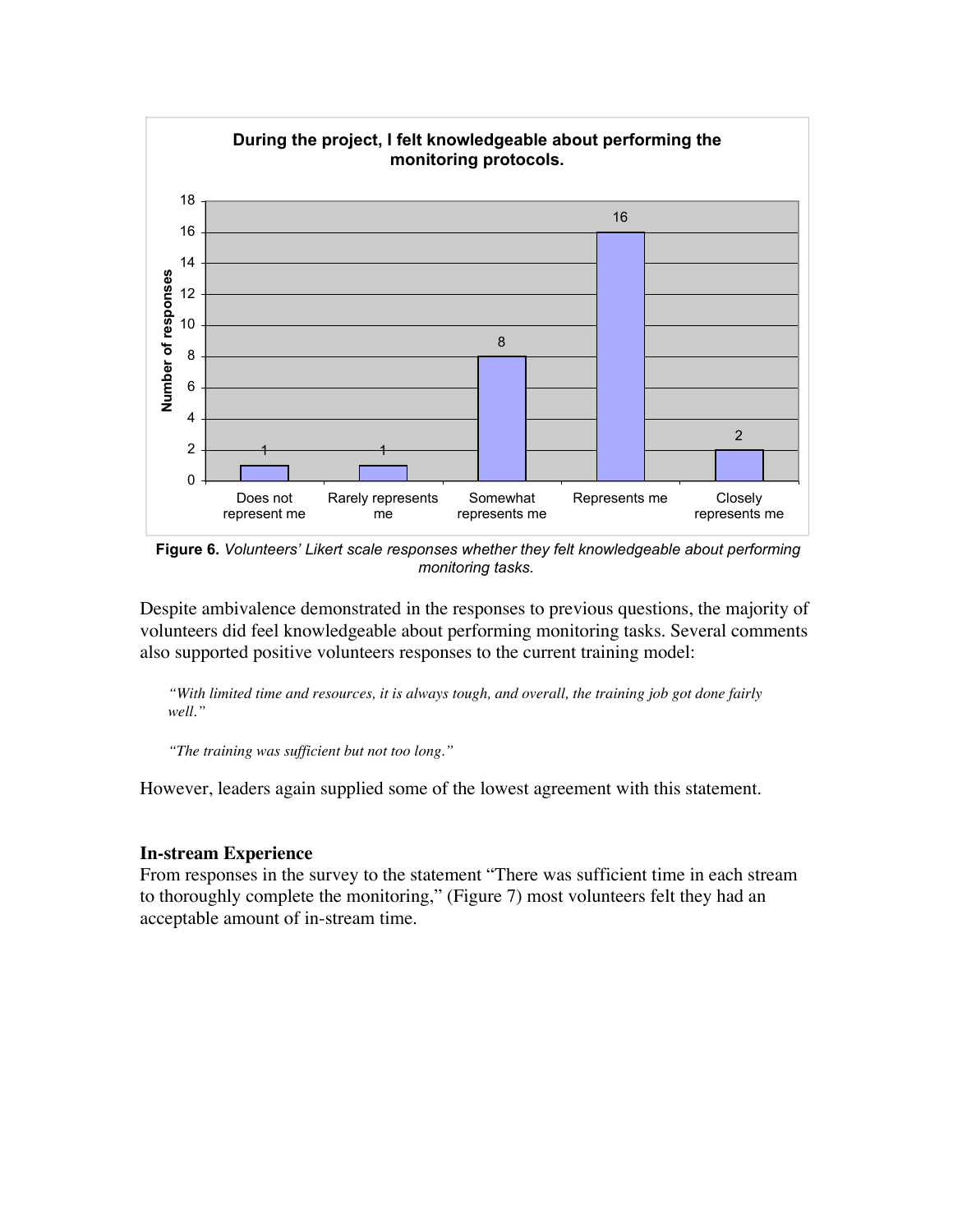

 **Figure 6.** *Volunteers' Likert scale responses whether they felt knowledgeable about performing monitoring tasks.*

Despite ambivalence demonstrated in the responses to previous questions, the majority of volunteers did feel knowledgeable about performing monitoring tasks. Several comments also supported positive volunteers responses to the current training model:

*"With limited time and resources, it is always tough, and overall, the training job got done fairly well."*

*"The training was sufficient but not too long."*

However, leaders again supplied some of the lowest agreement with this statement.

#### **In-stream Experience**

From responses in the survey to the statement "There was sufficient time in each stream to thoroughly complete the monitoring," (Figure 7) most volunteers felt they had an acceptable amount of in-stream time.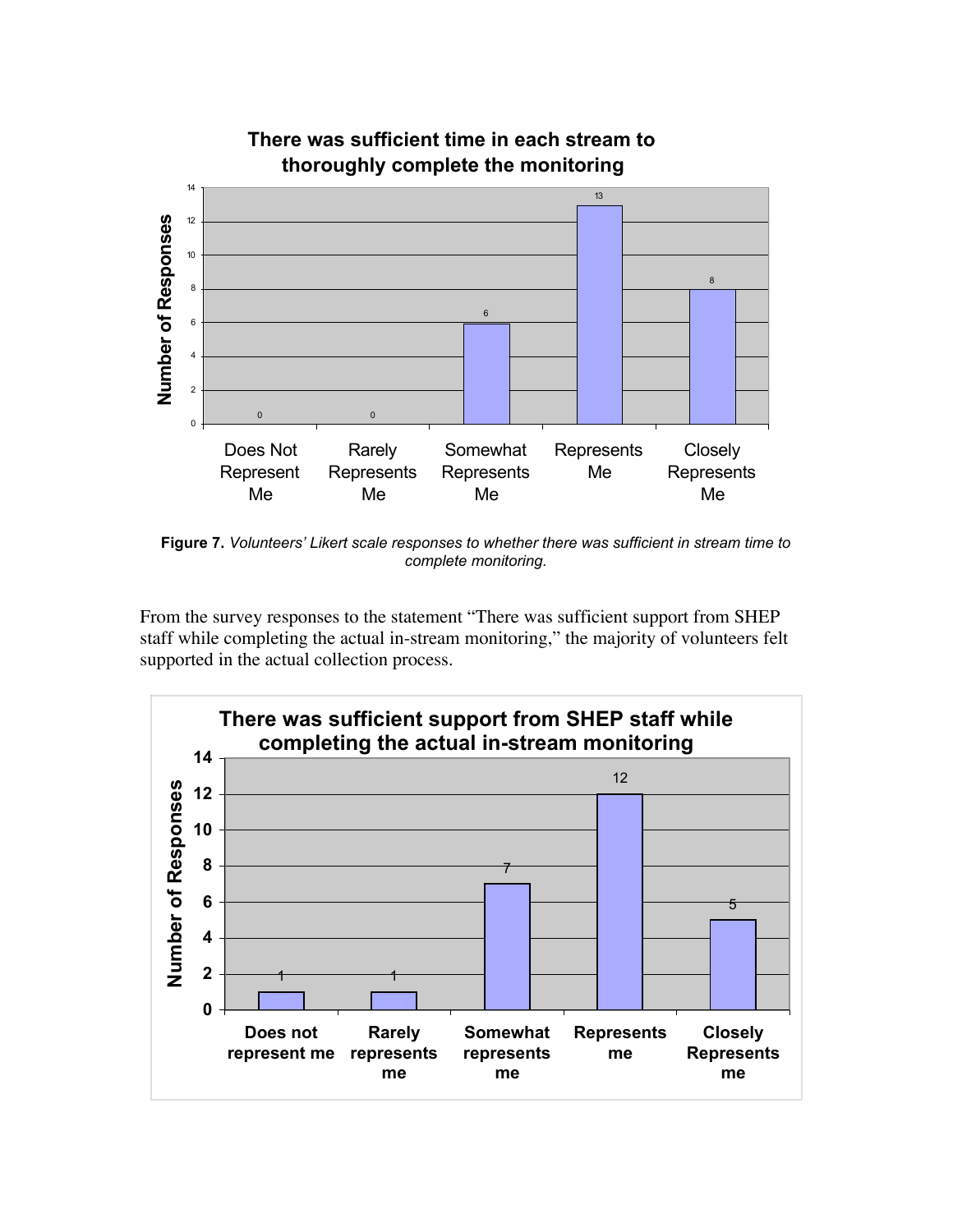

**Figure 7.** *Volunteers' Likert scale responses to whether there was sufficient in stream time to complete monitoring.*

From the survey responses to the statement "There was sufficient support from SHEP staff while completing the actual in-stream monitoring," the majority of volunteers felt supported in the actual collection process.

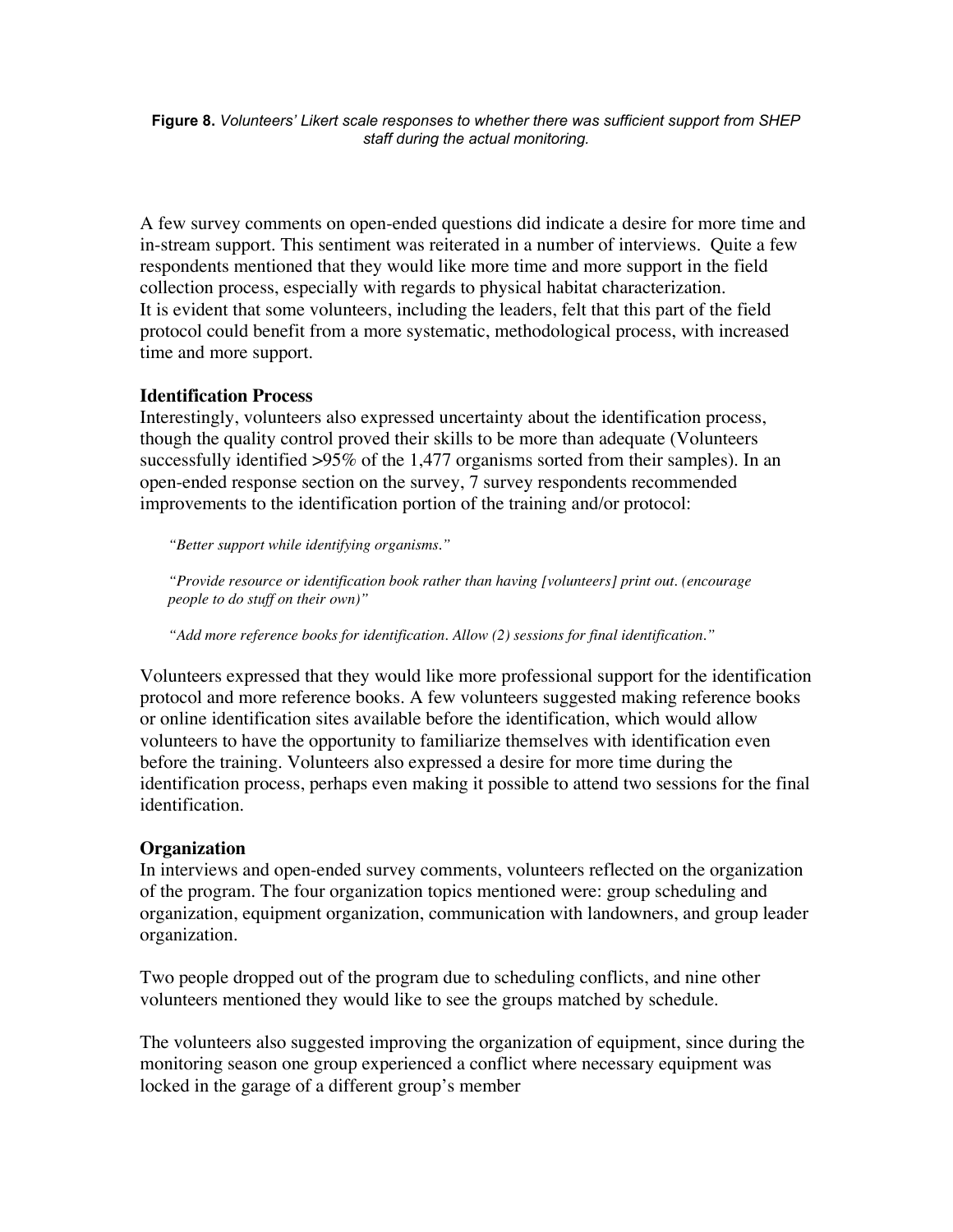**Figure 8.** *Volunteers' Likert scale responses to whether there was sufficient support from SHEP staff during the actual monitoring.*

A few survey comments on open-ended questions did indicate a desire for more time and in-stream support. This sentiment was reiterated in a number of interviews. Quite a few respondents mentioned that they would like more time and more support in the field collection process, especially with regards to physical habitat characterization. It is evident that some volunteers, including the leaders, felt that this part of the field protocol could benefit from a more systematic, methodological process, with increased time and more support.

#### **Identification Process**

Interestingly, volunteers also expressed uncertainty about the identification process, though the quality control proved their skills to be more than adequate (Volunteers successfully identified >95% of the 1,477 organisms sorted from their samples). In an open-ended response section on the survey, 7 survey respondents recommended improvements to the identification portion of the training and/or protocol:

*"Better support while identifying organisms."*

*"Provide resource or identification book rather than having [volunteers] print out. (encourage people to do stuff on their own)"*

*"Add more reference books for identification. Allow (2) sessions for final identification."*

Volunteers expressed that they would like more professional support for the identification protocol and more reference books. A few volunteers suggested making reference books or online identification sites available before the identification, which would allow volunteers to have the opportunity to familiarize themselves with identification even before the training. Volunteers also expressed a desire for more time during the identification process, perhaps even making it possible to attend two sessions for the final identification.

#### **Organization**

In interviews and open-ended survey comments, volunteers reflected on the organization of the program. The four organization topics mentioned were: group scheduling and organization, equipment organization, communication with landowners, and group leader organization.

Two people dropped out of the program due to scheduling conflicts, and nine other volunteers mentioned they would like to see the groups matched by schedule.

The volunteers also suggested improving the organization of equipment, since during the monitoring season one group experienced a conflict where necessary equipment was locked in the garage of a different group's member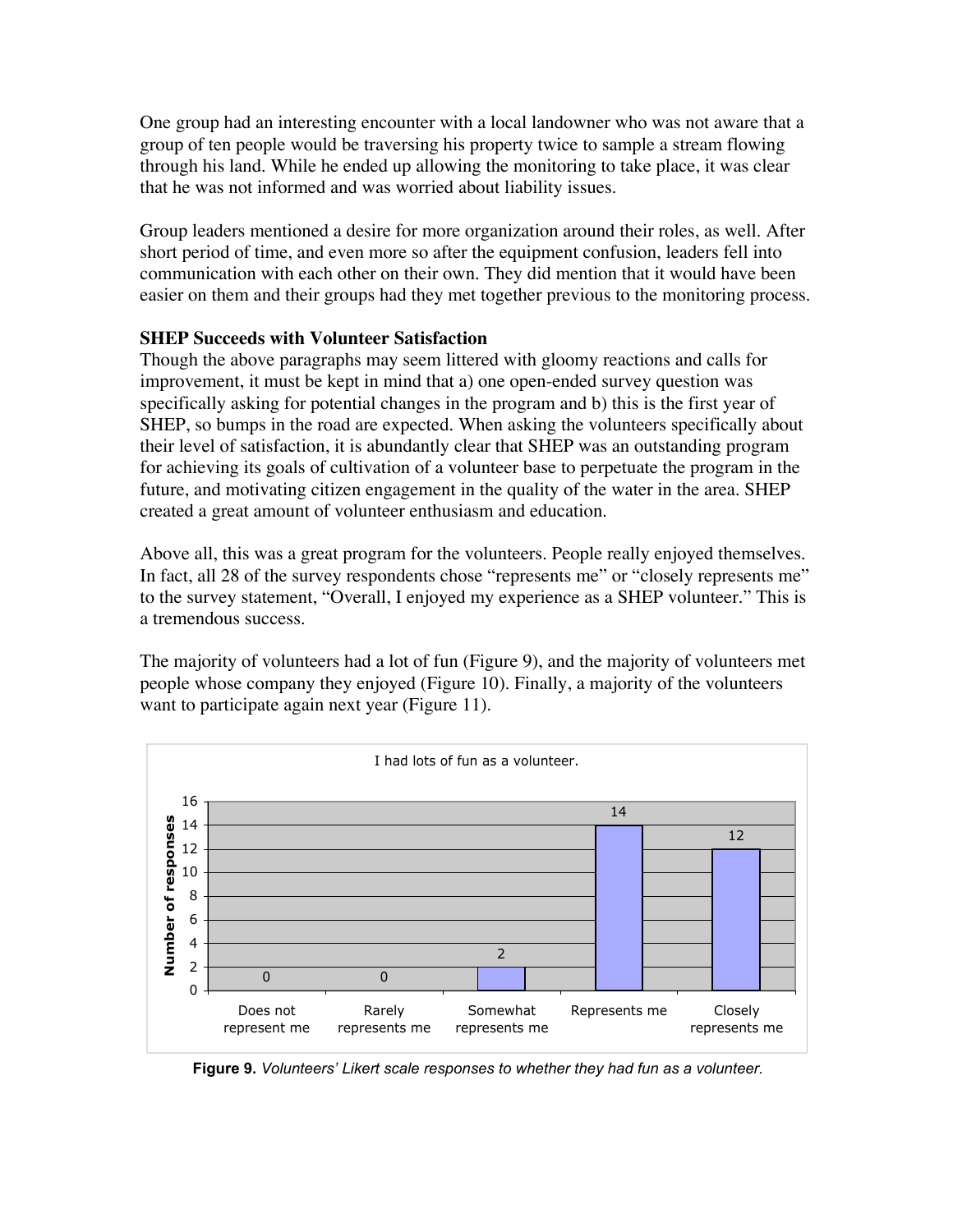One group had an interesting encounter with a local landowner who was not aware that a group of ten people would be traversing his property twice to sample a stream flowing through his land. While he ended up allowing the monitoring to take place, it was clear that he was not informed and was worried about liability issues.

Group leaders mentioned a desire for more organization around their roles, as well. After short period of time, and even more so after the equipment confusion, leaders fell into communication with each other on their own. They did mention that it would have been easier on them and their groups had they met together previous to the monitoring process.

#### **SHEP Succeeds with Volunteer Satisfaction**

Though the above paragraphs may seem littered with gloomy reactions and calls for improvement, it must be kept in mind that a) one open-ended survey question was specifically asking for potential changes in the program and b) this is the first year of SHEP, so bumps in the road are expected. When asking the volunteers specifically about their level of satisfaction, it is abundantly clear that SHEP was an outstanding program for achieving its goals of cultivation of a volunteer base to perpetuate the program in the future, and motivating citizen engagement in the quality of the water in the area. SHEP created a great amount of volunteer enthusiasm and education.

Above all, this was a great program for the volunteers. People really enjoyed themselves. In fact, all 28 of the survey respondents chose "represents me" or "closely represents me" to the survey statement, "Overall, I enjoyed my experience as a SHEP volunteer." This is a tremendous success.

The majority of volunteers had a lot of fun (Figure 9), and the majority of volunteers met people whose company they enjoyed (Figure 10). Finally, a majority of the volunteers want to participate again next year (Figure 11).



 **Figure 9.** *Volunteers' Likert scale responses to whether they had fun as a volunteer.*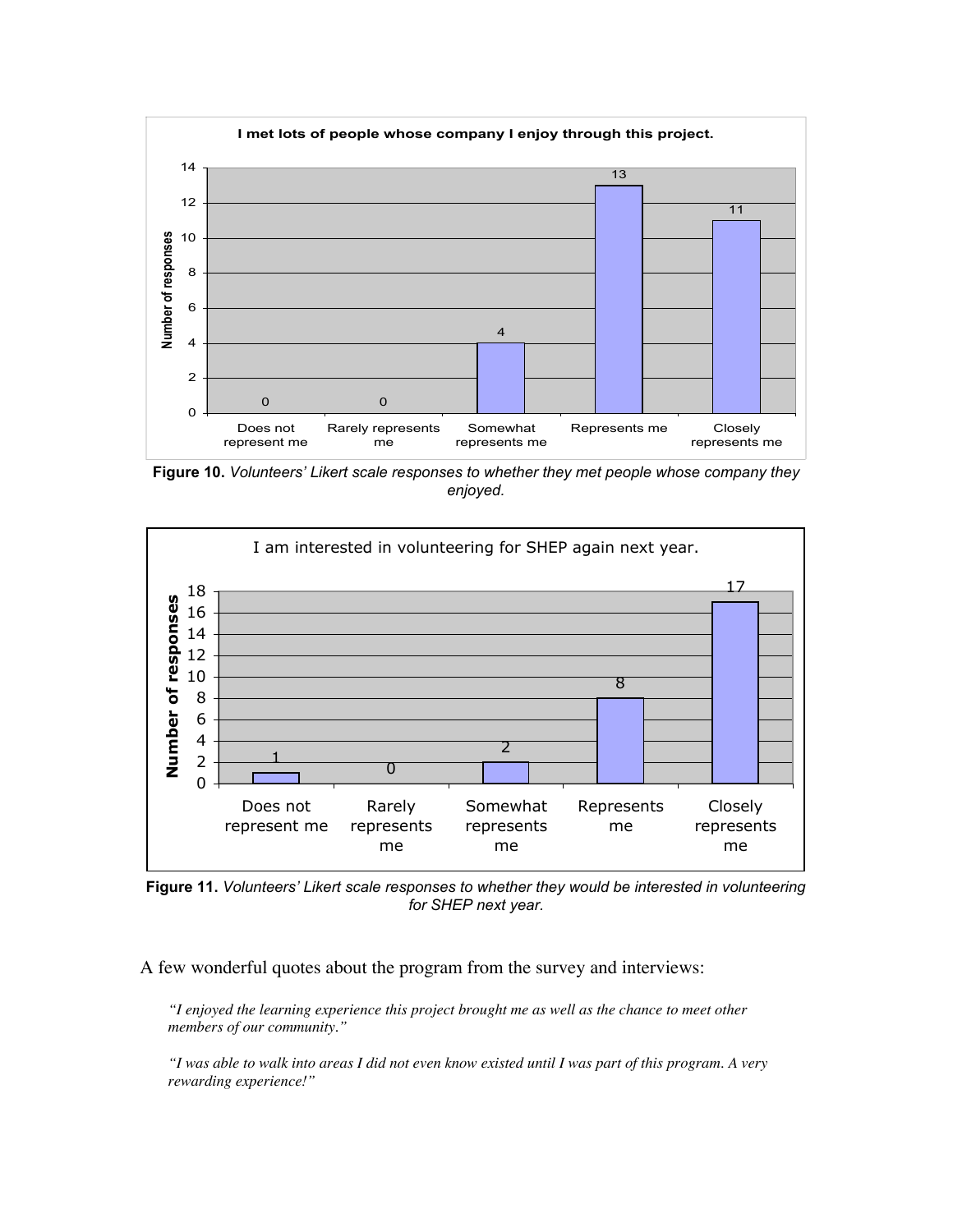

**Figure 10.** *Volunteers' Likert scale responses to whether they met people whose company they enjoyed.*



**Figure 11.** *Volunteers' Likert scale responses to whether they would be interested in volunteering for SHEP next year.*

A few wonderful quotes about the program from the survey and interviews:

*"I enjoyed the learning experience this project brought me as well as the chance to meet other members of our community."*

*"I was able to walk into areas I did not even know existed until I was part of this program. A very rewarding experience!"*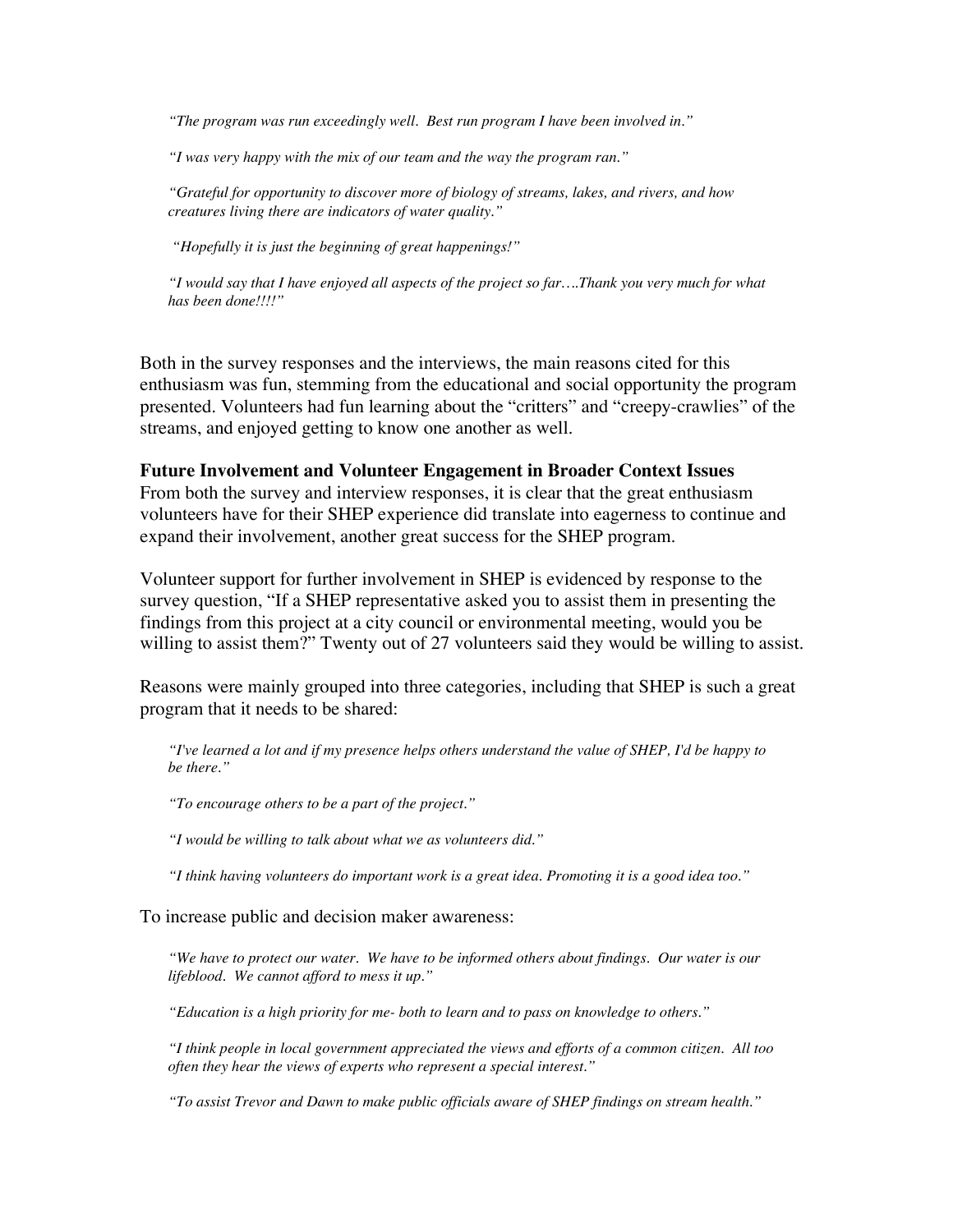*"The program was run exceedingly well. Best run program I have been involved in."*

*"I was very happy with the mix of our team and the way the program ran."*

*"Grateful for opportunity to discover more of biology of streams, lakes, and rivers, and how creatures living there are indicators of water quality."*

 *"Hopefully it is just the beginning of great happenings!"*

*"I would say that I have enjoyed all aspects of the project so far….Thank you very much for what has been done!!!!"*

Both in the survey responses and the interviews, the main reasons cited for this enthusiasm was fun, stemming from the educational and social opportunity the program presented. Volunteers had fun learning about the "critters" and "creepy-crawlies" of the streams, and enjoyed getting to know one another as well.

#### **Future Involvement and Volunteer Engagement in Broader Context Issues**

From both the survey and interview responses, it is clear that the great enthusiasm volunteers have for their SHEP experience did translate into eagerness to continue and expand their involvement, another great success for the SHEP program.

Volunteer support for further involvement in SHEP is evidenced by response to the survey question, "If a SHEP representative asked you to assist them in presenting the findings from this project at a city council or environmental meeting, would you be willing to assist them?" Twenty out of 27 volunteers said they would be willing to assist.

Reasons were mainly grouped into three categories, including that SHEP is such a great program that it needs to be shared:

*"I've learned a lot and if my presence helps others understand the value of SHEP, I'd be happy to be there."*

*"To encourage others to be a part of the project."*

*"I would be willing to talk about what we as volunteers did."*

*"I think having volunteers do important work is a great idea. Promoting it is a good idea too."*

To increase public and decision maker awareness:

*"We have to protect our water. We have to be informed others about findings. Our water is our lifeblood. We cannot afford to mess it up."*

*"Education is a high priority for me- both to learn and to pass on knowledge to others."*

*"I think people in local government appreciated the views and efforts of a common citizen. All too often they hear the views of experts who represent a special interest."*

*"To assist Trevor and Dawn to make public officials aware of SHEP findings on stream health."*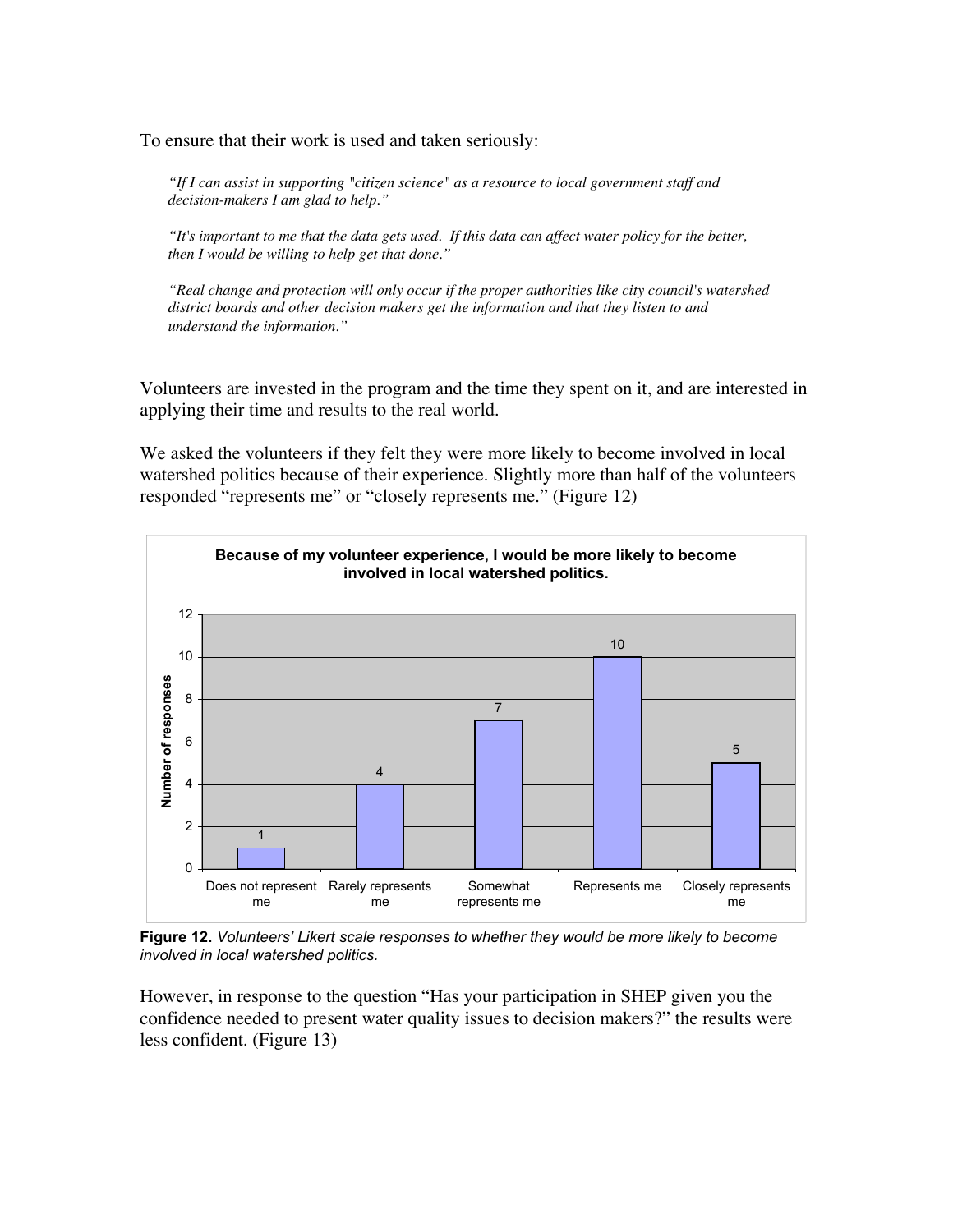To ensure that their work is used and taken seriously:

*"If I can assist in supporting "citizen science" as a resource to local government staff and decision-makers I am glad to help."*

*"It's important to me that the data gets used. If this data can affect water policy for the better, then I would be willing to help get that done."*

*"Real change and protection will only occur if the proper authorities like city council's watershed district boards and other decision makers get the information and that they listen to and understand the information."*

Volunteers are invested in the program and the time they spent on it, and are interested in applying their time and results to the real world.

We asked the volunteers if they felt they were more likely to become involved in local watershed politics because of their experience. Slightly more than half of the volunteers responded "represents me" or "closely represents me." (Figure 12)



**Figure 12.** *Volunteers' Likert scale responses to whether they would be more likely to become involved in local watershed politics.*

However, in response to the question "Has your participation in SHEP given you the confidence needed to present water quality issues to decision makers?" the results were less confident. (Figure 13)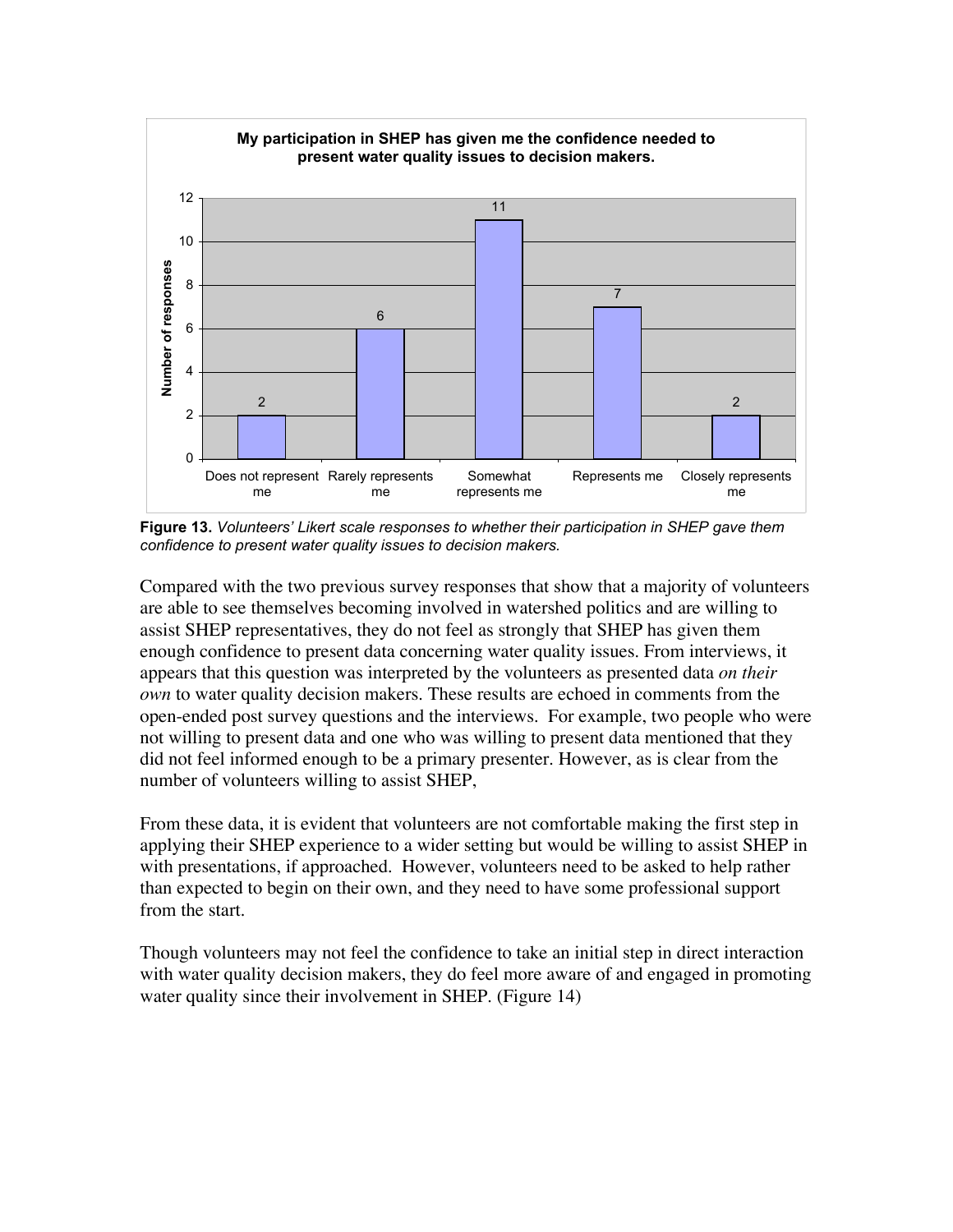

**Figure 13.** *Volunteers' Likert scale responses to whether their participation in SHEP gave them confidence to present water quality issues to decision makers.*

Compared with the two previous survey responses that show that a majority of volunteers are able to see themselves becoming involved in watershed politics and are willing to assist SHEP representatives, they do not feel as strongly that SHEP has given them enough confidence to present data concerning water quality issues. From interviews, it appears that this question was interpreted by the volunteers as presented data *on their own* to water quality decision makers. These results are echoed in comments from the open-ended post survey questions and the interviews. For example, two people who were not willing to present data and one who was willing to present data mentioned that they did not feel informed enough to be a primary presenter. However, as is clear from the number of volunteers willing to assist SHEP,

From these data, it is evident that volunteers are not comfortable making the first step in applying their SHEP experience to a wider setting but would be willing to assist SHEP in with presentations, if approached. However, volunteers need to be asked to help rather than expected to begin on their own, and they need to have some professional support from the start.

Though volunteers may not feel the confidence to take an initial step in direct interaction with water quality decision makers, they do feel more aware of and engaged in promoting water quality since their involvement in SHEP. (Figure 14)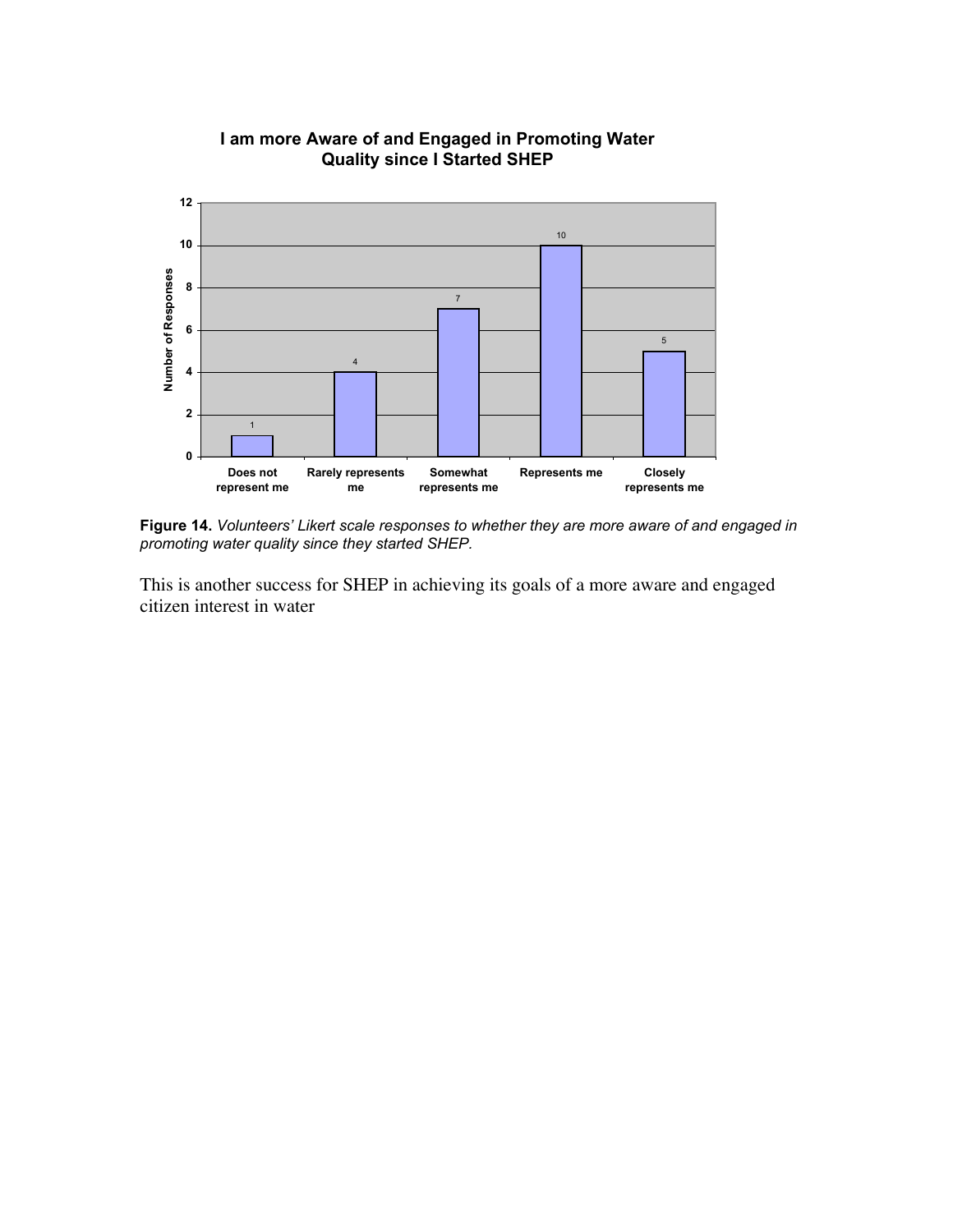

#### **I am more Aware of and Engaged in Promoting Water Quality since I Started SHEP**

**Figure 14.** *Volunteers' Likert scale responses to whether they are more aware of and engaged in promoting water quality since they started SHEP.*

This is another success for SHEP in achieving its goals of a more aware and engaged citizen interest in water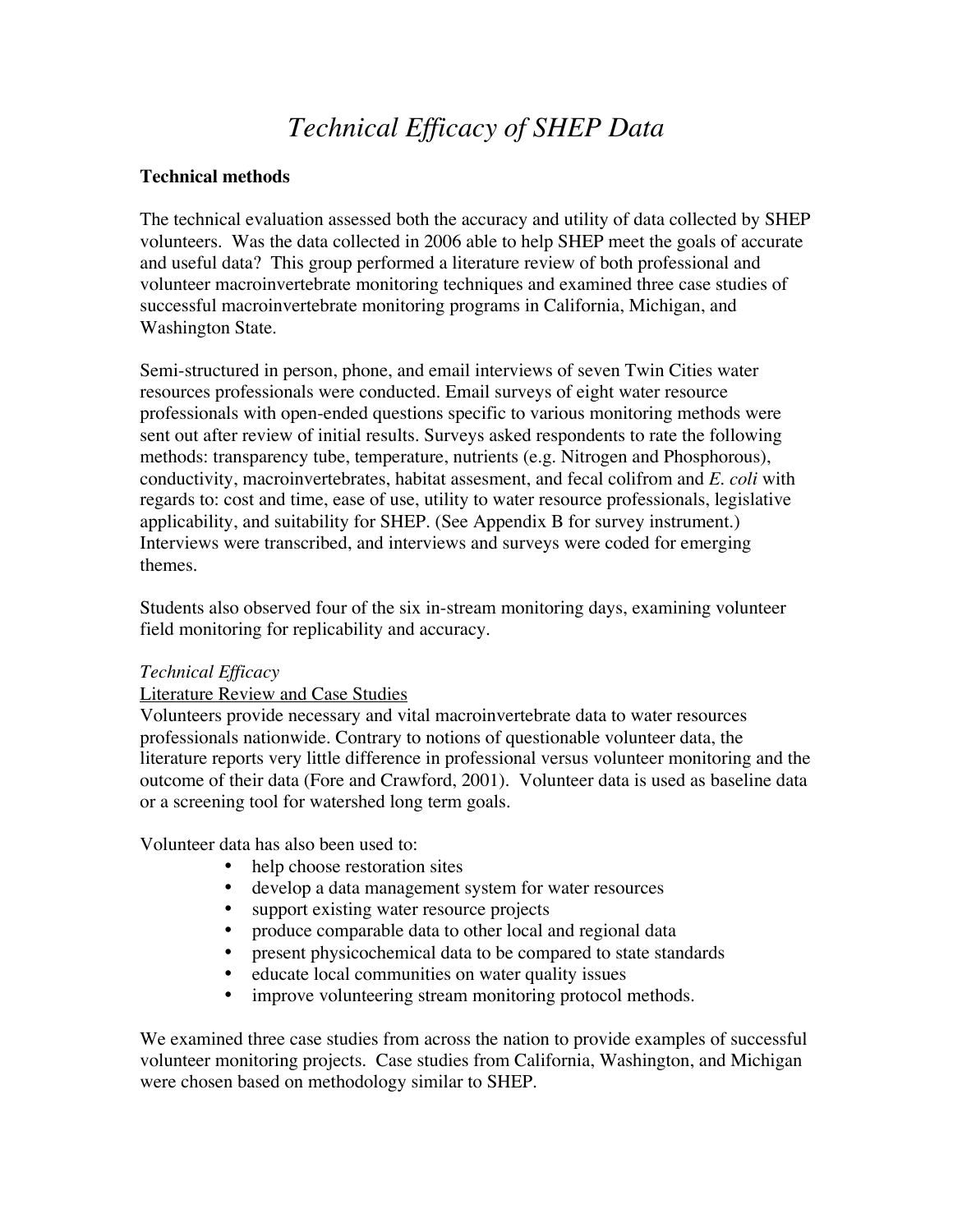## *Technical Efficacy of SHEP Data*

#### **Technical methods**

The technical evaluation assessed both the accuracy and utility of data collected by SHEP volunteers. Was the data collected in 2006 able to help SHEP meet the goals of accurate and useful data? This group performed a literature review of both professional and volunteer macroinvertebrate monitoring techniques and examined three case studies of successful macroinvertebrate monitoring programs in California, Michigan, and Washington State.

Semi-structured in person, phone, and email interviews of seven Twin Cities water resources professionals were conducted. Email surveys of eight water resource professionals with open-ended questions specific to various monitoring methods were sent out after review of initial results. Surveys asked respondents to rate the following methods: transparency tube, temperature, nutrients (e.g. Nitrogen and Phosphorous), conductivity, macroinvertebrates, habitat assesment, and fecal colifrom and *E. coli* with regards to: cost and time, ease of use, utility to water resource professionals, legislative applicability, and suitability for SHEP. (See Appendix B for survey instrument.) Interviews were transcribed, and interviews and surveys were coded for emerging themes.

Students also observed four of the six in-stream monitoring days, examining volunteer field monitoring for replicability and accuracy.

#### *Technical Efficacy*

#### Literature Review and Case Studies

Volunteers provide necessary and vital macroinvertebrate data to water resources professionals nationwide. Contrary to notions of questionable volunteer data, the literature reports very little difference in professional versus volunteer monitoring and the outcome of their data (Fore and Crawford, 2001). Volunteer data is used as baseline data or a screening tool for watershed long term goals.

Volunteer data has also been used to:

- help choose restoration sites
- develop a data management system for water resources
- support existing water resource projects
- produce comparable data to other local and regional data
- present physicochemical data to be compared to state standards
- educate local communities on water quality issues
- improve volunteering stream monitoring protocol methods.

We examined three case studies from across the nation to provide examples of successful volunteer monitoring projects. Case studies from California, Washington, and Michigan were chosen based on methodology similar to SHEP.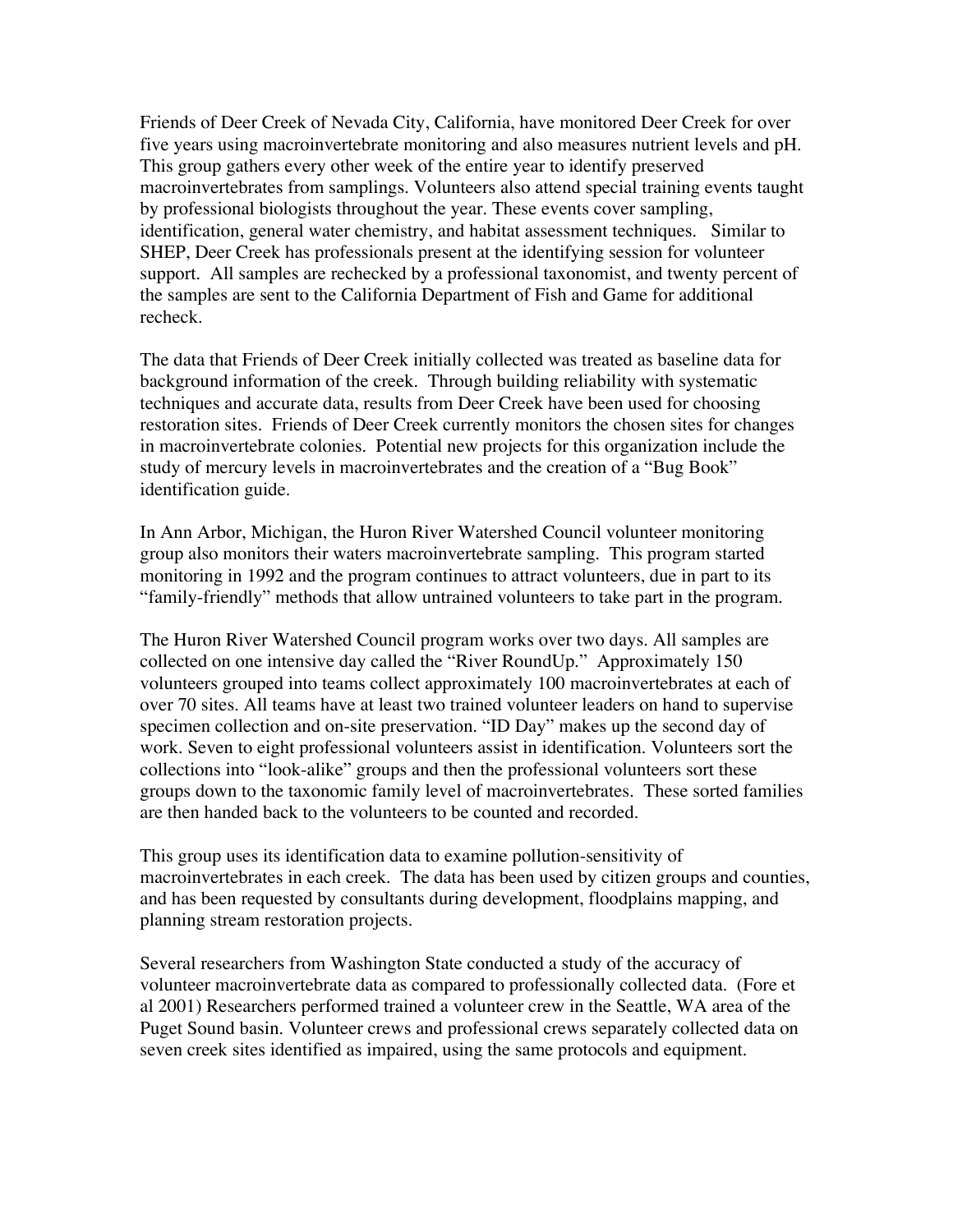Friends of Deer Creek of Nevada City, California, have monitored Deer Creek for over five years using macroinvertebrate monitoring and also measures nutrient levels and pH. This group gathers every other week of the entire year to identify preserved macroinvertebrates from samplings. Volunteers also attend special training events taught by professional biologists throughout the year. These events cover sampling, identification, general water chemistry, and habitat assessment techniques. Similar to SHEP, Deer Creek has professionals present at the identifying session for volunteer support. All samples are rechecked by a professional taxonomist, and twenty percent of the samples are sent to the California Department of Fish and Game for additional recheck.

The data that Friends of Deer Creek initially collected was treated as baseline data for background information of the creek. Through building reliability with systematic techniques and accurate data, results from Deer Creek have been used for choosing restoration sites. Friends of Deer Creek currently monitors the chosen sites for changes in macroinvertebrate colonies. Potential new projects for this organization include the study of mercury levels in macroinvertebrates and the creation of a "Bug Book" identification guide.

In Ann Arbor, Michigan, the Huron River Watershed Council volunteer monitoring group also monitors their waters macroinvertebrate sampling. This program started monitoring in 1992 and the program continues to attract volunteers, due in part to its "family-friendly" methods that allow untrained volunteers to take part in the program.

The Huron River Watershed Council program works over two days. All samples are collected on one intensive day called the "River RoundUp." Approximately 150 volunteers grouped into teams collect approximately 100 macroinvertebrates at each of over 70 sites. All teams have at least two trained volunteer leaders on hand to supervise specimen collection and on-site preservation. "ID Day" makes up the second day of work. Seven to eight professional volunteers assist in identification. Volunteers sort the collections into "look-alike" groups and then the professional volunteers sort these groups down to the taxonomic family level of macroinvertebrates. These sorted families are then handed back to the volunteers to be counted and recorded.

This group uses its identification data to examine pollution-sensitivity of macroinvertebrates in each creek. The data has been used by citizen groups and counties, and has been requested by consultants during development, floodplains mapping, and planning stream restoration projects.

Several researchers from Washington State conducted a study of the accuracy of volunteer macroinvertebrate data as compared to professionally collected data. (Fore et al 2001) Researchers performed trained a volunteer crew in the Seattle, WA area of the Puget Sound basin. Volunteer crews and professional crews separately collected data on seven creek sites identified as impaired, using the same protocols and equipment.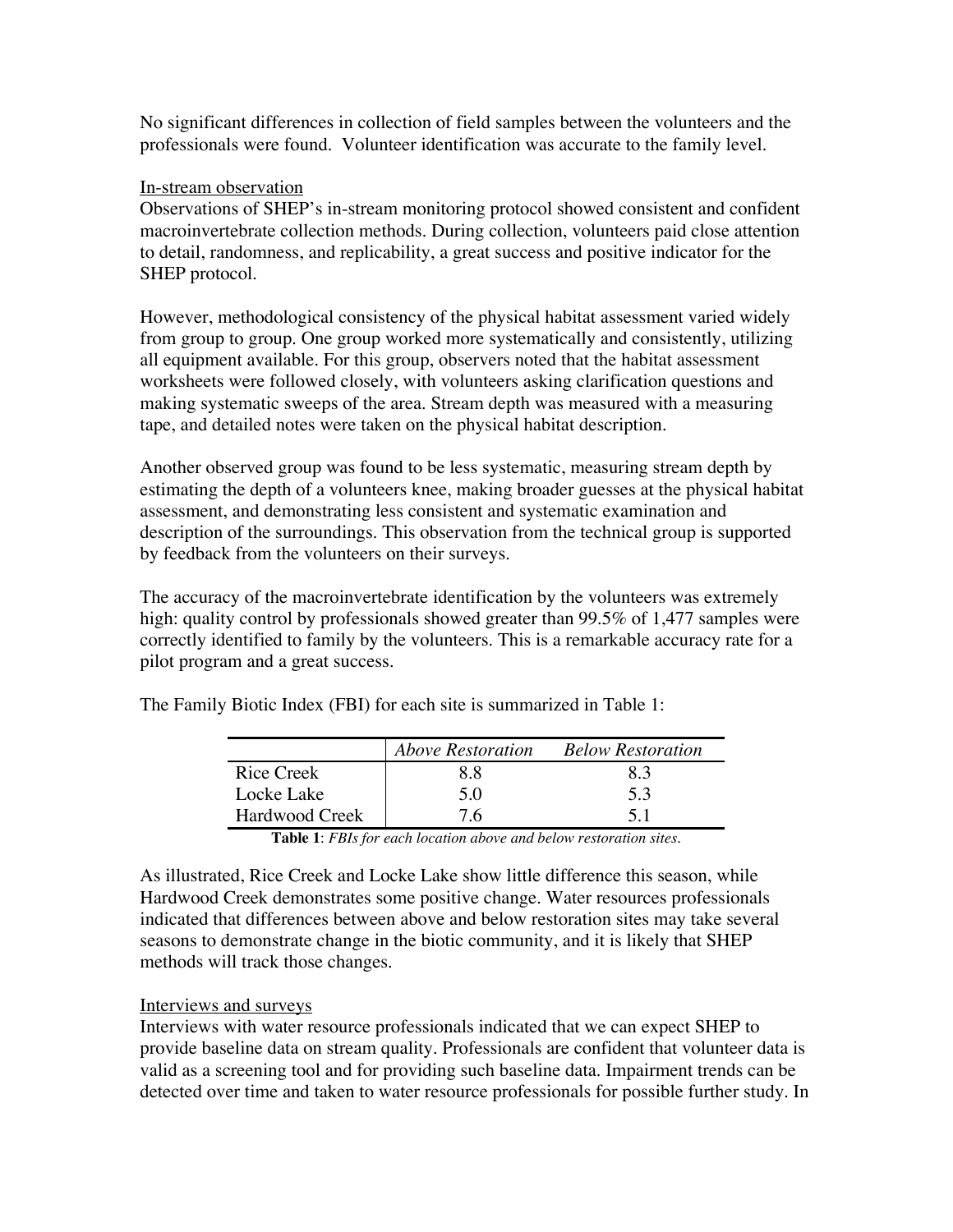No significant differences in collection of field samples between the volunteers and the professionals were found. Volunteer identification was accurate to the family level.

#### In-stream observation

Observations of SHEP's in-stream monitoring protocol showed consistent and confident macroinvertebrate collection methods. During collection, volunteers paid close attention to detail, randomness, and replicability, a great success and positive indicator for the SHEP protocol.

However, methodological consistency of the physical habitat assessment varied widely from group to group. One group worked more systematically and consistently, utilizing all equipment available. For this group, observers noted that the habitat assessment worksheets were followed closely, with volunteers asking clarification questions and making systematic sweeps of the area. Stream depth was measured with a measuring tape, and detailed notes were taken on the physical habitat description.

Another observed group was found to be less systematic, measuring stream depth by estimating the depth of a volunteers knee, making broader guesses at the physical habitat assessment, and demonstrating less consistent and systematic examination and description of the surroundings. This observation from the technical group is supported by feedback from the volunteers on their surveys.

The accuracy of the macroinvertebrate identification by the volunteers was extremely high: quality control by professionals showed greater than 99.5% of 1,477 samples were correctly identified to family by the volunteers. This is a remarkable accuracy rate for a pilot program and a great success.

|                | <b>Above Restoration</b> | <b>Below Restoration</b> |
|----------------|--------------------------|--------------------------|
| Rice Creek     | 88                       | 83                       |
| Locke Lake     | 5 O                      | 5.3                      |
| Hardwood Creek | 76                       | 51                       |

The Family Biotic Index (FBI) for each site is summarized in Table 1:

**Table 1**: *FBIs for each location above and below restoration sites.*

As illustrated, Rice Creek and Locke Lake show little difference this season, while Hardwood Creek demonstrates some positive change. Water resources professionals indicated that differences between above and below restoration sites may take several seasons to demonstrate change in the biotic community, and it is likely that SHEP methods will track those changes.

#### Interviews and surveys

Interviews with water resource professionals indicated that we can expect SHEP to provide baseline data on stream quality. Professionals are confident that volunteer data is valid as a screening tool and for providing such baseline data. Impairment trends can be detected over time and taken to water resource professionals for possible further study. In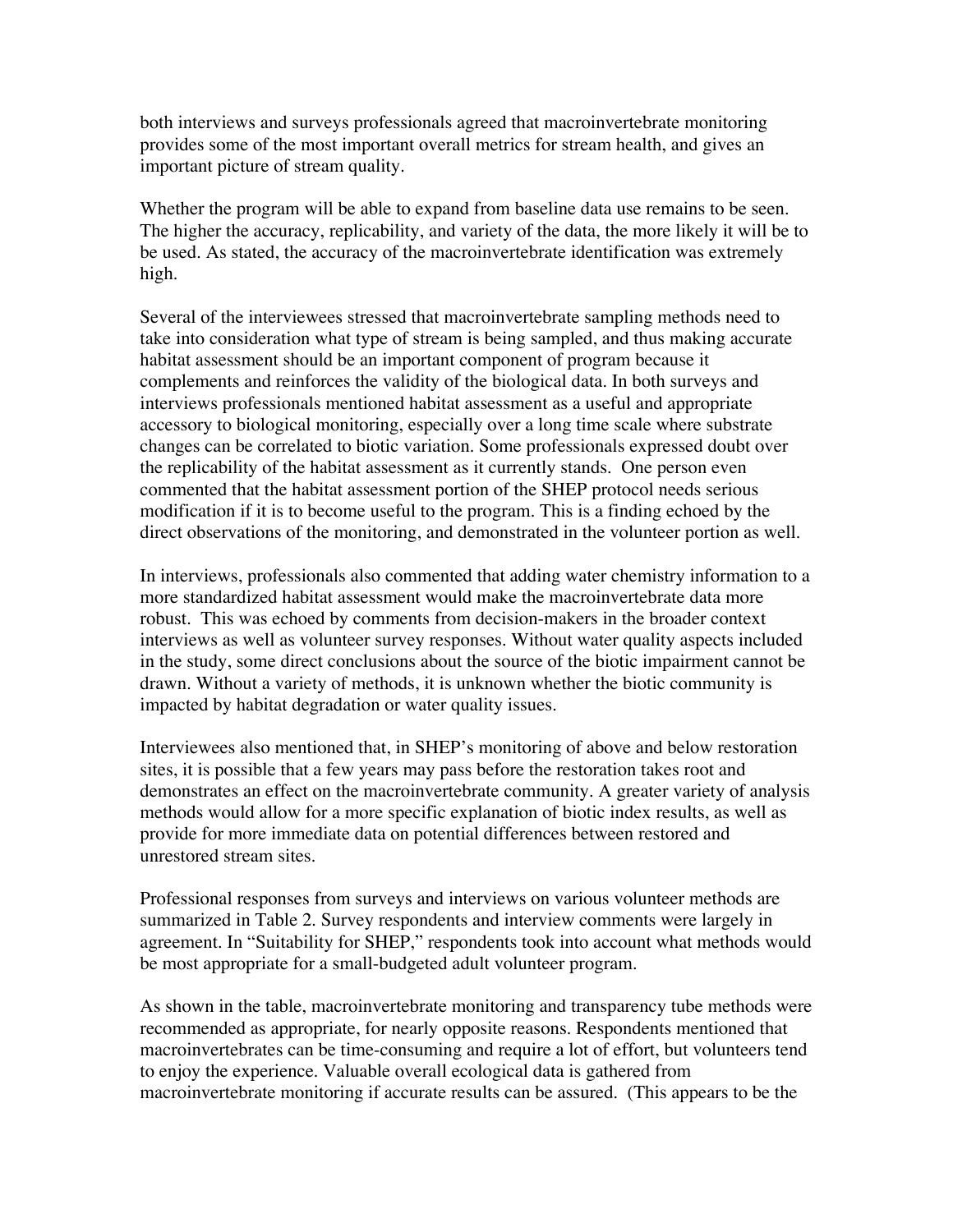both interviews and surveys professionals agreed that macroinvertebrate monitoring provides some of the most important overall metrics for stream health, and gives an important picture of stream quality.

Whether the program will be able to expand from baseline data use remains to be seen. The higher the accuracy, replicability, and variety of the data, the more likely it will be to be used. As stated, the accuracy of the macroinvertebrate identification was extremely high.

Several of the interviewees stressed that macroinvertebrate sampling methods need to take into consideration what type of stream is being sampled, and thus making accurate habitat assessment should be an important component of program because it complements and reinforces the validity of the biological data. In both surveys and interviews professionals mentioned habitat assessment as a useful and appropriate accessory to biological monitoring, especially over a long time scale where substrate changes can be correlated to biotic variation. Some professionals expressed doubt over the replicability of the habitat assessment as it currently stands. One person even commented that the habitat assessment portion of the SHEP protocol needs serious modification if it is to become useful to the program. This is a finding echoed by the direct observations of the monitoring, and demonstrated in the volunteer portion as well.

In interviews, professionals also commented that adding water chemistry information to a more standardized habitat assessment would make the macroinvertebrate data more robust. This was echoed by comments from decision-makers in the broader context interviews as well as volunteer survey responses. Without water quality aspects included in the study, some direct conclusions about the source of the biotic impairment cannot be drawn. Without a variety of methods, it is unknown whether the biotic community is impacted by habitat degradation or water quality issues.

Interviewees also mentioned that, in SHEP's monitoring of above and below restoration sites, it is possible that a few years may pass before the restoration takes root and demonstrates an effect on the macroinvertebrate community. A greater variety of analysis methods would allow for a more specific explanation of biotic index results, as well as provide for more immediate data on potential differences between restored and unrestored stream sites.

Professional responses from surveys and interviews on various volunteer methods are summarized in Table 2. Survey respondents and interview comments were largely in agreement. In "Suitability for SHEP," respondents took into account what methods would be most appropriate for a small-budgeted adult volunteer program.

As shown in the table, macroinvertebrate monitoring and transparency tube methods were recommended as appropriate, for nearly opposite reasons. Respondents mentioned that macroinvertebrates can be time-consuming and require a lot of effort, but volunteers tend to enjoy the experience. Valuable overall ecological data is gathered from macroinvertebrate monitoring if accurate results can be assured. (This appears to be the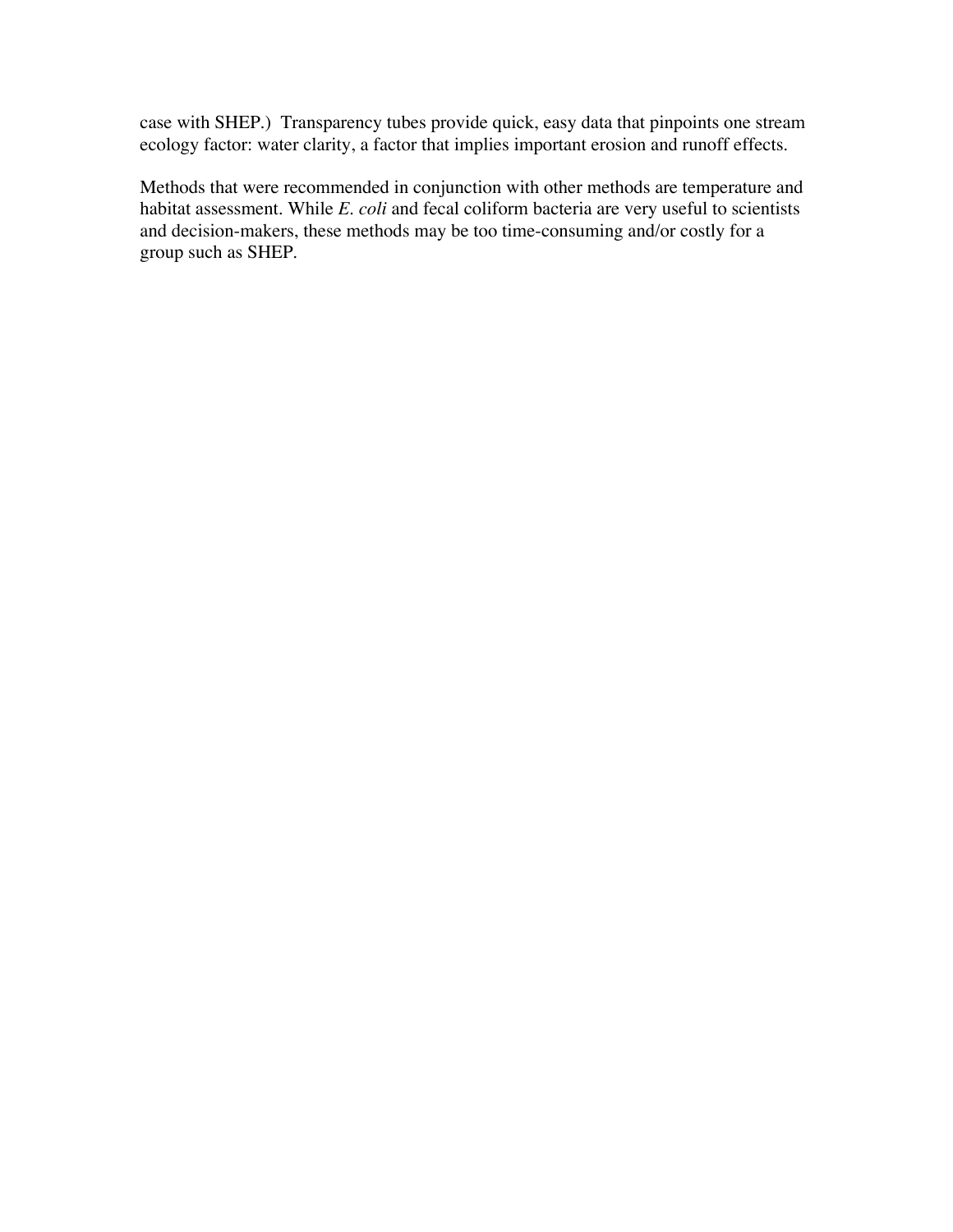case with SHEP.) Transparency tubes provide quick, easy data that pinpoints one stream ecology factor: water clarity, a factor that implies important erosion and runoff effects.

Methods that were recommended in conjunction with other methods are temperature and habitat assessment. While *E. coli* and fecal coliform bacteria are very useful to scientists and decision-makers, these methods may be too time-consuming and/or costly for a group such as SHEP.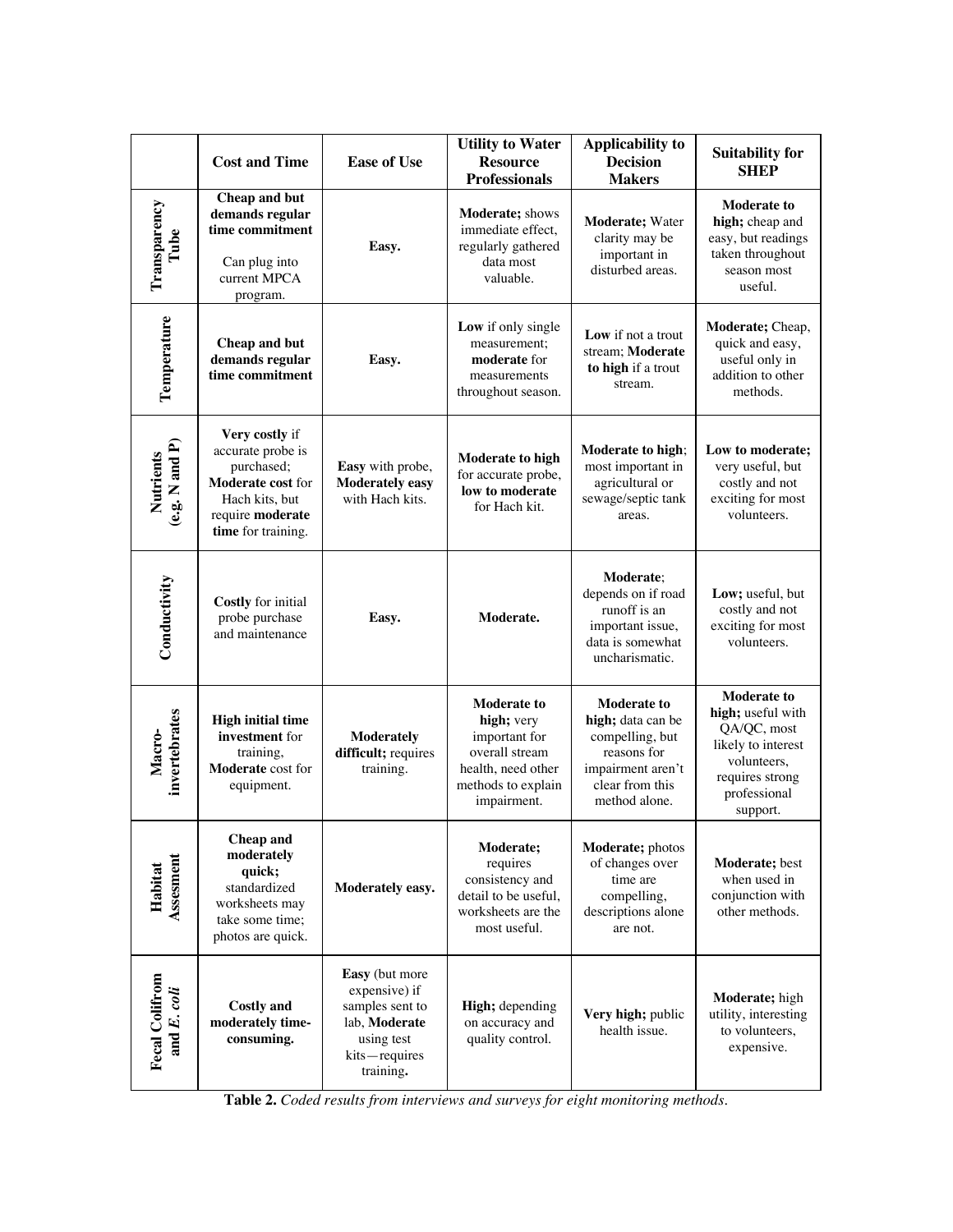|                                      | <b>Cost and Time</b>                                                                                                                      | <b>Ease of Use</b>                                                                                              | <b>Utility to Water</b><br><b>Resource</b><br><b>Professionals</b>                                                             | <b>Applicability to</b><br><b>Decision</b><br><b>Makers</b>                                                                        | <b>Suitability for</b><br><b>SHEP</b>                                                                                                      |
|--------------------------------------|-------------------------------------------------------------------------------------------------------------------------------------------|-----------------------------------------------------------------------------------------------------------------|--------------------------------------------------------------------------------------------------------------------------------|------------------------------------------------------------------------------------------------------------------------------------|--------------------------------------------------------------------------------------------------------------------------------------------|
| Transparency<br>Tube                 | Cheap and but<br>demands regular<br>time commitment<br>Can plug into<br>current MPCA<br>program.                                          | Easy.                                                                                                           | Moderate; shows<br>immediate effect,<br>regularly gathered<br>data most<br>valuable.                                           | Moderate; Water<br>clarity may be<br>important in<br>disturbed areas.                                                              | <b>Moderate to</b><br>high; cheap and<br>easy, but readings<br>taken throughout<br>season most<br>useful.                                  |
| Temperature                          | Cheap and but<br>demands regular<br>time commitment                                                                                       | Easy.                                                                                                           | Low if only single<br>measurement;<br>moderate for<br>measurements<br>throughout season.                                       | Low if not a trout<br>stream; Moderate<br>to high if a trout<br>stream.                                                            | Moderate; Cheap,<br>quick and easy,<br>useful only in<br>addition to other<br>methods.                                                     |
| Nutrients<br>(e.g. N and P)          | Very costly if<br>accurate probe is<br>purchased;<br><b>Moderate cost for</b><br>Hach kits, but<br>require moderate<br>time for training. | Easy with probe,<br><b>Moderately easy</b><br>with Hach kits.                                                   | <b>Moderate to high</b><br>for accurate probe,<br>low to moderate<br>for Hach kit.                                             | Moderate to high;<br>most important in<br>agricultural or<br>sewage/septic tank<br>areas.                                          | Low to moderate;<br>very useful, but<br>costly and not<br>exciting for most<br>volunteers.                                                 |
| Conductivity                         | Costly for initial<br>probe purchase<br>and maintenance                                                                                   | Easy.                                                                                                           | Moderate.                                                                                                                      | <b>Moderate:</b><br>depends on if road<br>runoff is an<br>important issue,<br>data is somewhat<br>uncharismatic.                   | Low; useful, but<br>costly and not<br>exciting for most<br>volunteers.                                                                     |
| invertebrates<br>Macro-              | <b>High initial time</b><br>investment for<br>training,<br>Moderate cost for<br>equipment.                                                | <b>Moderately</b><br>difficult; requires<br>training.                                                           | <b>Moderate to</b><br>high; very<br>important for<br>overall stream<br>health, need other<br>methods to explain<br>impairment. | <b>Moderate to</b><br>high; data can be<br>compelling, but<br>reasons for<br>impairment aren't<br>clear from this<br>method alone. | <b>Moderate to</b><br>high; useful with<br>QA/QC, most<br>likely to interest<br>volunteers,<br>requires strong<br>professional<br>support. |
| <b>Assesment</b><br>Habitat          | Cheap and<br>moderately<br>quick;<br>standardized<br>worksheets may<br>take some time:<br>photos are quick.                               | Moderately easy.                                                                                                | Moderate;<br>requires<br>consistency and<br>detail to be useful,<br>worksheets are the<br>most useful.                         | Moderate; photos<br>of changes over<br>time are<br>compelling,<br>descriptions alone<br>are not.                                   | Moderate; best<br>when used in<br>conjunction with<br>other methods.                                                                       |
| <b>Fecal Colifrom</b><br>and E. coli | <b>Costly and</b><br>moderately time-<br>consuming.                                                                                       | Easy (but more<br>expensive) if<br>samples sent to<br>lab, Moderate<br>using test<br>kits-requires<br>training. | High; depending<br>on accuracy and<br>quality control.                                                                         | Very high; public<br>health issue.                                                                                                 | Moderate; high<br>utility, interesting<br>to volunteers,<br>expensive.                                                                     |

**Table 2.** *Coded results from interviews and surveys for eight monitoring methods.*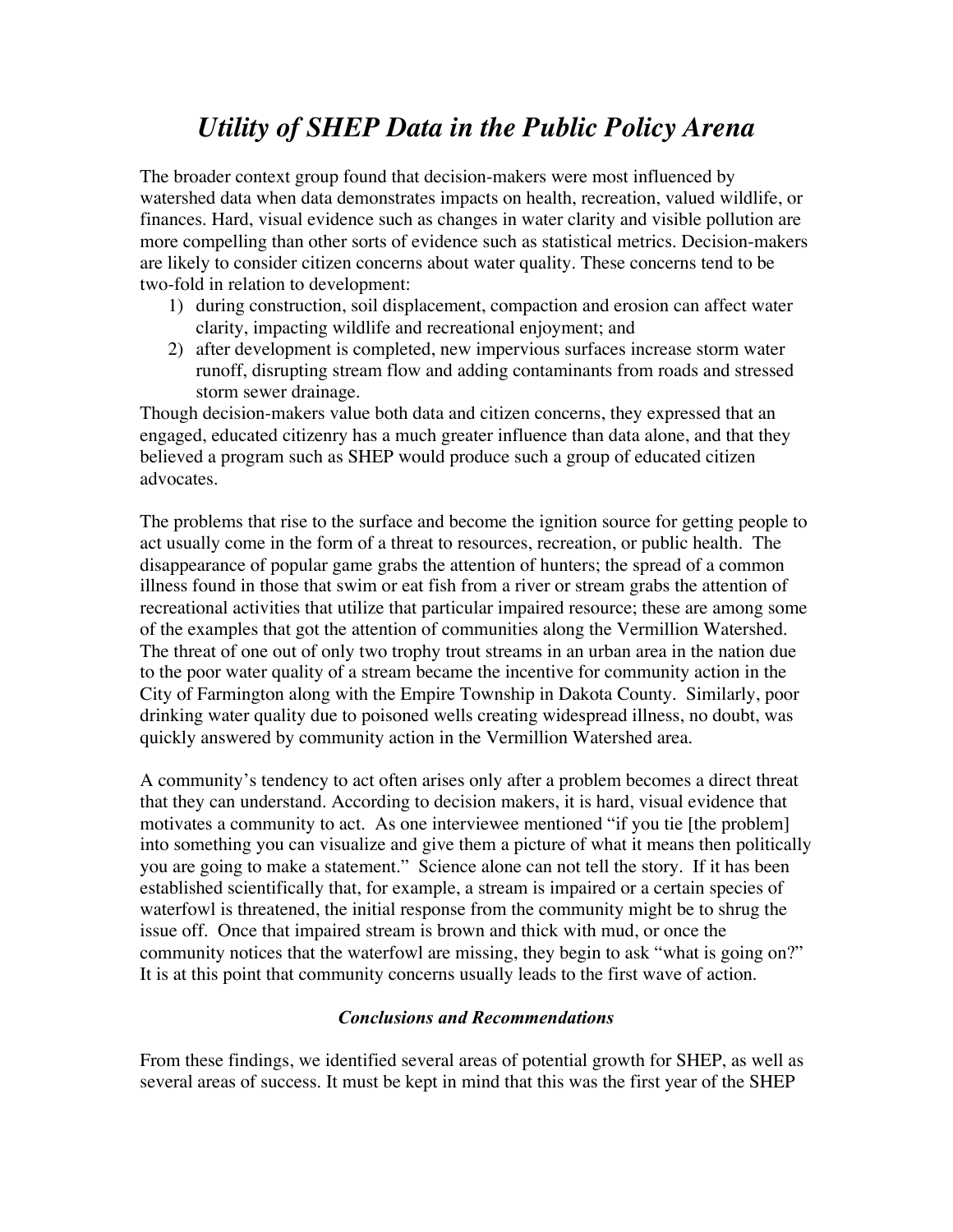## *Utility of SHEP Data in the Public Policy Arena*

The broader context group found that decision-makers were most influenced by watershed data when data demonstrates impacts on health, recreation, valued wildlife, or finances. Hard, visual evidence such as changes in water clarity and visible pollution are more compelling than other sorts of evidence such as statistical metrics. Decision-makers are likely to consider citizen concerns about water quality. These concerns tend to be two-fold in relation to development:

- 1) during construction, soil displacement, compaction and erosion can affect water clarity, impacting wildlife and recreational enjoyment; and
- 2) after development is completed, new impervious surfaces increase storm water runoff, disrupting stream flow and adding contaminants from roads and stressed storm sewer drainage.

Though decision-makers value both data and citizen concerns, they expressed that an engaged, educated citizenry has a much greater influence than data alone, and that they believed a program such as SHEP would produce such a group of educated citizen advocates.

The problems that rise to the surface and become the ignition source for getting people to act usually come in the form of a threat to resources, recreation, or public health. The disappearance of popular game grabs the attention of hunters; the spread of a common illness found in those that swim or eat fish from a river or stream grabs the attention of recreational activities that utilize that particular impaired resource; these are among some of the examples that got the attention of communities along the Vermillion Watershed. The threat of one out of only two trophy trout streams in an urban area in the nation due to the poor water quality of a stream became the incentive for community action in the City of Farmington along with the Empire Township in Dakota County. Similarly, poor drinking water quality due to poisoned wells creating widespread illness, no doubt, was quickly answered by community action in the Vermillion Watershed area.

A community's tendency to act often arises only after a problem becomes a direct threat that they can understand. According to decision makers, it is hard, visual evidence that motivates a community to act. As one interviewee mentioned "if you tie [the problem] into something you can visualize and give them a picture of what it means then politically you are going to make a statement." Science alone can not tell the story. If it has been established scientifically that, for example, a stream is impaired or a certain species of waterfowl is threatened, the initial response from the community might be to shrug the issue off. Once that impaired stream is brown and thick with mud, or once the community notices that the waterfowl are missing, they begin to ask "what is going on?" It is at this point that community concerns usually leads to the first wave of action.

#### *Conclusions and Recommendations*

From these findings, we identified several areas of potential growth for SHEP, as well as several areas of success. It must be kept in mind that this was the first year of the SHEP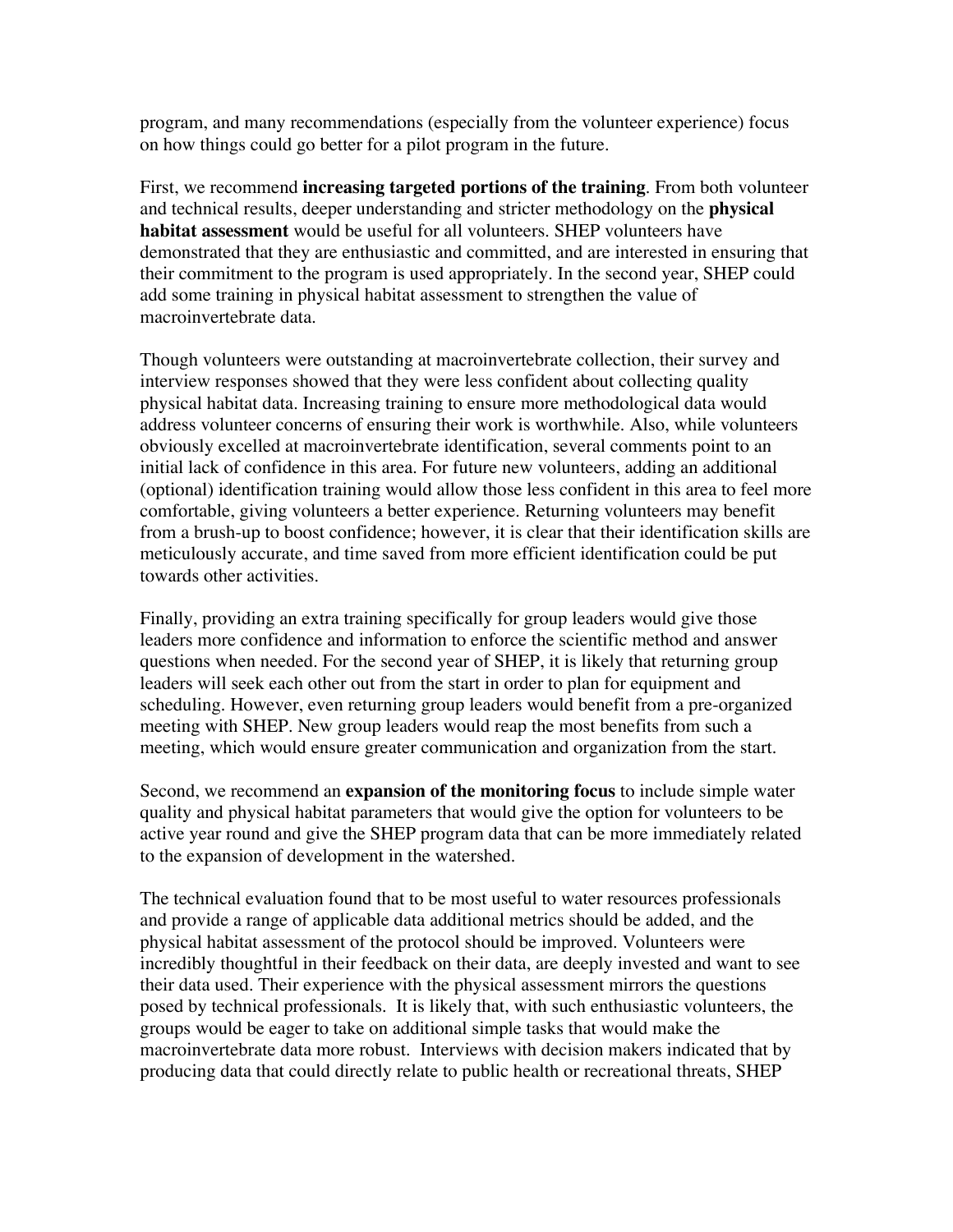program, and many recommendations (especially from the volunteer experience) focus on how things could go better for a pilot program in the future.

First, we recommend **increasing targeted portions of the training**. From both volunteer and technical results, deeper understanding and stricter methodology on the **physical habitat assessment** would be useful for all volunteers. SHEP volunteers have demonstrated that they are enthusiastic and committed, and are interested in ensuring that their commitment to the program is used appropriately. In the second year, SHEP could add some training in physical habitat assessment to strengthen the value of macroinvertebrate data.

Though volunteers were outstanding at macroinvertebrate collection, their survey and interview responses showed that they were less confident about collecting quality physical habitat data. Increasing training to ensure more methodological data would address volunteer concerns of ensuring their work is worthwhile. Also, while volunteers obviously excelled at macroinvertebrate identification, several comments point to an initial lack of confidence in this area. For future new volunteers, adding an additional (optional) identification training would allow those less confident in this area to feel more comfortable, giving volunteers a better experience. Returning volunteers may benefit from a brush-up to boost confidence; however, it is clear that their identification skills are meticulously accurate, and time saved from more efficient identification could be put towards other activities.

Finally, providing an extra training specifically for group leaders would give those leaders more confidence and information to enforce the scientific method and answer questions when needed. For the second year of SHEP, it is likely that returning group leaders will seek each other out from the start in order to plan for equipment and scheduling. However, even returning group leaders would benefit from a pre-organized meeting with SHEP. New group leaders would reap the most benefits from such a meeting, which would ensure greater communication and organization from the start.

Second, we recommend an **expansion of the monitoring focus** to include simple water quality and physical habitat parameters that would give the option for volunteers to be active year round and give the SHEP program data that can be more immediately related to the expansion of development in the watershed.

The technical evaluation found that to be most useful to water resources professionals and provide a range of applicable data additional metrics should be added, and the physical habitat assessment of the protocol should be improved. Volunteers were incredibly thoughtful in their feedback on their data, are deeply invested and want to see their data used. Their experience with the physical assessment mirrors the questions posed by technical professionals. It is likely that, with such enthusiastic volunteers, the groups would be eager to take on additional simple tasks that would make the macroinvertebrate data more robust. Interviews with decision makers indicated that by producing data that could directly relate to public health or recreational threats, SHEP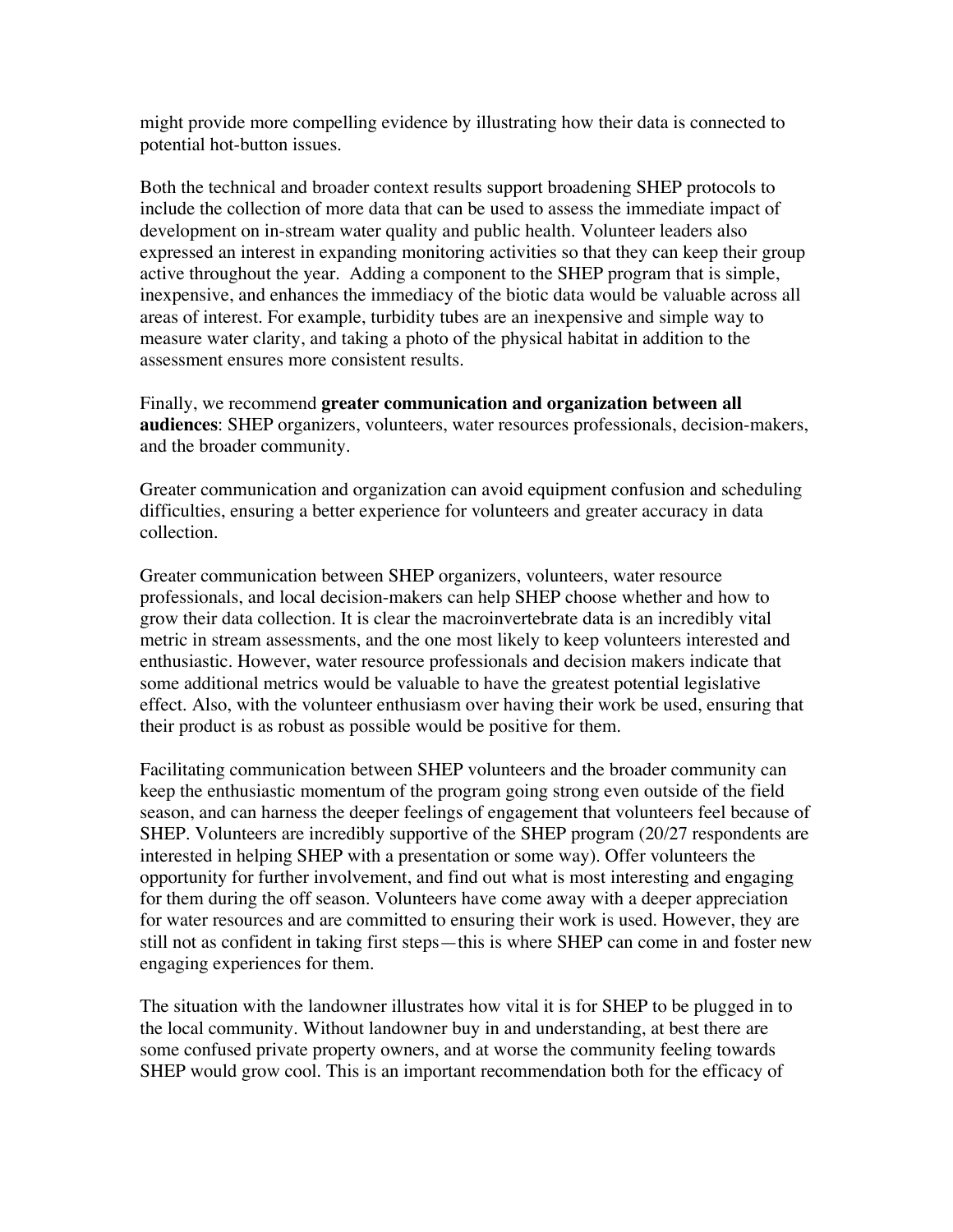might provide more compelling evidence by illustrating how their data is connected to potential hot-button issues.

Both the technical and broader context results support broadening SHEP protocols to include the collection of more data that can be used to assess the immediate impact of development on in-stream water quality and public health. Volunteer leaders also expressed an interest in expanding monitoring activities so that they can keep their group active throughout the year. Adding a component to the SHEP program that is simple, inexpensive, and enhances the immediacy of the biotic data would be valuable across all areas of interest. For example, turbidity tubes are an inexpensive and simple way to measure water clarity, and taking a photo of the physical habitat in addition to the assessment ensures more consistent results.

Finally, we recommend **greater communication and organization between all audiences**: SHEP organizers, volunteers, water resources professionals, decision-makers, and the broader community.

Greater communication and organization can avoid equipment confusion and scheduling difficulties, ensuring a better experience for volunteers and greater accuracy in data collection.

Greater communication between SHEP organizers, volunteers, water resource professionals, and local decision-makers can help SHEP choose whether and how to grow their data collection. It is clear the macroinvertebrate data is an incredibly vital metric in stream assessments, and the one most likely to keep volunteers interested and enthusiastic. However, water resource professionals and decision makers indicate that some additional metrics would be valuable to have the greatest potential legislative effect. Also, with the volunteer enthusiasm over having their work be used, ensuring that their product is as robust as possible would be positive for them.

Facilitating communication between SHEP volunteers and the broader community can keep the enthusiastic momentum of the program going strong even outside of the field season, and can harness the deeper feelings of engagement that volunteers feel because of SHEP. Volunteers are incredibly supportive of the SHEP program (20/27 respondents are interested in helping SHEP with a presentation or some way). Offer volunteers the opportunity for further involvement, and find out what is most interesting and engaging for them during the off season. Volunteers have come away with a deeper appreciation for water resources and are committed to ensuring their work is used. However, they are still not as confident in taking first steps—this is where SHEP can come in and foster new engaging experiences for them.

The situation with the landowner illustrates how vital it is for SHEP to be plugged in to the local community. Without landowner buy in and understanding, at best there are some confused private property owners, and at worse the community feeling towards SHEP would grow cool. This is an important recommendation both for the efficacy of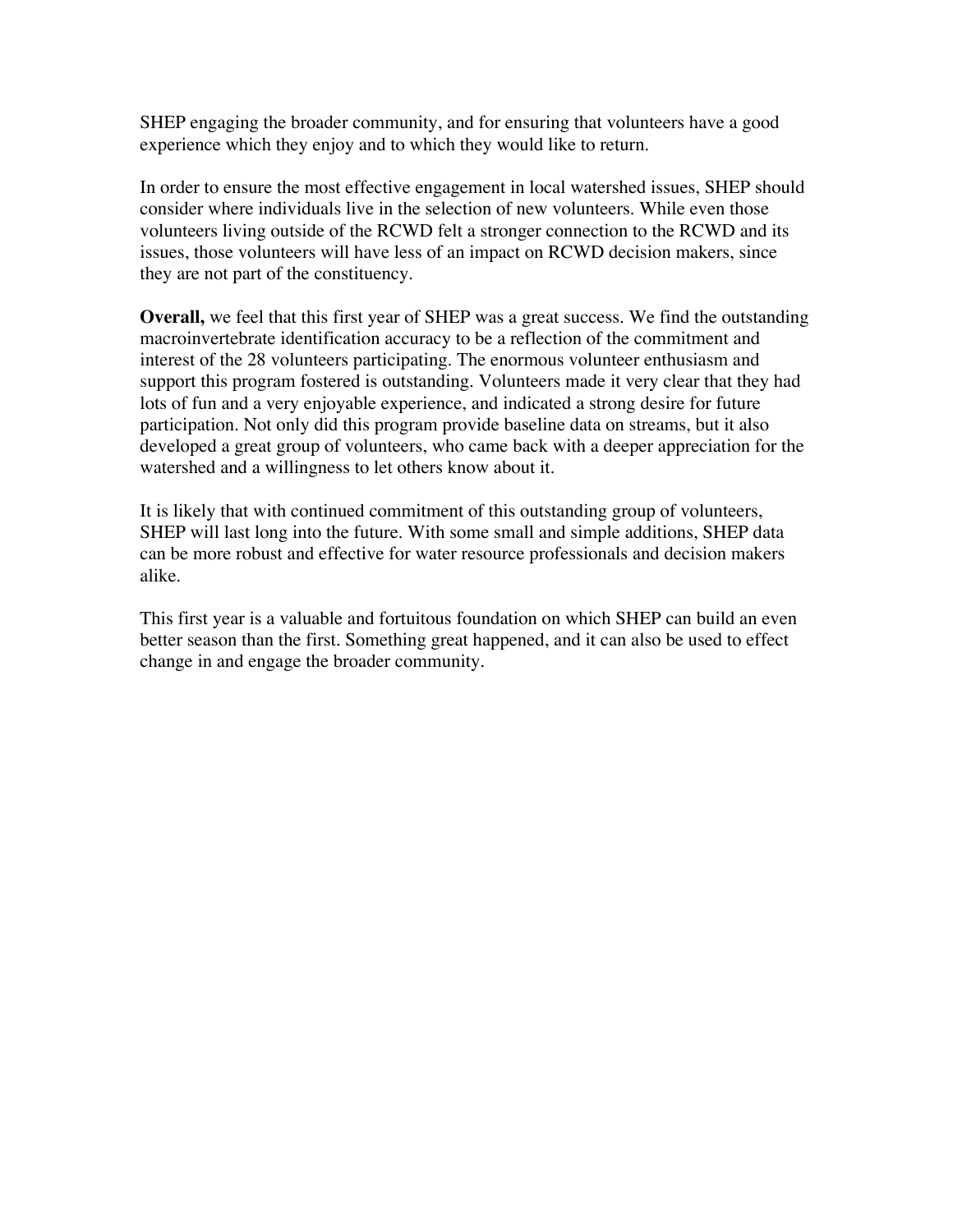SHEP engaging the broader community, and for ensuring that volunteers have a good experience which they enjoy and to which they would like to return.

In order to ensure the most effective engagement in local watershed issues, SHEP should consider where individuals live in the selection of new volunteers. While even those volunteers living outside of the RCWD felt a stronger connection to the RCWD and its issues, those volunteers will have less of an impact on RCWD decision makers, since they are not part of the constituency.

**Overall,** we feel that this first year of SHEP was a great success. We find the outstanding macroinvertebrate identification accuracy to be a reflection of the commitment and interest of the 28 volunteers participating. The enormous volunteer enthusiasm and support this program fostered is outstanding. Volunteers made it very clear that they had lots of fun and a very enjoyable experience, and indicated a strong desire for future participation. Not only did this program provide baseline data on streams, but it also developed a great group of volunteers, who came back with a deeper appreciation for the watershed and a willingness to let others know about it.

It is likely that with continued commitment of this outstanding group of volunteers, SHEP will last long into the future. With some small and simple additions, SHEP data can be more robust and effective for water resource professionals and decision makers alike.

This first year is a valuable and fortuitous foundation on which SHEP can build an even better season than the first. Something great happened, and it can also be used to effect change in and engage the broader community.